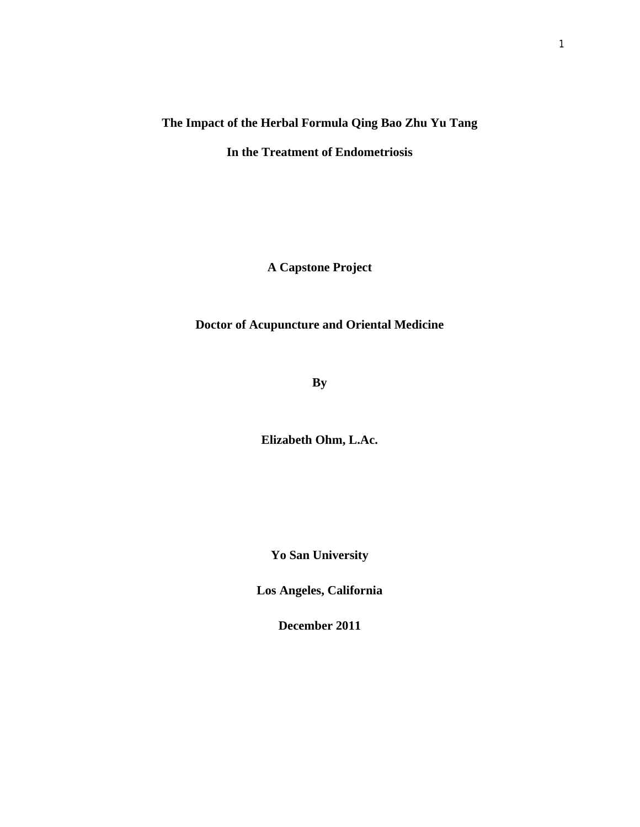## **The Impact of the Herbal Formula Qing Bao Zhu Yu Tang In the Treatment of Endometriosis**

**A Capstone Project**

**Doctor of Acupuncture and Oriental Medicine**

**By**

**Elizabeth Ohm, L.Ac.**

**Yo San University**

**Los Angeles, California** 

**December 2011**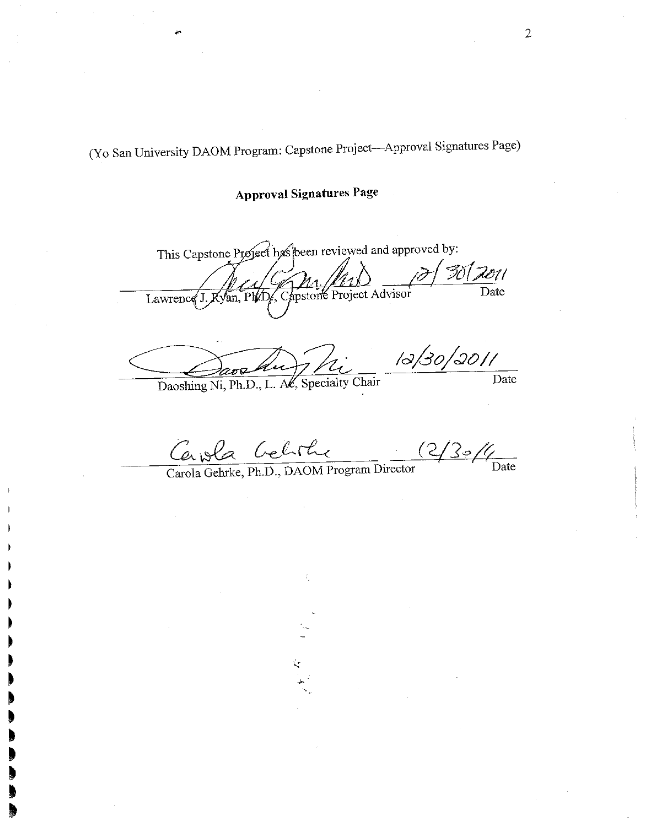(Yo San University DAOM Program: Capstone Project-Approval Signatures Page)

**Approval Signatures Page** 

This Capstone Project has been reviewed and approved by:  $3012011$  $\overline{Date}$ Capstone Project Advisor an. Ph/D Lawrence  $J$ 

 $12/30/3011$ Daoshing Ni, Ph.D., L. Ac, Specialty Chair Date

 $(2/3/4)$ Cauola Celite

ť,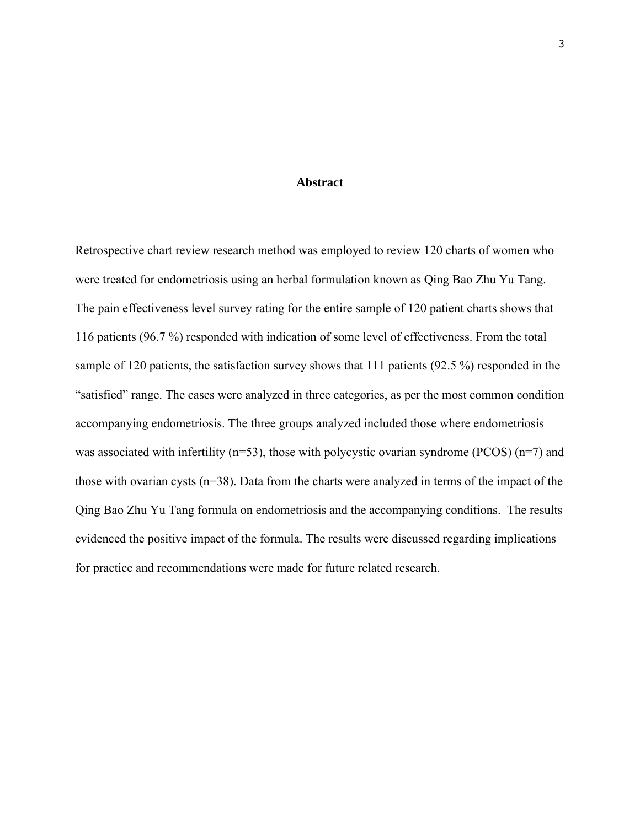#### **Abstract**

Retrospective chart review research method was employed to review 120 charts of women who were treated for endometriosis using an herbal formulation known as Qing Bao Zhu Yu Tang. The pain effectiveness level survey rating for the entire sample of 120 patient charts shows that 116 patients (96.7 %) responded with indication of some level of effectiveness. From the total sample of 120 patients, the satisfaction survey shows that 111 patients (92.5 %) responded in the "satisfied" range. The cases were analyzed in three categories, as per the most common condition accompanying endometriosis. The three groups analyzed included those where endometriosis was associated with infertility ( $n=53$ ), those with polycystic ovarian syndrome (PCOS) ( $n=7$ ) and those with ovarian cysts  $(n=38)$ . Data from the charts were analyzed in terms of the impact of the Qing Bao Zhu Yu Tang formula on endometriosis and the accompanying conditions. The results evidenced the positive impact of the formula. The results were discussed regarding implications for practice and recommendations were made for future related research.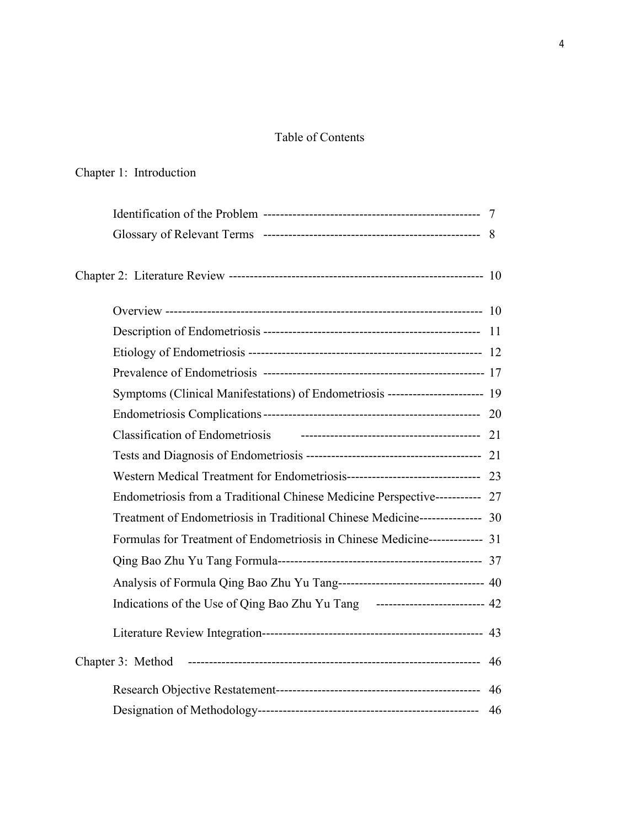## Table of Contents

# Chapter 1: Introduction  $Id$ entification of the Problem

| Symptoms (Clinical Manifestations) of Endometriosis ----------------------- 19 |  |
|--------------------------------------------------------------------------------|--|
|                                                                                |  |
|                                                                                |  |
|                                                                                |  |
|                                                                                |  |
| Endometriosis from a Traditional Chinese Medicine Perspective----------- 27    |  |
| Treatment of Endometriosis in Traditional Chinese Medicine--------------- 30   |  |
| Formulas for Treatment of Endometriosis in Chinese Medicine------------- 31    |  |
|                                                                                |  |
| Analysis of Formula Qing Bao Zhu Yu Tang---------------------------------- 40  |  |
| Indications of the Use of Qing Bao Zhu Yu Tang -------------------------- 42   |  |
|                                                                                |  |
| Chapter 3: Method                                                              |  |
|                                                                                |  |
|                                                                                |  |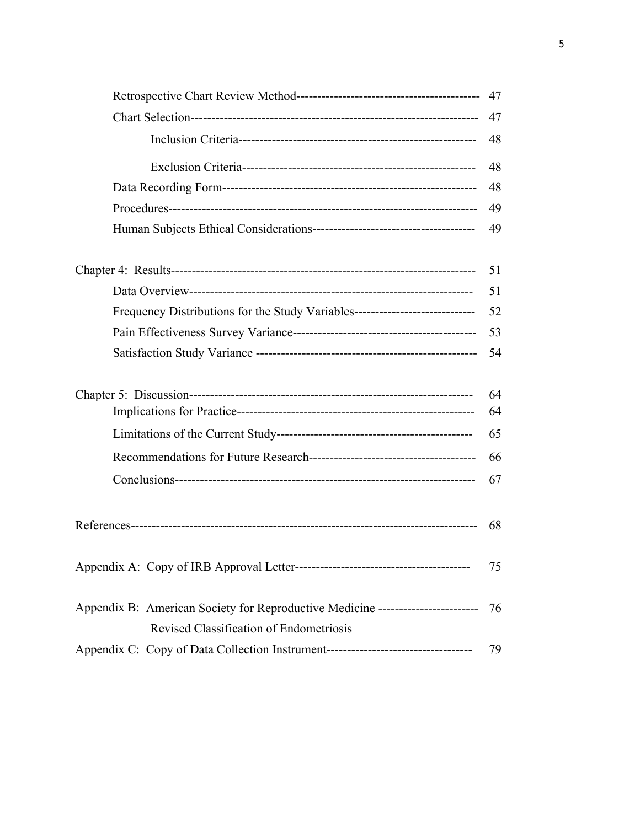|                                                                                  | 47 |
|----------------------------------------------------------------------------------|----|
|                                                                                  | 48 |
|                                                                                  | 48 |
|                                                                                  | 48 |
|                                                                                  | 49 |
|                                                                                  | 49 |
|                                                                                  | 51 |
|                                                                                  | 51 |
| Frequency Distributions for the Study Variables--------------------------------- | 52 |
|                                                                                  | 53 |
|                                                                                  | 54 |
|                                                                                  | 64 |
|                                                                                  | 64 |
|                                                                                  | 65 |
|                                                                                  | 66 |
|                                                                                  | 67 |
|                                                                                  | 68 |
|                                                                                  | 75 |
| Appendix B: American Society for Reproductive Medicine ------------------------- | 76 |
| Revised Classification of Endometriosis                                          |    |
|                                                                                  | 79 |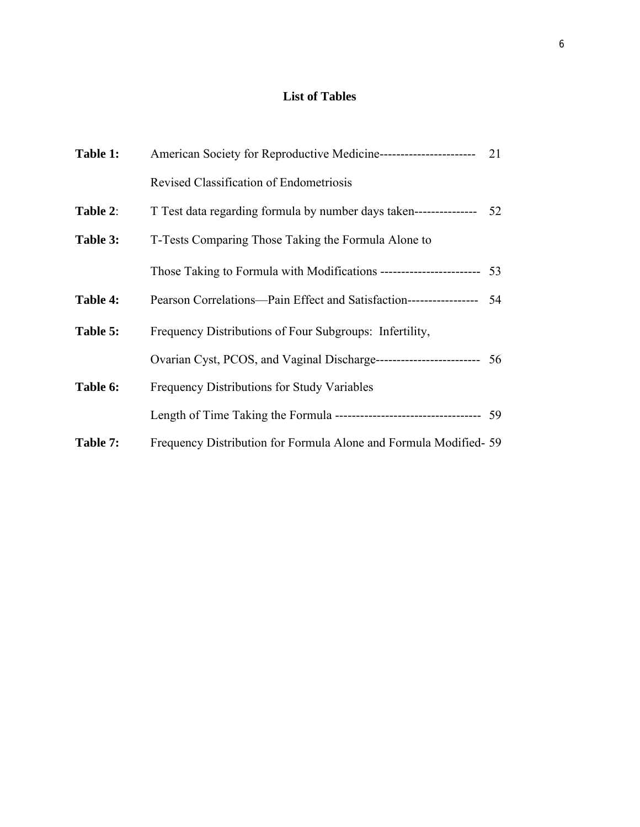## **List of Tables**

| Table 1: | American Society for Reproductive Medicine-------------------------- 21  |    |
|----------|--------------------------------------------------------------------------|----|
|          | Revised Classification of Endometriosis                                  |    |
| Table 2: | T Test data regarding formula by number days taken---------------        | 52 |
| Table 3: | T-Tests Comparing Those Taking the Formula Alone to                      |    |
|          | Those Taking to Formula with Modifications ----------------------- 53    |    |
| Table 4: | Pearson Correlations—Pain Effect and Satisfaction----------------- 54    |    |
| Table 5: | Frequency Distributions of Four Subgroups: Infertility,                  |    |
|          | Ovarian Cyst, PCOS, and Vaginal Discharge------------------------- 56    |    |
| Table 6: | Frequency Distributions for Study Variables                              |    |
|          | Length of Time Taking the Formula ----------------------------------- 59 |    |
| Table 7: | Frequency Distribution for Formula Alone and Formula Modified-59         |    |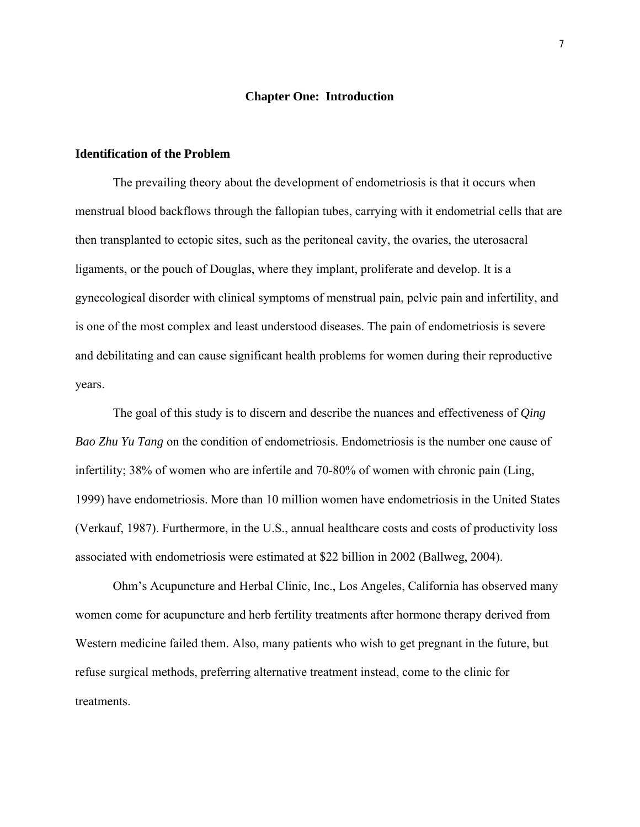#### **Chapter One: Introduction**

#### **Identification of the Problem**

The prevailing theory about the development of endometriosis is that it occurs when menstrual blood backflows through the fallopian tubes, carrying with it endometrial cells that are then transplanted to ectopic sites, such as the peritoneal cavity, the ovaries, the uterosacral ligaments, or the pouch of Douglas, where they implant, proliferate and develop. It is a gynecological disorder with clinical symptoms of menstrual pain, pelvic pain and infertility, and is one of the most complex and least understood diseases. The pain of endometriosis is severe and debilitating and can cause significant health problems for women during their reproductive years.

The goal of this study is to discern and describe the nuances and effectiveness of *Qing Bao Zhu Yu Tang* on the condition of endometriosis. Endometriosis is the number one cause of infertility; 38% of women who are infertile and 70-80% of women with chronic pain (Ling, 1999) have endometriosis. More than 10 million women have endometriosis in the United States (Verkauf, 1987). Furthermore, in the U.S., annual healthcare costs and costs of productivity loss associated with endometriosis were estimated at \$22 billion in 2002 (Ballweg, 2004).

Ohm's Acupuncture and Herbal Clinic, Inc., Los Angeles, California has observed many women come for acupuncture and herb fertility treatments after hormone therapy derived from Western medicine failed them. Also, many patients who wish to get pregnant in the future, but refuse surgical methods, preferring alternative treatment instead, come to the clinic for treatments.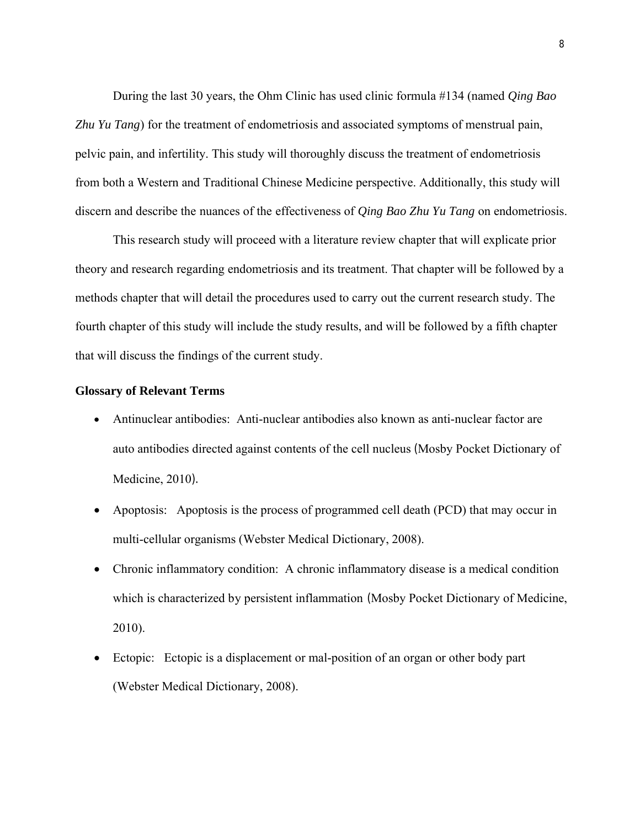During the last 30 years, the Ohm Clinic has used clinic formula #134 (named *Qing Bao Zhu Yu Tang*) for the treatment of endometriosis and associated symptoms of menstrual pain, pelvic pain, and infertility. This study will thoroughly discuss the treatment of endometriosis from both a Western and Traditional Chinese Medicine perspective. Additionally, this study will discern and describe the nuances of the effectiveness of *Qing Bao Zhu Yu Tang* on endometriosis.

This research study will proceed with a literature review chapter that will explicate prior theory and research regarding endometriosis and its treatment. That chapter will be followed by a methods chapter that will detail the procedures used to carry out the current research study. The fourth chapter of this study will include the study results, and will be followed by a fifth chapter that will discuss the findings of the current study.

#### **Glossary of Relevant Terms**

- Antinuclear antibodies: Anti-nuclear antibodies also known as anti-nuclear factor are auto antibodies directed against contents of the cell nucleus (Mosby Pocket Dictionary of Medicine, 2010).
- Apoptosis: Apoptosis is the process of programmed cell death (PCD) that may occur in multi-cellular organisms (Webster Medical Dictionary, 2008).
- Chronic inflammatory condition: A chronic inflammatory disease is a medical condition which is characterized by persistent inflammation (Mosby Pocket Dictionary of Medicine, 2010).
- Ectopic: Ectopic is a displacement or mal-position of an organ or other body part (Webster Medical Dictionary, 2008).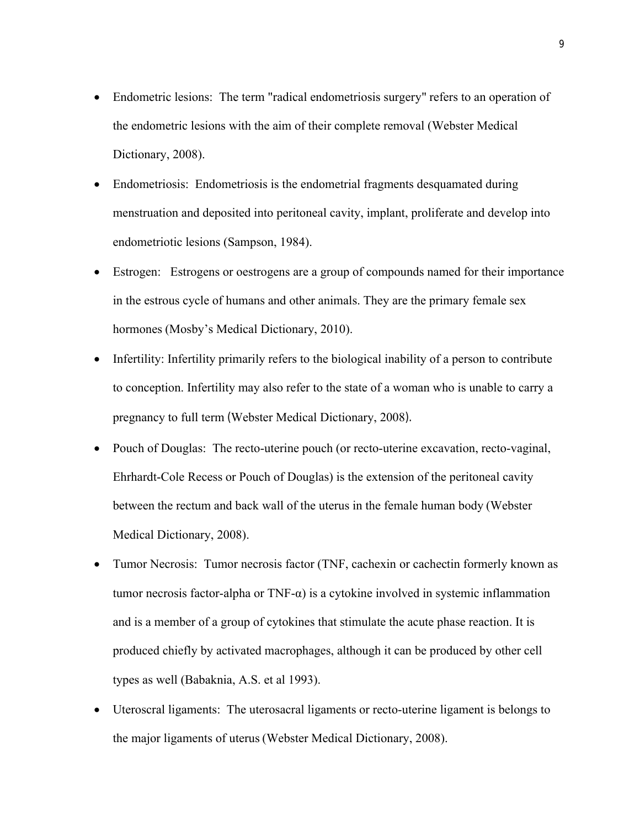- Endometric lesions: The term "radical endometriosis surgery" refers to an operation of the endometric lesions with the aim of their complete removal (Webster Medical Dictionary, 2008).
- Endometriosis:Endometriosis is the endometrial fragments desquamated during menstruation and deposited into peritoneal cavity, implant, proliferate and develop into endometriotic lesions (Sampson, 1984).
- Estrogen: Estrogens or oestrogens are a group of compounds named for their importance in the estrous cycle of humans and other animals. They are the primary female sex hormones (Mosby's Medical Dictionary, 2010).
- Infertility: Infertility primarily refers to the biological inability of a person to contribute to conception. Infertility may also refer to the state of a woman who is unable to carry a pregnancy to full term (Webster Medical Dictionary, 2008).
- Pouch of Douglas: The recto-uterine pouch (or recto-uterine excavation, recto-vaginal, Ehrhardt-Cole Recess or Pouch of Douglas) is the extension of the peritoneal cavity between the rectum and back wall of the uterus in the female human body (Webster Medical Dictionary, 2008).
- Tumor Necrosis: Tumor necrosis factor (TNF, cachexin or cachectin formerly known as tumor necrosis factor-alpha or  $TNF-\alpha$ ) is a cytokine involved in systemic inflammation and is a member of a group of cytokines that stimulate the acute phase reaction. It is produced chiefly by activated macrophages, although it can be produced by other cell types as well (Babaknia, A.S. et al 1993).
- Uteroscral ligaments: The uterosacral ligaments or recto-uterine ligament is belongs to the major ligaments of uterus (Webster Medical Dictionary, 2008).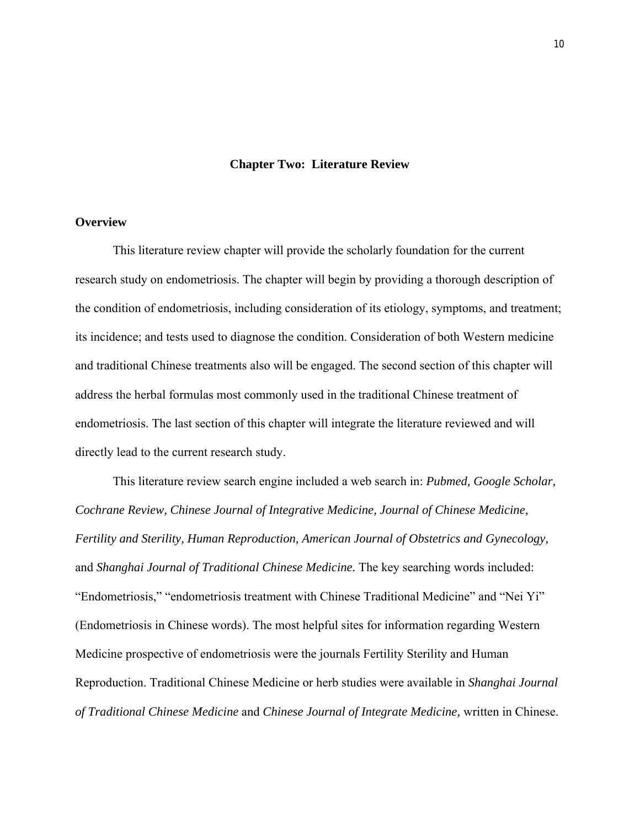#### **Chapter Two: Literature Review**

#### **Overview**

This literature review chapter will provide the scholarly foundation for the current research study on endometriosis. The chapter will begin by providing a thorough description of the condition of endometriosis, including consideration of its etiology, symptoms, and treatment; its incidence; and tests used to diagnose the condition. Consideration of both Western medicine and traditional Chinese treatments also will be engaged. The second section of this chapter will address the herbal formulas most commonly used in the traditional Chinese treatment of endometriosis. The last section of this chapter will integrate the literature reviewed and will directly lead to the current research study.

This literature review search engine included a web search in: *Pubmed, Google Scholar, Cochrane Review, Chinese Journal of Integrative Medicine, Journal of Chinese Medicine, Fertility and Sterility, Human Reproduction, American Journal of Obstetrics and Gynecology,* and *Shanghai Journal of Traditional Chinese Medicine.* The key searching words included: "Endometriosis," "endometriosis treatment with Chinese Traditional Medicine" and "Nei Yi" (Endometriosis in Chinese words). The most helpful sites for information regarding Western Medicine prospective of endometriosis were the journals Fertility Sterility and Human Reproduction. Traditional Chinese Medicine or herb studies were available in *Shanghai Journal of Traditional Chinese Medicine* and *Chinese Journal of Integrate Medicine,* written in Chinese.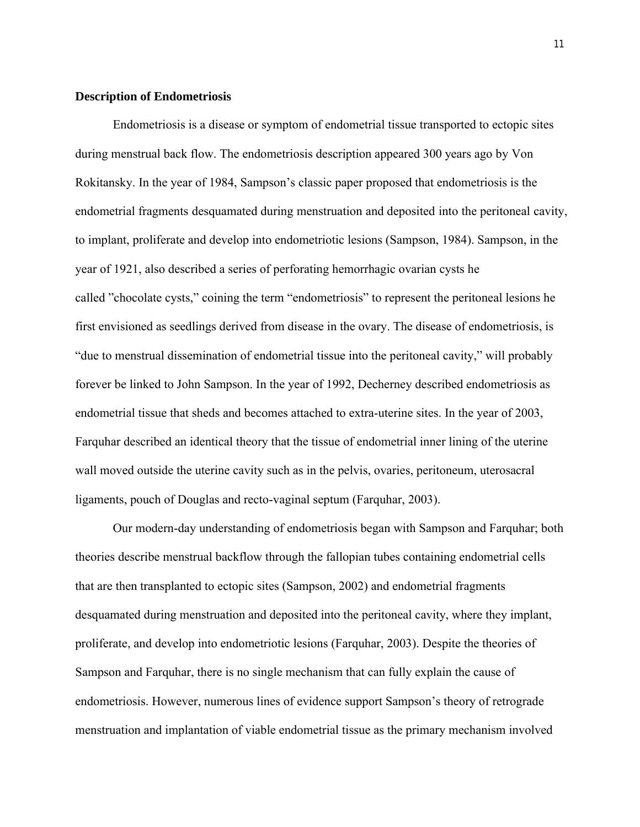#### **Description of Endometriosis**

Endometriosis is a disease or symptom of endometrial tissue transported to ectopic sites during menstrual back flow. The endometriosis description appeared 300 years ago by Von Rokitansky. In the year of 1984, Sampson's classic paper proposed that endometriosis is the endometrial fragments desquamated during menstruation and deposited into the peritoneal cavity, to implant, proliferate and develop into endometriotic lesions (Sampson, 1984). Sampson, in the year of 1921, also described a series of perforating hemorrhagic ovarian cysts he called "chocolate cysts," coining the term "endometriosis" to represent the peritoneal lesions he first envisioned as seedlings derived from disease in the ovary. The disease of endometriosis, is "due to menstrual dissemination of endometrial tissue into the peritoneal cavity," will probably forever be linked to John Sampson. In the year of 1992, Decherney described endometriosis as endometrial tissue that sheds and becomes attached to extra-uterine sites. In the year of 2003, Farquhar described an identical theory that the tissue of endometrial inner lining of the uterine wall moved outside the uterine cavity such as in the pelvis, ovaries, peritoneum, uterosacral ligaments, pouch of Douglas and recto-vaginal septum (Farquhar, 2003).

Our modern-day understanding of endometriosis began with Sampson and Farquhar; both theories describe menstrual backflow through the fallopian tubes containing endometrial cells that are then transplanted to ectopic sites (Sampson, 2002) and endometrial fragments desquamated during menstruation and deposited into the peritoneal cavity, where they implant, proliferate, and develop into endometriotic lesions (Farquhar, 2003). Despite the theories of Sampson and Farquhar, there is no single mechanism that can fully explain the cause of endometriosis. However, numerous lines of evidence support Sampson's theory of retrograde menstruation and implantation of viable endometrial tissue as the primary mechanism involved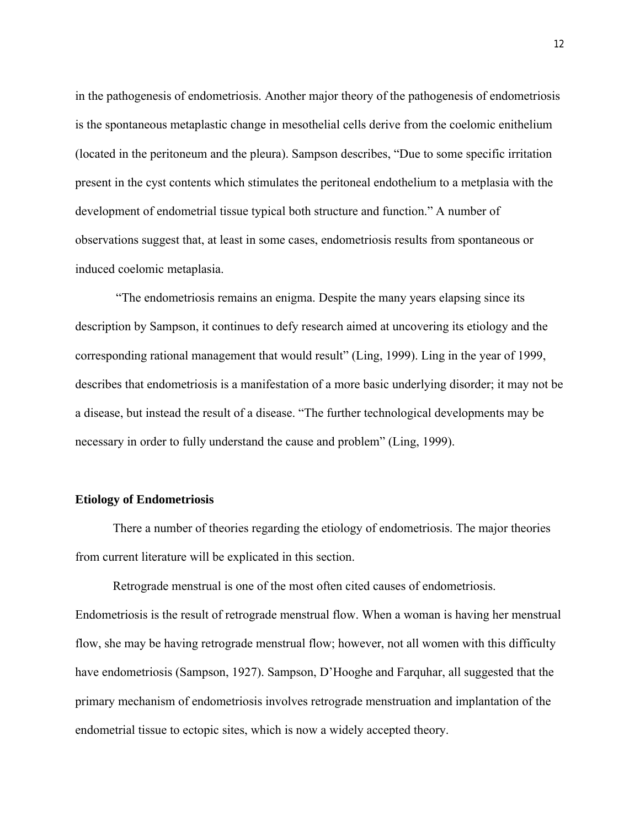in the pathogenesis of endometriosis. Another major theory of the pathogenesis of endometriosis is the spontaneous metaplastic change in mesothelial cells derive from the coelomic enithelium (located in the peritoneum and the pleura). Sampson describes, "Due to some specific irritation present in the cyst contents which stimulates the peritoneal endothelium to a metplasia with the development of endometrial tissue typical both structure and function." A number of observations suggest that, at least in some cases, endometriosis results from spontaneous or induced coelomic metaplasia.

"The endometriosis remains an enigma. Despite the many years elapsing since its description by Sampson, it continues to defy research aimed at uncovering its etiology and the corresponding rational management that would result" (Ling, 1999). Ling in the year of 1999, describes that endometriosis is a manifestation of a more basic underlying disorder; it may not be a disease, but instead the result of a disease. "The further technological developments may be necessary in order to fully understand the cause and problem" (Ling, 1999).

#### **Etiology of Endometriosis**

There a number of theories regarding the etiology of endometriosis. The major theories from current literature will be explicated in this section.

Retrograde menstrual is one of the most often cited causes of endometriosis. Endometriosis is the result of retrograde menstrual flow. When a woman is having her menstrual flow, she may be having retrograde menstrual flow; however, not all women with this difficulty have endometriosis (Sampson, 1927). Sampson, D'Hooghe and Farquhar, all suggested that the primary mechanism of endometriosis involves retrograde menstruation and implantation of the endometrial tissue to ectopic sites, which is now a widely accepted theory.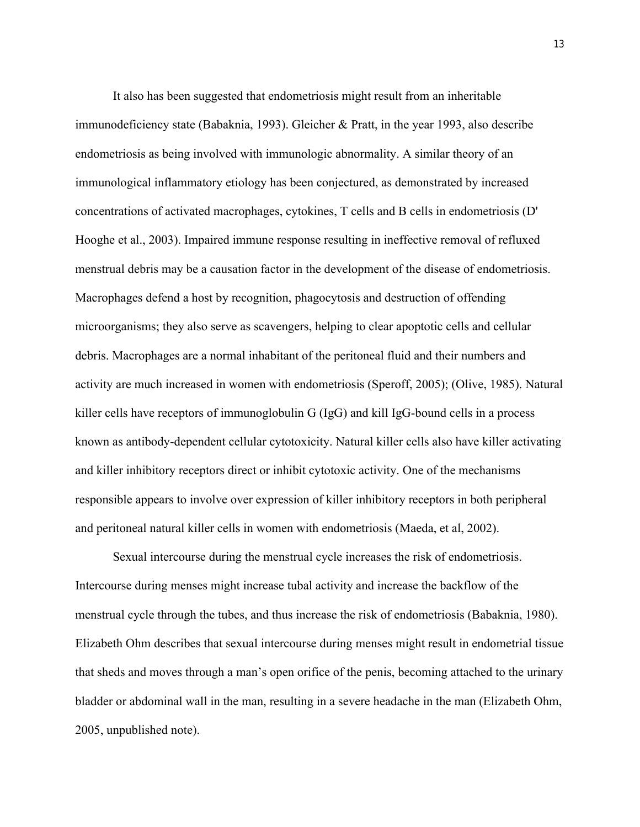It also has been suggested that endometriosis might result from an inheritable immunodeficiency state (Babaknia, 1993). Gleicher & Pratt, in the year 1993, also describe endometriosis as being involved with immunologic abnormality. A similar theory of an immunological inflammatory etiology has been conjectured, as demonstrated by increased concentrations of activated macrophages, cytokines, T cells and B cells in endometriosis (D' Hooghe et al., 2003). Impaired immune response resulting in ineffective removal of refluxed menstrual debris may be a causation factor in the development of the disease of endometriosis. Macrophages defend a host by recognition, phagocytosis and destruction of offending microorganisms; they also serve as scavengers, helping to clear apoptotic cells and cellular debris. Macrophages are a normal inhabitant of the peritoneal fluid and their numbers and activity are much increased in women with endometriosis (Speroff, 2005); (Olive, 1985). Natural killer cells have receptors of immunoglobulin G (IgG) and kill IgG-bound cells in a process known as antibody-dependent cellular cytotoxicity. Natural killer cells also have killer activating and killer inhibitory receptors direct or inhibit cytotoxic activity. One of the mechanisms responsible appears to involve over expression of killer inhibitory receptors in both peripheral and peritoneal natural killer cells in women with endometriosis (Maeda, et al, 2002).

Sexual intercourse during the menstrual cycle increases the risk of endometriosis. Intercourse during menses might increase tubal activity and increase the backflow of the menstrual cycle through the tubes, and thus increase the risk of endometriosis (Babaknia, 1980). Elizabeth Ohm describes that sexual intercourse during menses might result in endometrial tissue that sheds and moves through a man's open orifice of the penis, becoming attached to the urinary bladder or abdominal wall in the man, resulting in a severe headache in the man (Elizabeth Ohm, 2005, unpublished note).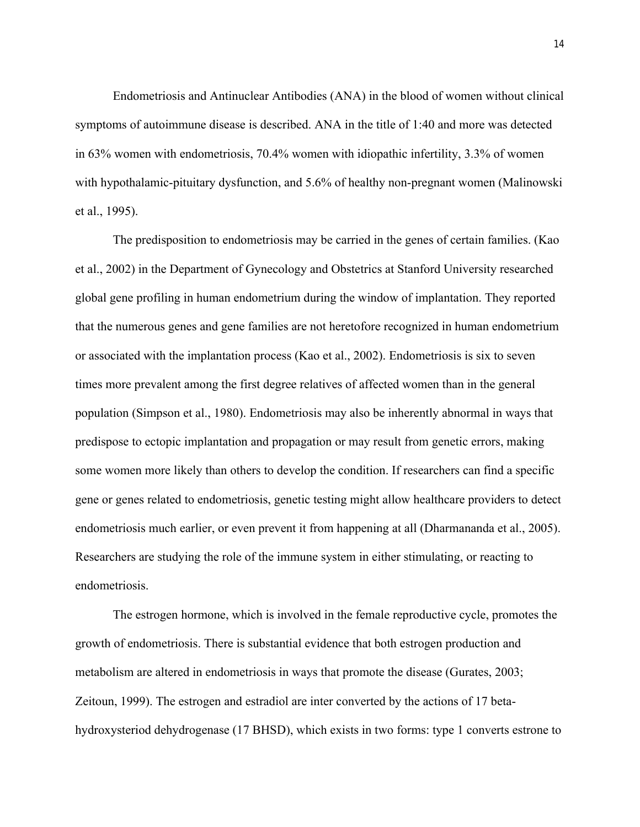Endometriosis and Antinuclear Antibodies (ANA) in the blood of women without clinical symptoms of autoimmune disease is described. ANA in the title of 1:40 and more was detected in 63% women with endometriosis, 70.4% women with idiopathic infertility, 3.3% of women with hypothalamic-pituitary dysfunction, and 5.6% of healthy non-pregnant women (Malinowski et al., 1995).

The predisposition to endometriosis may be carried in the genes of certain families. (Kao et al., 2002) in the Department of Gynecology and Obstetrics at Stanford University researched global gene profiling in human endometrium during the window of implantation. They reported that the numerous genes and gene families are not heretofore recognized in human endometrium or associated with the implantation process (Kao et al., 2002). Endometriosis is six to seven times more prevalent among the first degree relatives of affected women than in the general population (Simpson et al., 1980). Endometriosis may also be inherently abnormal in ways that predispose to ectopic implantation and propagation or may result from genetic errors, making some women more likely than others to develop the condition. If researchers can find a specific gene or genes related to endometriosis, genetic testing might allow healthcare providers to detect endometriosis much earlier, or even prevent it from happening at all (Dharmananda et al., 2005). Researchers are studying the role of the immune system in either stimulating, or reacting to endometriosis.

The estrogen hormone, which is involved in the female reproductive cycle, promotes the growth of endometriosis. There is substantial evidence that both estrogen production and metabolism are altered in endometriosis in ways that promote the disease (Gurates, 2003; Zeitoun, 1999). The estrogen and estradiol are inter converted by the actions of 17 betahydroxysteriod dehydrogenase (17 BHSD), which exists in two forms: type 1 converts estrone to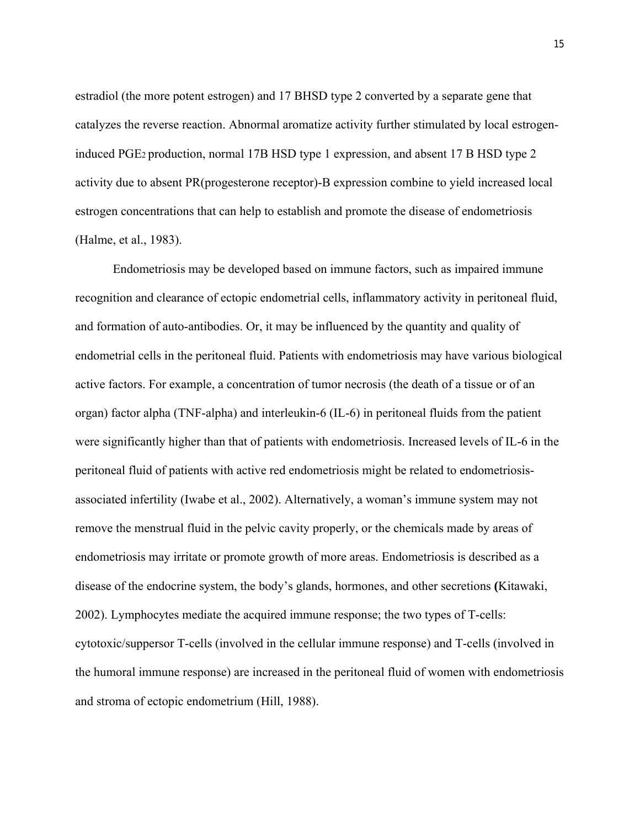estradiol (the more potent estrogen) and 17 BHSD type 2 converted by a separate gene that catalyzes the reverse reaction. Abnormal aromatize activity further stimulated by local estrogeninduced PGE2 production, normal 17B HSD type 1 expression, and absent 17 B HSD type 2 activity due to absent PR(progesterone receptor)-B expression combine to yield increased local estrogen concentrations that can help to establish and promote the disease of endometriosis (Halme, et al., 1983).

Endometriosis may be developed based on immune factors, such as impaired immune recognition and clearance of ectopic endometrial cells, inflammatory activity in peritoneal fluid, and formation of auto-antibodies. Or, it may be influenced by the quantity and quality of endometrial cells in the peritoneal fluid. Patients with endometriosis may have various biological active factors. For example, a concentration of tumor necrosis (the death of a tissue or of an organ) factor alpha (TNF-alpha) and interleukin-6 (IL-6) in peritoneal fluids from the patient were significantly higher than that of patients with endometriosis. Increased levels of IL-6 in the peritoneal fluid of patients with active red endometriosis might be related to endometriosisassociated infertility (Iwabe et al., 2002). Alternatively, a woman's immune system may not remove the menstrual fluid in the pelvic cavity properly, or the chemicals made by areas of endometriosis may irritate or promote growth of more areas. Endometriosis is described as a disease of the endocrine system, the body's glands, hormones, and other secretions **(**Kitawaki, 2002). Lymphocytes mediate the acquired immune response; the two types of T-cells: cytotoxic/suppersor T-cells (involved in the cellular immune response) and T-cells (involved in the humoral immune response) are increased in the peritoneal fluid of women with endometriosis and stroma of ectopic endometrium (Hill, 1988).

15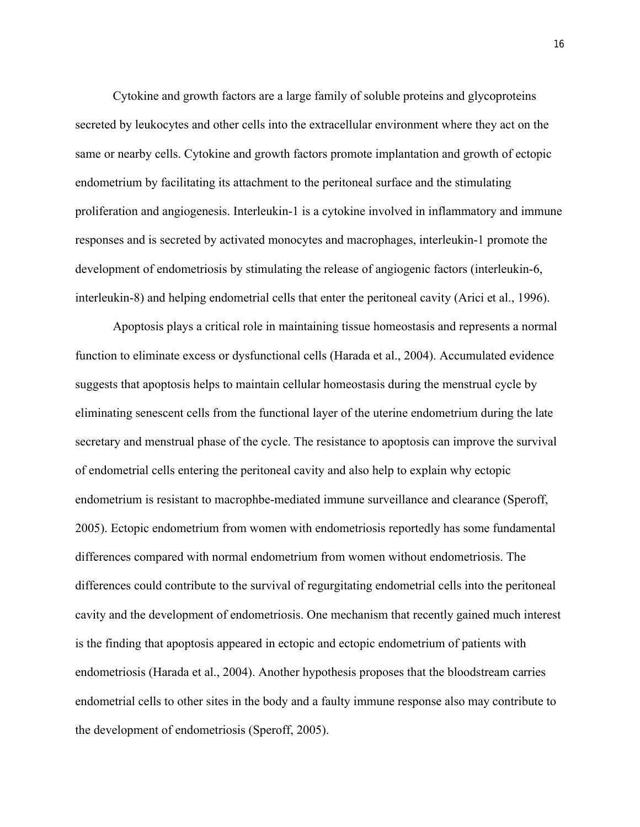Cytokine and growth factors are a large family of soluble proteins and glycoproteins secreted by leukocytes and other cells into the extracellular environment where they act on the same or nearby cells. Cytokine and growth factors promote implantation and growth of ectopic endometrium by facilitating its attachment to the peritoneal surface and the stimulating proliferation and angiogenesis. Interleukin-1 is a cytokine involved in inflammatory and immune responses and is secreted by activated monocytes and macrophages, interleukin-1 promote the development of endometriosis by stimulating the release of angiogenic factors (interleukin-6, interleukin-8) and helping endometrial cells that enter the peritoneal cavity (Arici et al., 1996).

Apoptosis plays a critical role in maintaining tissue homeostasis and represents a normal function to eliminate excess or dysfunctional cells (Harada et al., 2004). Accumulated evidence suggests that apoptosis helps to maintain cellular homeostasis during the menstrual cycle by eliminating senescent cells from the functional layer of the uterine endometrium during the late secretary and menstrual phase of the cycle. The resistance to apoptosis can improve the survival of endometrial cells entering the peritoneal cavity and also help to explain why ectopic endometrium is resistant to macrophbe-mediated immune surveillance and clearance (Speroff, 2005). Ectopic endometrium from women with endometriosis reportedly has some fundamental differences compared with normal endometrium from women without endometriosis. The differences could contribute to the survival of regurgitating endometrial cells into the peritoneal cavity and the development of endometriosis. One mechanism that recently gained much interest is the finding that apoptosis appeared in ectopic and ectopic endometrium of patients with endometriosis (Harada et al., 2004). Another hypothesis proposes that the bloodstream carries endometrial cells to other sites in the body and a faulty immune response also may contribute to the development of endometriosis (Speroff, 2005).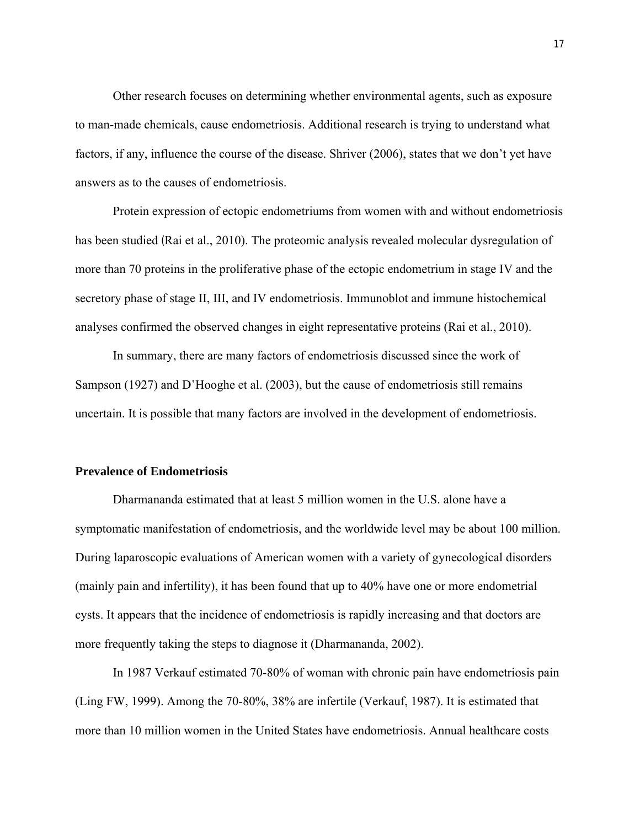Other research focuses on determining whether environmental agents, such as exposure to man-made chemicals, cause endometriosis. Additional research is trying to understand what factors, if any, influence the course of the disease. Shriver (2006), states that we don't yet have answers as to the causes of endometriosis.

Protein expression of ectopic endometriums from women with and without endometriosis has been studied (Rai et al., 2010). The proteomic analysis revealed molecular dysregulation of more than 70 proteins in the proliferative phase of the ectopic endometrium in stage IV and the secretory phase of stage II, III, and IV endometriosis. Immunoblot and immune histochemical analyses confirmed the observed changes in eight representative proteins (Rai et al., 2010).

In summary, there are many factors of endometriosis discussed since the work of Sampson (1927) and D'Hooghe et al. (2003), but the cause of endometriosis still remains uncertain. It is possible that many factors are involved in the development of endometriosis.

#### **Prevalence of Endometriosis**

Dharmananda estimated that at least 5 million women in the U.S. alone have a symptomatic manifestation of endometriosis, and the worldwide level may be about 100 million. During laparoscopic evaluations of American women with a variety of gynecological disorders (mainly pain and infertility), it has been found that up to 40% have one or more endometrial cysts. It appears that the incidence of endometriosis is rapidly increasing and that doctors are more frequently taking the steps to diagnose it (Dharmananda, 2002).

In 1987 Verkauf estimated 70-80% of woman with chronic pain have endometriosis pain (Ling FW, 1999). Among the 70-80%, 38% are infertile (Verkauf, 1987). It is estimated that more than 10 million women in the United States have endometriosis. Annual healthcare costs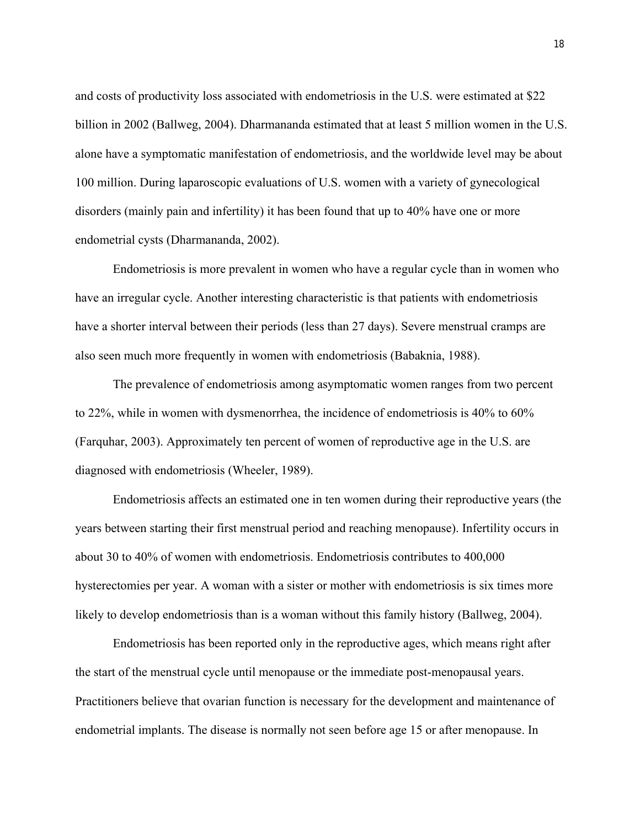and costs of productivity loss associated with endometriosis in the U.S. were estimated at \$22 billion in 2002 (Ballweg, 2004). Dharmananda estimated that at least 5 million women in the U.S. alone have a symptomatic manifestation of endometriosis, and the worldwide level may be about 100 million. During laparoscopic evaluations of U.S. women with a variety of gynecological disorders (mainly pain and infertility) it has been found that up to 40% have one or more endometrial cysts (Dharmananda, 2002).

Endometriosis is more prevalent in women who have a regular cycle than in women who have an irregular cycle. Another interesting characteristic is that patients with endometriosis have a shorter interval between their periods (less than 27 days). Severe menstrual cramps are also seen much more frequently in women with endometriosis (Babaknia, 1988).

The prevalence of endometriosis among asymptomatic women ranges from two percent to 22%, while in women with dysmenorrhea, the incidence of endometriosis is 40% to 60% (Farquhar, 2003). Approximately ten percent of women of reproductive age in the U.S. are diagnosed with endometriosis (Wheeler, 1989).

Endometriosis affects an estimated one in ten women during their reproductive years (the years between starting their first menstrual period and reaching menopause). Infertility occurs in about 30 to 40% of women with endometriosis. Endometriosis contributes to 400,000 hysterectomies per year. A woman with a sister or mother with endometriosis is six times more likely to develop endometriosis than is a woman without this family history (Ballweg, 2004).

Endometriosis has been reported only in the reproductive ages, which means right after the start of the menstrual cycle until menopause or the immediate post-menopausal years. Practitioners believe that ovarian function is necessary for the development and maintenance of endometrial implants. The disease is normally not seen before age 15 or after menopause. In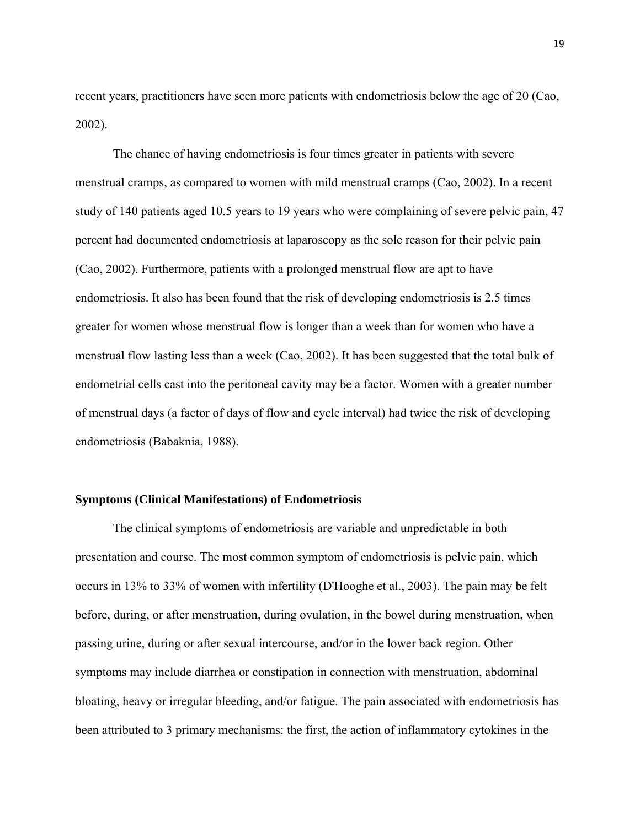recent years, practitioners have seen more patients with endometriosis below the age of 20 (Cao, 2002).

The chance of having endometriosis is four times greater in patients with severe menstrual cramps, as compared to women with mild menstrual cramps (Cao, 2002). In a recent study of 140 patients aged 10.5 years to 19 years who were complaining of severe pelvic pain, 47 percent had documented endometriosis at laparoscopy as the sole reason for their pelvic pain (Cao, 2002). Furthermore, patients with a prolonged menstrual flow are apt to have endometriosis. It also has been found that the risk of developing endometriosis is 2.5 times greater for women whose menstrual flow is longer than a week than for women who have a menstrual flow lasting less than a week (Cao, 2002). It has been suggested that the total bulk of endometrial cells cast into the peritoneal cavity may be a factor. Women with a greater number of menstrual days (a factor of days of flow and cycle interval) had twice the risk of developing endometriosis (Babaknia, 1988).

#### **Symptoms (Clinical Manifestations) of Endometriosis**

The clinical symptoms of endometriosis are variable and unpredictable in both presentation and course. The most common symptom of endometriosis is pelvic pain, which occurs in 13% to 33% of women with infertility (D'Hooghe et al., 2003). The pain may be felt before, during, or after menstruation, during ovulation, in the bowel during menstruation, when passing urine, during or after sexual intercourse, and/or in the lower back region. Other symptoms may include diarrhea or constipation in connection with menstruation, abdominal bloating, heavy or irregular bleeding, and/or fatigue. The pain associated with endometriosis has been attributed to 3 primary mechanisms: the first, the action of inflammatory cytokines in the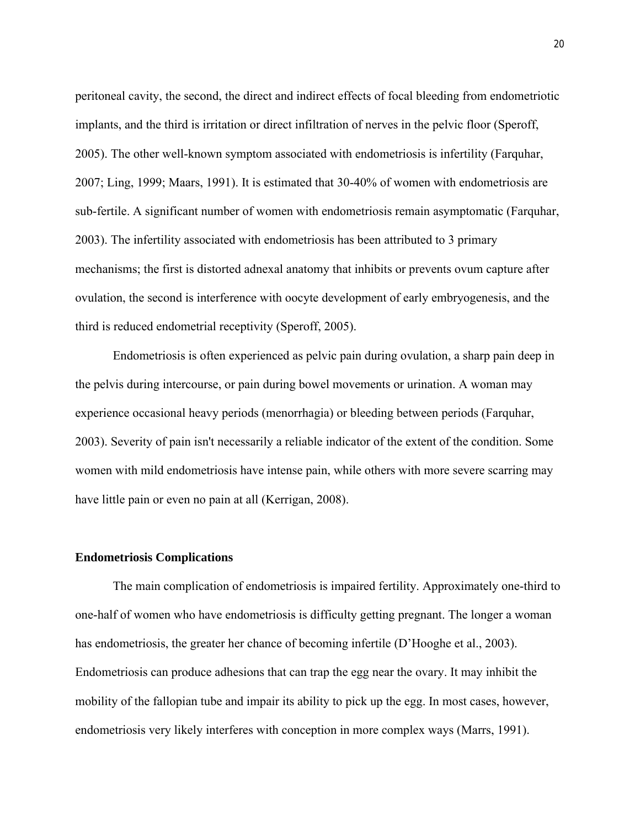peritoneal cavity, the second, the direct and indirect effects of focal bleeding from endometriotic implants, and the third is irritation or direct infiltration of nerves in the pelvic floor (Speroff, 2005). The other well-known symptom associated with endometriosis is infertility (Farquhar, 2007; Ling, 1999; Maars, 1991). It is estimated that 30-40% of women with endometriosis are sub-fertile. A significant number of women with endometriosis remain asymptomatic (Farquhar, 2003). The infertility associated with endometriosis has been attributed to 3 primary mechanisms; the first is distorted adnexal anatomy that inhibits or prevents ovum capture after ovulation, the second is interference with oocyte development of early embryogenesis, and the third is reduced endometrial receptivity (Speroff, 2005).

Endometriosis is often experienced as pelvic pain during ovulation, a sharp pain deep in the pelvis during intercourse, or pain during bowel movements or urination. A woman may experience occasional heavy periods (menorrhagia) or bleeding between periods (Farquhar, 2003). Severity of pain isn't necessarily a reliable indicator of the extent of the condition. Some women with mild endometriosis have intense pain, while others with more severe scarring may have little pain or even no pain at all (Kerrigan, 2008).

#### **Endometriosis Complications**

The main complication of endometriosis is impaired fertility. Approximately one-third to one-half of women who have endometriosis is difficulty getting pregnant. The longer a woman has endometriosis, the greater her chance of becoming infertile (D'Hooghe et al., 2003). Endometriosis can produce adhesions that can trap the egg near the ovary. It may inhibit the mobility of the fallopian tube and impair its ability to pick up the egg. In most cases, however, endometriosis very likely interferes with conception in more complex ways (Marrs, 1991).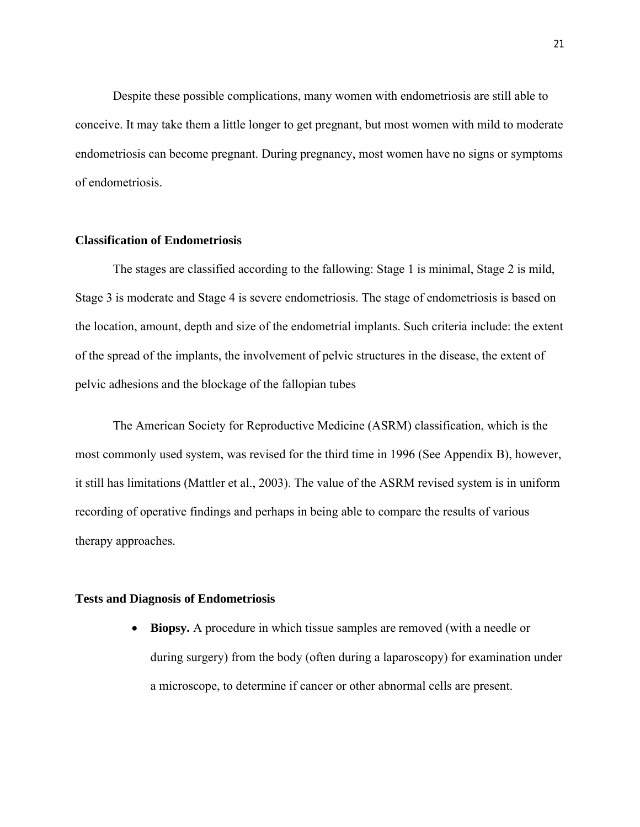Despite these possible complications, many women with endometriosis are still able to conceive. It may take them a little longer to get pregnant, but most women with mild to moderate endometriosis can become pregnant. During pregnancy, most women have no signs or symptoms of endometriosis.

#### **Classification of Endometriosis**

The stages are classified according to the fallowing: Stage 1 is minimal, Stage 2 is mild, Stage 3 is moderate and Stage 4 is severe endometriosis. The stage of endometriosis is based on the location, amount, depth and size of the endometrial implants. Such criteria include: the extent of the spread of the implants, the involvement of pelvic structures in the disease, the extent of pelvic adhesions and the blockage of the fallopian tubes

The American Society for Reproductive Medicine (ASRM) classification, which is the most commonly used system, was revised for the third time in 1996 (See Appendix B), however, it still has limitations (Mattler et al., 2003). The value of the ASRM revised system is in uniform recording of operative findings and perhaps in being able to compare the results of various therapy approaches.

#### **Tests and Diagnosis of Endometriosis**

 **Biopsy.** A procedure in which tissue samples are removed (with a needle or during surgery) from the body (often during a laparoscopy) for examination under a microscope, to determine if cancer or other abnormal cells are present.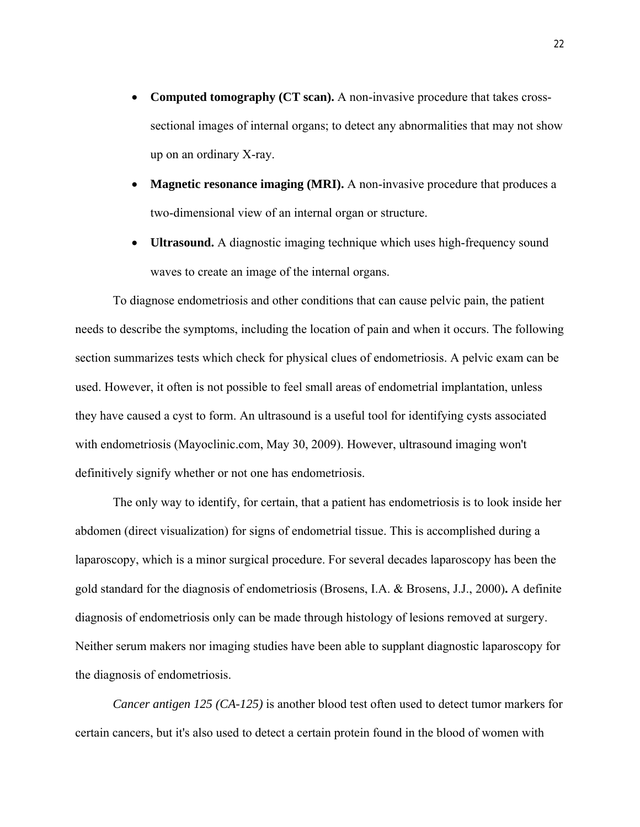- Computed tomography (CT scan). A non-invasive procedure that takes crosssectional images of internal organs; to detect any abnormalities that may not show up on an ordinary X-ray.
- **Magnetic resonance imaging (MRI).** A non-invasive procedure that produces a two-dimensional view of an internal organ or structure.
- **Ultrasound.** A diagnostic imaging technique which uses high-frequency sound waves to create an image of the internal organs.

To diagnose endometriosis and other conditions that can cause pelvic pain, the patient needs to describe the symptoms, including the location of pain and when it occurs. The following section summarizes tests which check for physical clues of endometriosis. A pelvic exam can be used. However, it often is not possible to feel small areas of endometrial implantation, unless they have caused a cyst to form. An ultrasound is a useful tool for identifying cysts associated with endometriosis (Mayoclinic.com, May 30, 2009). However, ultrasound imaging won't definitively signify whether or not one has endometriosis.

The only way to identify, for certain, that a patient has endometriosis is to look inside her abdomen (direct visualization) for signs of endometrial tissue. This is accomplished during a laparoscopy, which is a minor surgical procedure. For several decades laparoscopy has been the gold standard for the diagnosis of endometriosis (Brosens, I.A. & Brosens, J.J., 2000)**.** A definite diagnosis of endometriosis only can be made through histology of lesions removed at surgery. Neither serum makers nor imaging studies have been able to supplant diagnostic laparoscopy for the diagnosis of endometriosis.

*Cancer antigen 125 (CA-125)* is another blood test often used to detect tumor markers for certain cancers, but it's also used to detect a certain protein found in the blood of women with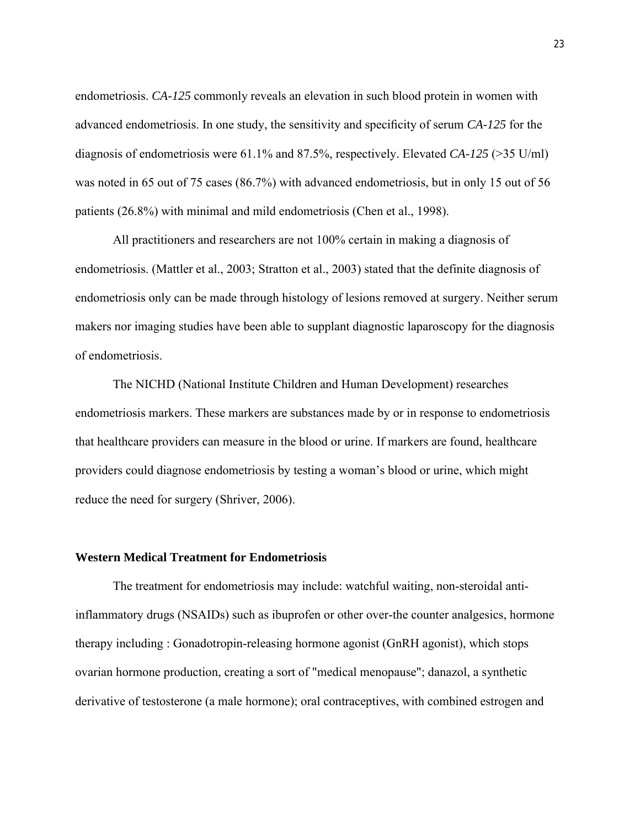endometriosis. *CA-125* commonly reveals an elevation in such blood protein in women with advanced endometriosis. In one study, the sensitivity and specificity of serum *CA-125* for the diagnosis of endometriosis were 61.1% and 87.5%, respectively. Elevated *CA-125* (>35 U/ml) was noted in 65 out of 75 cases (86.7%) with advanced endometriosis, but in only 15 out of 56 patients (26.8%) with minimal and mild endometriosis (Chen et al., 1998).

All practitioners and researchers are not 100% certain in making a diagnosis of endometriosis. (Mattler et al., 2003; Stratton et al., 2003) stated that the definite diagnosis of endometriosis only can be made through histology of lesions removed at surgery. Neither serum makers nor imaging studies have been able to supplant diagnostic laparoscopy for the diagnosis of endometriosis.

The NICHD (National Institute Children and Human Development) researches endometriosis markers. These markers are substances made by or in response to endometriosis that healthcare providers can measure in the blood or urine. If markers are found, healthcare providers could diagnose endometriosis by testing a woman's blood or urine, which might reduce the need for surgery (Shriver, 2006).

#### **Western Medical Treatment for Endometriosis**

The treatment for endometriosis may include: watchful waiting, non-steroidal antiinflammatory drugs (NSAIDs) such as ibuprofen or other over-the counter analgesics, hormone therapy including : Gonadotropin-releasing hormone agonist (GnRH agonist), which stops ovarian hormone production, creating a sort of "medical menopause"; danazol, a synthetic derivative of testosterone (a male hormone); oral contraceptives, with combined estrogen and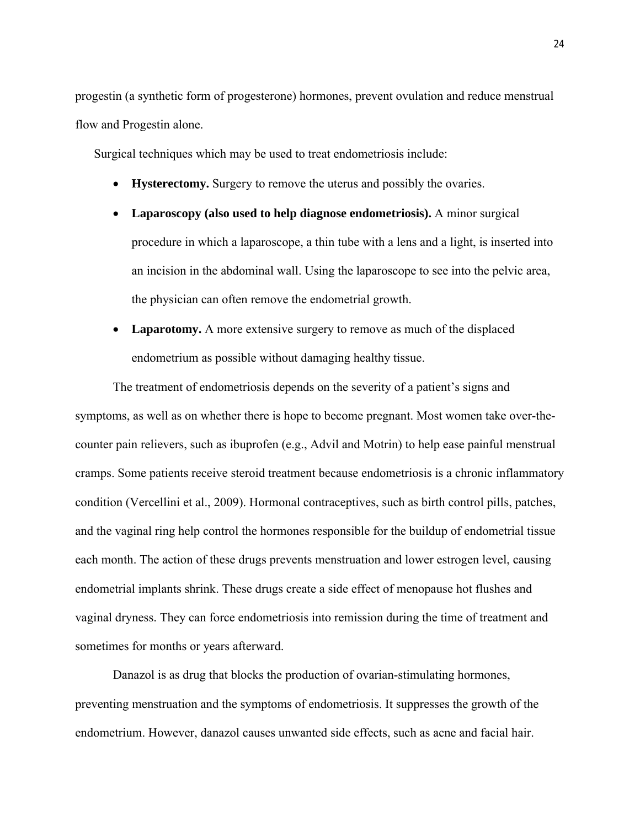progestin (a synthetic form of progesterone) hormones, prevent ovulation and reduce menstrual flow and Progestin alone.

Surgical techniques which may be used to treat endometriosis include:

- **Hysterectomy.** Surgery to remove the uterus and possibly the ovaries.
- **Laparoscopy (also used to help diagnose endometriosis).** A minor surgical procedure in which a laparoscope, a thin tube with a lens and a light, is inserted into an incision in the abdominal wall. Using the laparoscope to see into the pelvic area, the physician can often remove the endometrial growth.
- Laparotomy. A more extensive surgery to remove as much of the displaced endometrium as possible without damaging healthy tissue.

The treatment of endometriosis depends on the severity of a patient's signs and symptoms, as well as on whether there is hope to become pregnant. Most women take over-thecounter pain relievers, such as ibuprofen (e.g., Advil and Motrin) to help ease painful menstrual cramps. Some patients receive steroid treatment because endometriosis is a chronic inflammatory condition (Vercellini et al., 2009). Hormonal contraceptives, such as birth control pills, patches, and the vaginal ring help control the hormones responsible for the buildup of endometrial tissue each month. The action of these drugs prevents menstruation and lower estrogen level, causing endometrial implants shrink. These drugs create a side effect of menopause hot flushes and vaginal dryness. They can force endometriosis into remission during the time of treatment and sometimes for months or years afterward.

Danazol is as drug that blocks the production of ovarian-stimulating hormones, preventing menstruation and the symptoms of endometriosis. It suppresses the growth of the endometrium. However, danazol causes unwanted side effects, such as acne and facial hair.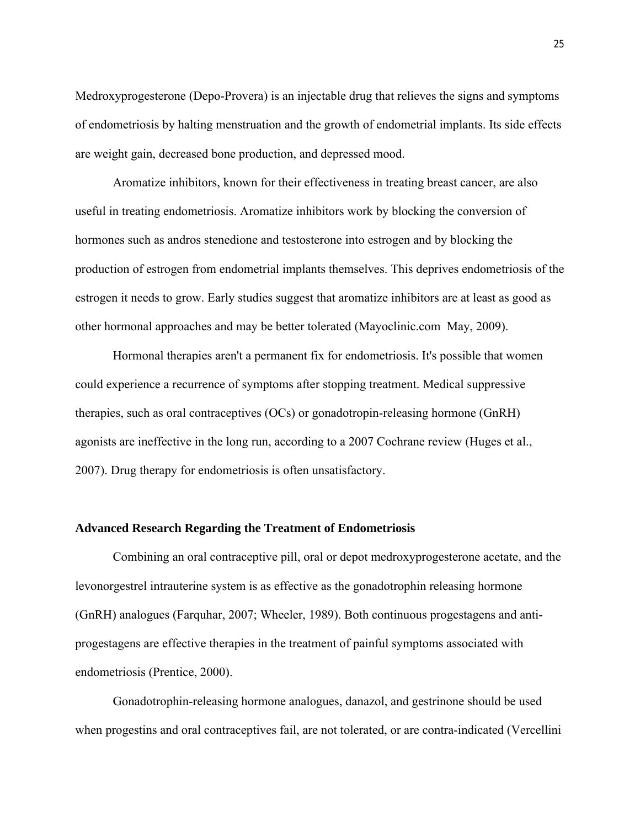Medroxyprogesterone (Depo-Provera) is an injectable drug that relieves the signs and symptoms of endometriosis by halting menstruation and the growth of endometrial implants. Its side effects are weight gain, decreased bone production, and depressed mood.

Aromatize inhibitors, known for their effectiveness in treating breast cancer, are also useful in treating endometriosis. Aromatize inhibitors work by blocking the conversion of hormones such as andros stenedione and testosterone into estrogen and by blocking the production of estrogen from endometrial implants themselves. This deprives endometriosis of the estrogen it needs to grow. Early studies suggest that aromatize inhibitors are at least as good as other hormonal approaches and may be better tolerated (Mayoclinic.com May, 2009).

Hormonal therapies aren't a permanent fix for endometriosis. It's possible that women could experience a recurrence of symptoms after stopping treatment. Medical suppressive therapies, such as oral contraceptives (OCs) or gonadotropin-releasing hormone (GnRH) agonists are ineffective in the long run, according to a 2007 Cochrane review (Huges et al., 2007). Drug therapy for endometriosis is often unsatisfactory.

### **Advanced Research Regarding the Treatment of Endometriosis**

Combining an oral contraceptive pill, oral or depot medroxyprogesterone acetate, and the levonorgestrel intrauterine system is as effective as the gonadotrophin releasing hormone (GnRH) analogues (Farquhar, 2007; Wheeler, 1989). Both continuous progestagens and antiprogestagens are effective therapies in the treatment of painful symptoms associated with endometriosis (Prentice, 2000).

Gonadotrophin-releasing hormone analogues, danazol, and gestrinone should be used when progestins and oral contraceptives fail, are not tolerated, or are contra-indicated (Vercellini)

25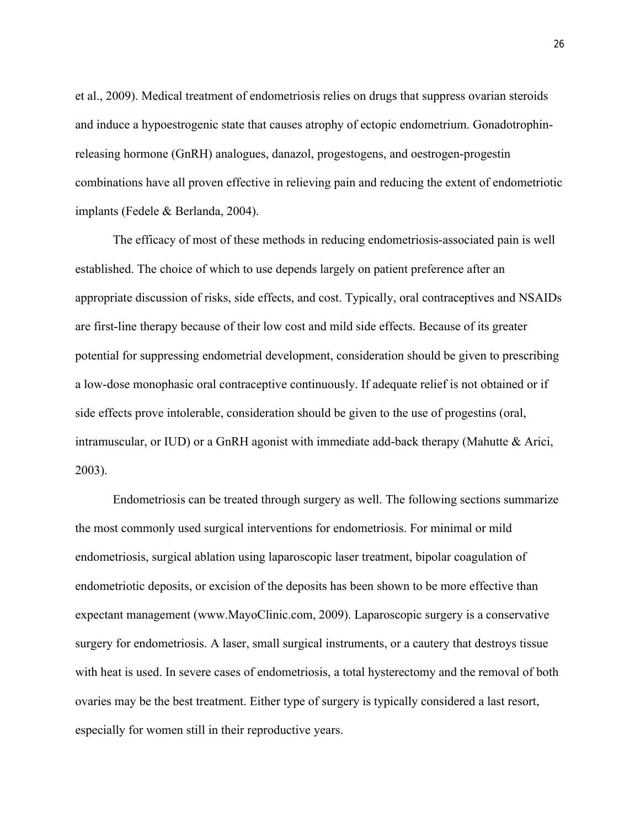et al., 2009). Medical treatment of endometriosis relies on drugs that suppress ovarian steroids and induce a hypoestrogenic state that causes atrophy of ectopic endometrium. Gonadotrophinreleasing hormone (GnRH) analogues, danazol, progestogens, and oestrogen-progestin combinations have all proven effective in relieving pain and reducing the extent of endometriotic implants (Fedele & Berlanda, 2004).

The efficacy of most of these methods in reducing endometriosis-associated pain is well established. The choice of which to use depends largely on patient preference after an appropriate discussion of risks, side effects, and cost. Typically, oral contraceptives and NSAIDs are first-line therapy because of their low cost and mild side effects. Because of its greater potential for suppressing endometrial development, consideration should be given to prescribing a low-dose monophasic oral contraceptive continuously. If adequate relief is not obtained or if side effects prove intolerable, consideration should be given to the use of progestins (oral, intramuscular, or IUD) or a GnRH agonist with immediate add-back therapy (Mahutte & Arici, 2003).

Endometriosis can be treated through surgery as well. The following sections summarize the most commonly used surgical interventions for endometriosis. For minimal or mild endometriosis, surgical ablation using laparoscopic laser treatment, bipolar coagulation of endometriotic deposits, or excision of the deposits has been shown to be more effective than expectant management (www.MayoClinic.com, 2009). Laparoscopic surgery is a conservative surgery for endometriosis. A laser, small surgical instruments, or a cautery that destroys tissue with heat is used. In severe cases of endometriosis, a total hysterectomy and the removal of both ovaries may be the best treatment. Either type of surgery is typically considered a last resort, especially for women still in their reproductive years.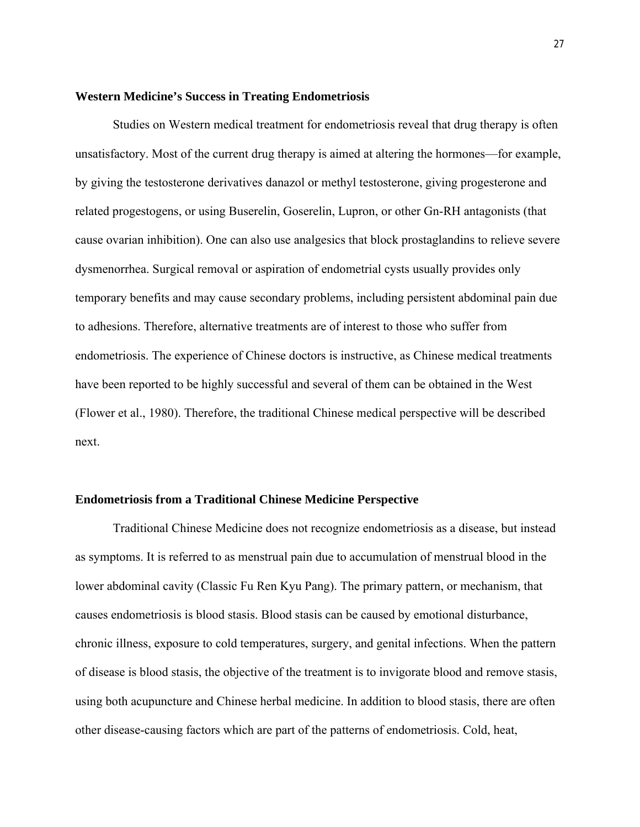#### **Western Medicine's Success in Treating Endometriosis**

Studies on Western medical treatment for endometriosis reveal that drug therapy is often unsatisfactory. Most of the current drug therapy is aimed at altering the hormones—for example, by giving the testosterone derivatives danazol or methyl testosterone, giving progesterone and related progestogens, or using Buserelin, Goserelin, Lupron, or other Gn-RH antagonists (that cause ovarian inhibition). One can also use analgesics that block prostaglandins to relieve severe dysmenorrhea. Surgical removal or aspiration of endometrial cysts usually provides only temporary benefits and may cause secondary problems, including persistent abdominal pain due to adhesions. Therefore, alternative treatments are of interest to those who suffer from endometriosis. The experience of Chinese doctors is instructive, as Chinese medical treatments have been reported to be highly successful and several of them can be obtained in the West (Flower et al., 1980). Therefore, the traditional Chinese medical perspective will be described next.

#### **Endometriosis from a Traditional Chinese Medicine Perspective**

Traditional Chinese Medicine does not recognize endometriosis as a disease, but instead as symptoms. It is referred to as menstrual pain due to accumulation of menstrual blood in the lower abdominal cavity (Classic Fu Ren Kyu Pang). The primary pattern, or mechanism, that causes endometriosis is blood stasis. Blood stasis can be caused by emotional disturbance, chronic illness, exposure to cold temperatures, surgery, and genital infections. When the pattern of disease is blood stasis, the objective of the treatment is to invigorate blood and remove stasis, using both acupuncture and Chinese herbal medicine. In addition to blood stasis, there are often other disease-causing factors which are part of the patterns of endometriosis. Cold, heat,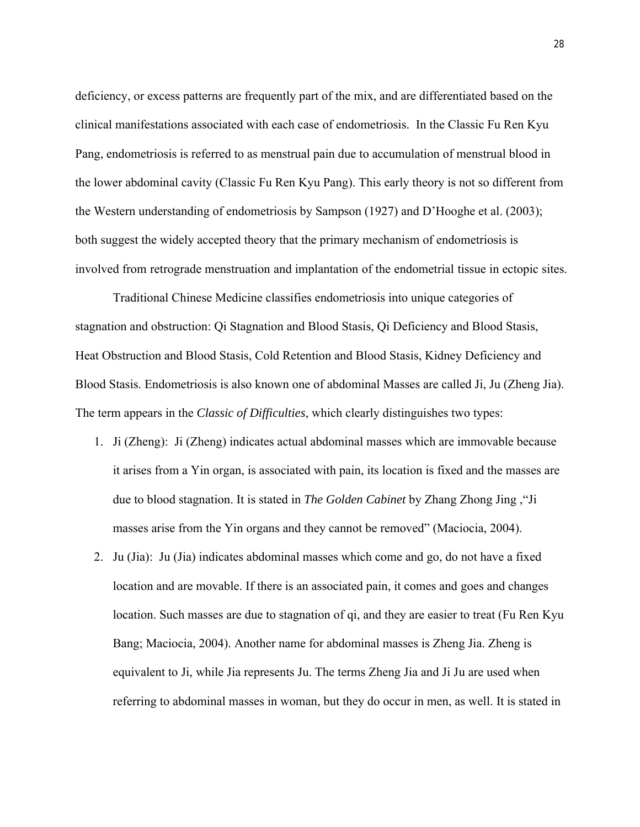deficiency, or excess patterns are frequently part of the mix, and are differentiated based on the clinical manifestations associated with each case of endometriosis. In the Classic Fu Ren Kyu Pang, endometriosis is referred to as menstrual pain due to accumulation of menstrual blood in the lower abdominal cavity (Classic Fu Ren Kyu Pang). This early theory is not so different from the Western understanding of endometriosis by Sampson (1927) and D'Hooghe et al. (2003); both suggest the widely accepted theory that the primary mechanism of endometriosis is involved from retrograde menstruation and implantation of the endometrial tissue in ectopic sites.

Traditional Chinese Medicine classifies endometriosis into unique categories of stagnation and obstruction: Qi Stagnation and Blood Stasis, Qi Deficiency and Blood Stasis, Heat Obstruction and Blood Stasis, Cold Retention and Blood Stasis, Kidney Deficiency and Blood Stasis. Endometriosis is also known one of abdominal Masses are called Ji, Ju (Zheng Jia). The term appears in the *Classic of Difficulties*, which clearly distinguishes two types:

- 1. Ji (Zheng): Ji (Zheng) indicates actual abdominal masses which are immovable because it arises from a Yin organ, is associated with pain, its location is fixed and the masses are due to blood stagnation. It is stated in *The Golden Cabinet* by Zhang Zhong Jing ,"Ji masses arise from the Yin organs and they cannot be removed" (Maciocia, 2004).
- 2. Ju (Jia): Ju (Jia) indicates abdominal masses which come and go, do not have a fixed location and are movable. If there is an associated pain, it comes and goes and changes location. Such masses are due to stagnation of qi, and they are easier to treat (Fu Ren Kyu Bang; Maciocia, 2004). Another name for abdominal masses is Zheng Jia. Zheng is equivalent to Ji, while Jia represents Ju. The terms Zheng Jia and Ji Ju are used when referring to abdominal masses in woman, but they do occur in men, as well. It is stated in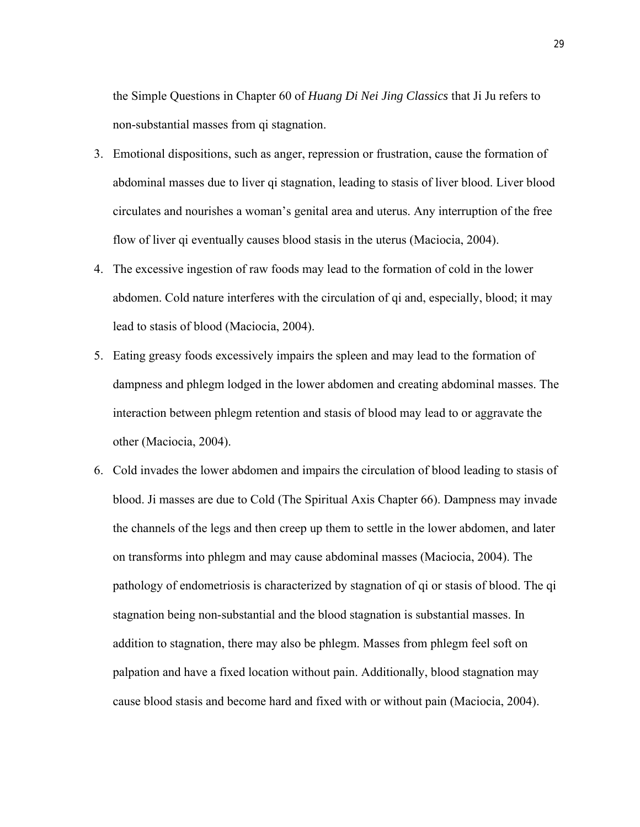the Simple Questions in Chapter 60 of *Huang Di Nei Jing Classics* that Ji Ju refers to non-substantial masses from qi stagnation.

- 3. Emotional dispositions, such as anger, repression or frustration, cause the formation of abdominal masses due to liver qi stagnation, leading to stasis of liver blood. Liver blood circulates and nourishes a woman's genital area and uterus. Any interruption of the free flow of liver qi eventually causes blood stasis in the uterus (Maciocia, 2004).
- 4. The excessive ingestion of raw foods may lead to the formation of cold in the lower abdomen. Cold nature interferes with the circulation of qi and, especially, blood; it may lead to stasis of blood (Maciocia, 2004).
- 5. Eating greasy foods excessively impairs the spleen and may lead to the formation of dampness and phlegm lodged in the lower abdomen and creating abdominal masses. The interaction between phlegm retention and stasis of blood may lead to or aggravate the other (Maciocia, 2004).
- 6. Cold invades the lower abdomen and impairs the circulation of blood leading to stasis of blood. Ji masses are due to Cold (The Spiritual Axis Chapter 66). Dampness may invade the channels of the legs and then creep up them to settle in the lower abdomen, and later on transforms into phlegm and may cause abdominal masses (Maciocia, 2004). The pathology of endometriosis is characterized by stagnation of qi or stasis of blood. The qi stagnation being non-substantial and the blood stagnation is substantial masses. In addition to stagnation, there may also be phlegm. Masses from phlegm feel soft on palpation and have a fixed location without pain. Additionally, blood stagnation may cause blood stasis and become hard and fixed with or without pain (Maciocia, 2004).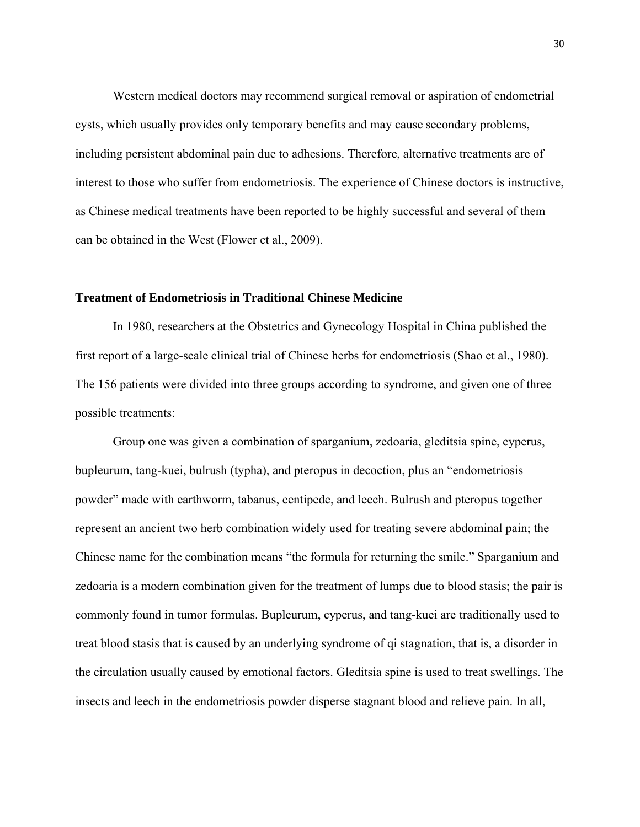Western medical doctors may recommend surgical removal or aspiration of endometrial cysts, which usually provides only temporary benefits and may cause secondary problems, including persistent abdominal pain due to adhesions. Therefore, alternative treatments are of interest to those who suffer from endometriosis. The experience of Chinese doctors is instructive, as Chinese medical treatments have been reported to be highly successful and several of them can be obtained in the West (Flower et al., 2009).

#### **Treatment of Endometriosis in Traditional Chinese Medicine**

In 1980, researchers at the Obstetrics and Gynecology Hospital in China published the first report of a large-scale clinical trial of Chinese herbs for endometriosis (Shao et al., 1980). The 156 patients were divided into three groups according to syndrome, and given one of three possible treatments:

Group one was given a combination of sparganium, zedoaria, gleditsia spine, cyperus, bupleurum, tang-kuei, bulrush (typha), and pteropus in decoction, plus an "endometriosis powder" made with earthworm, tabanus, centipede, and leech. Bulrush and pteropus together represent an ancient two herb combination widely used for treating severe abdominal pain; the Chinese name for the combination means "the formula for returning the smile." Sparganium and zedoaria is a modern combination given for the treatment of lumps due to blood stasis; the pair is commonly found in tumor formulas. Bupleurum, cyperus, and tang-kuei are traditionally used to treat blood stasis that is caused by an underlying syndrome of qi stagnation, that is, a disorder in the circulation usually caused by emotional factors. Gleditsia spine is used to treat swellings. The insects and leech in the endometriosis powder disperse stagnant blood and relieve pain. In all,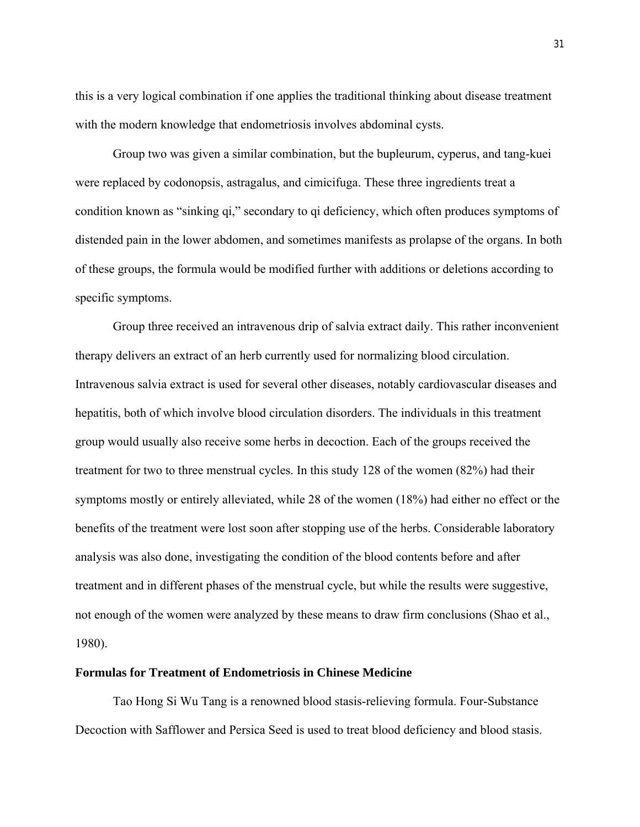this is a very logical combination if one applies the traditional thinking about disease treatment with the modern knowledge that endometriosis involves abdominal cysts.

Group two was given a similar combination, but the bupleurum, cyperus, and tang-kuei were replaced by codonopsis, astragalus, and cimicifuga. These three ingredients treat a condition known as "sinking qi," secondary to qi deficiency, which often produces symptoms of distended pain in the lower abdomen, and sometimes manifests as prolapse of the organs. In both of these groups, the formula would be modified further with additions or deletions according to specific symptoms.

Group three received an intravenous drip of salvia extract daily. This rather inconvenient therapy delivers an extract of an herb currently used for normalizing blood circulation. Intravenous salvia extract is used for several other diseases, notably cardiovascular diseases and hepatitis, both of which involve blood circulation disorders. The individuals in this treatment group would usually also receive some herbs in decoction. Each of the groups received the treatment for two to three menstrual cycles. In this study 128 of the women (82%) had their symptoms mostly or entirely alleviated, while 28 of the women (18%) had either no effect or the benefits of the treatment were lost soon after stopping use of the herbs. Considerable laboratory analysis was also done, investigating the condition of the blood contents before and after treatment and in different phases of the menstrual cycle, but while the results were suggestive, not enough of the women were analyzed by these means to draw firm conclusions (Shao et al., 1980).

#### **Formulas for Treatment of Endometriosis in Chinese Medicine**

Tao Hong Si Wu Tang is a renowned blood stasis-relieving formula. Four-Substance Decoction with Safflower and Persica Seed is used to treat blood deficiency and blood stasis.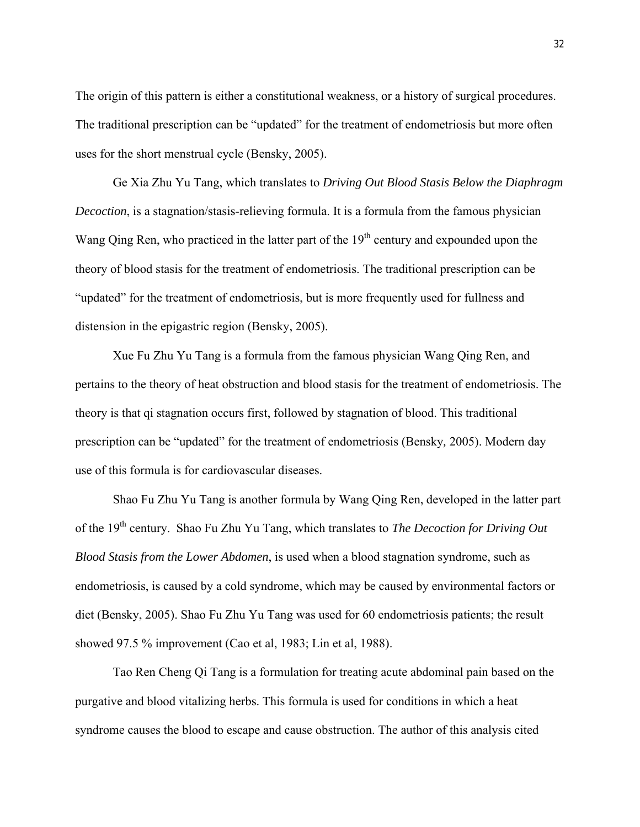The origin of this pattern is either a constitutional weakness, or a history of surgical procedures. The traditional prescription can be "updated" for the treatment of endometriosis but more often uses for the short menstrual cycle (Bensky, 2005).

Ge Xia Zhu Yu Tang, which translates to *Driving Out Blood Stasis Below the Diaphragm Decoction*, is a stagnation/stasis-relieving formula. It is a formula from the famous physician Wang Qing Ren, who practiced in the latter part of the  $19<sup>th</sup>$  century and expounded upon the theory of blood stasis for the treatment of endometriosis. The traditional prescription can be "updated" for the treatment of endometriosis, but is more frequently used for fullness and distension in the epigastric region (Bensky, 2005).

Xue Fu Zhu Yu Tang is a formula from the famous physician Wang Qing Ren, and pertains to the theory of heat obstruction and blood stasis for the treatment of endometriosis. The theory is that qi stagnation occurs first, followed by stagnation of blood. This traditional prescription can be "updated" for the treatment of endometriosis (Bensky*,* 2005). Modern day use of this formula is for cardiovascular diseases.

Shao Fu Zhu Yu Tang is another formula by Wang Qing Ren, developed in the latter part of the 19th century. Shao Fu Zhu Yu Tang, which translates to *The Decoction for Driving Out Blood Stasis from the Lower Abdomen*, is used when a blood stagnation syndrome, such as endometriosis, is caused by a cold syndrome, which may be caused by environmental factors or diet (Bensky, 2005). Shao Fu Zhu Yu Tang was used for 60 endometriosis patients; the result showed 97.5 % improvement (Cao et al, 1983; Lin et al, 1988).

Tao Ren Cheng Qi Tang is a formulation for treating acute abdominal pain based on the purgative and blood vitalizing herbs. This formula is used for conditions in which a heat syndrome causes the blood to escape and cause obstruction. The author of this analysis cited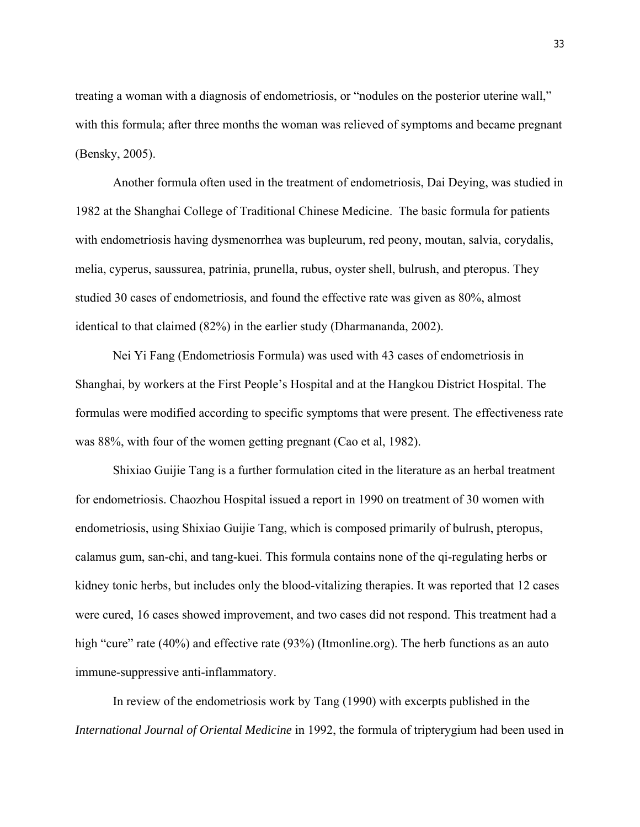treating a woman with a diagnosis of endometriosis, or "nodules on the posterior uterine wall," with this formula; after three months the woman was relieved of symptoms and became pregnant (Bensky, 2005).

Another formula often used in the treatment of endometriosis, Dai Deying, was studied in 1982 at the Shanghai College of Traditional Chinese Medicine. The basic formula for patients with endometriosis having dysmenorrhea was bupleurum, red peony, moutan, salvia, corydalis, melia, cyperus, saussurea, patrinia, prunella, rubus, oyster shell, bulrush, and pteropus. They studied 30 cases of endometriosis, and found the effective rate was given as 80%, almost identical to that claimed (82%) in the earlier study (Dharmananda, 2002).

Nei Yi Fang (Endometriosis Formula) was used with 43 cases of endometriosis in Shanghai, by workers at the First People's Hospital and at the Hangkou District Hospital. The formulas were modified according to specific symptoms that were present. The effectiveness rate was 88%, with four of the women getting pregnant (Cao et al, 1982).

Shixiao Guijie Tang is a further formulation cited in the literature as an herbal treatment for endometriosis. Chaozhou Hospital issued a report in 1990 on treatment of 30 women with endometriosis, using Shixiao Guijie Tang, which is composed primarily of bulrush, pteropus, calamus gum, san-chi, and tang-kuei. This formula contains none of the qi-regulating herbs or kidney tonic herbs, but includes only the blood-vitalizing therapies. It was reported that 12 cases were cured, 16 cases showed improvement, and two cases did not respond. This treatment had a high "cure" rate (40%) and effective rate (93%) (Itmonline.org). The herb functions as an auto immune-suppressive anti-inflammatory.

In review of the endometriosis work by Tang (1990) with excerpts published in the *International Journal of Oriental Medicine* in 1992, the formula of tripterygium had been used in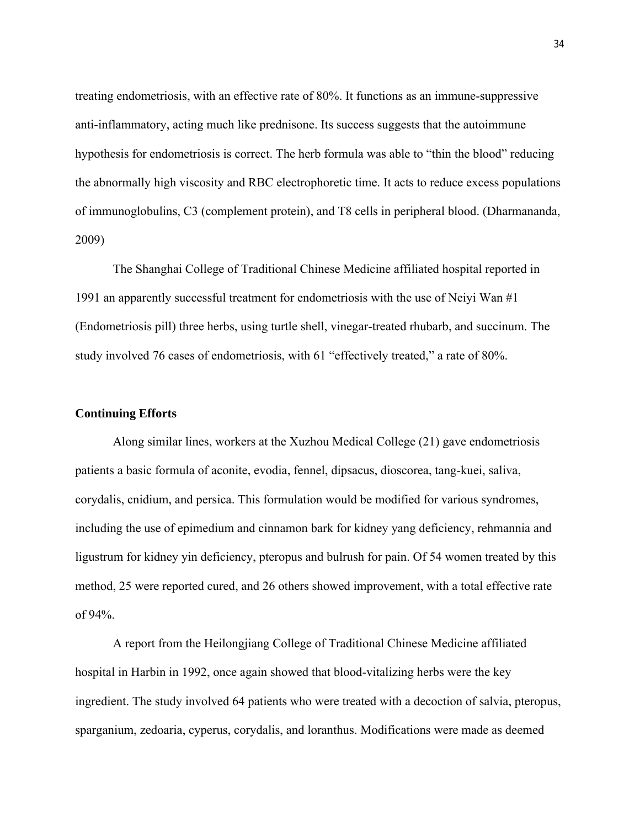treating endometriosis, with an effective rate of 80%. It functions as an immune-suppressive anti-inflammatory, acting much like prednisone. Its success suggests that the autoimmune hypothesis for endometriosis is correct. The herb formula was able to "thin the blood" reducing the abnormally high viscosity and RBC electrophoretic time. It acts to reduce excess populations of immunoglobulins, C3 (complement protein), and T8 cells in peripheral blood. (Dharmananda, 2009)

The Shanghai College of Traditional Chinese Medicine affiliated hospital reported in 1991 an apparently successful treatment for endometriosis with the use of Neiyi Wan #1 (Endometriosis pill) three herbs, using turtle shell, vinegar-treated rhubarb, and succinum. The study involved 76 cases of endometriosis, with 61 "effectively treated," a rate of 80%.

#### **Continuing Efforts**

Along similar lines, workers at the Xuzhou Medical College (21) gave endometriosis patients a basic formula of aconite, evodia, fennel, dipsacus, dioscorea, tang-kuei, saliva, corydalis, cnidium, and persica. This formulation would be modified for various syndromes, including the use of epimedium and cinnamon bark for kidney yang deficiency, rehmannia and ligustrum for kidney yin deficiency, pteropus and bulrush for pain. Of 54 women treated by this method, 25 were reported cured, and 26 others showed improvement, with a total effective rate of 94%.

A report from the Heilongjiang College of Traditional Chinese Medicine affiliated hospital in Harbin in 1992, once again showed that blood-vitalizing herbs were the key ingredient. The study involved 64 patients who were treated with a decoction of salvia, pteropus, sparganium, zedoaria, cyperus, corydalis, and loranthus. Modifications were made as deemed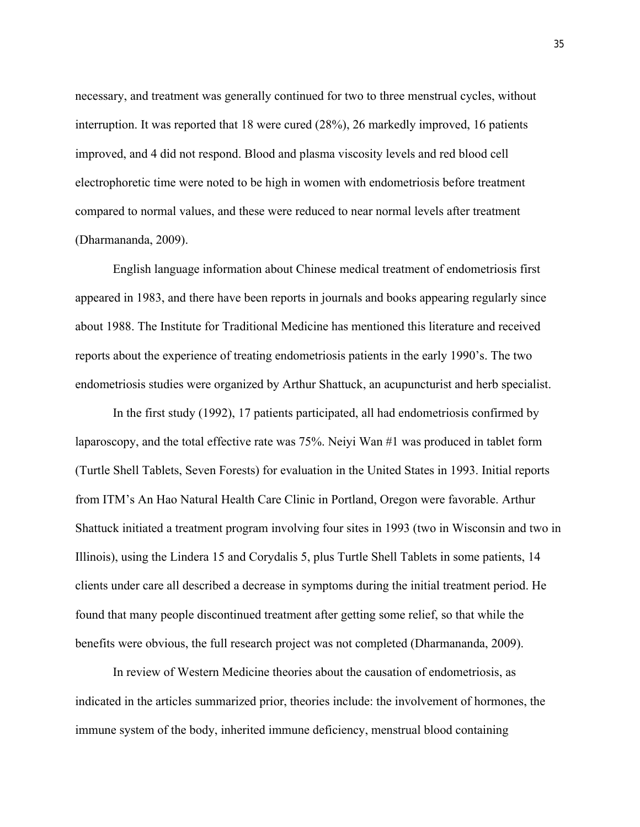necessary, and treatment was generally continued for two to three menstrual cycles, without interruption. It was reported that 18 were cured (28%), 26 markedly improved, 16 patients improved, and 4 did not respond. Blood and plasma viscosity levels and red blood cell electrophoretic time were noted to be high in women with endometriosis before treatment compared to normal values, and these were reduced to near normal levels after treatment (Dharmananda, 2009).

English language information about Chinese medical treatment of endometriosis first appeared in 1983, and there have been reports in journals and books appearing regularly since about 1988. The Institute for Traditional Medicine has mentioned this literature and received reports about the experience of treating endometriosis patients in the early 1990's. The two endometriosis studies were organized by Arthur Shattuck, an acupuncturist and herb specialist.

In the first study (1992), 17 patients participated, all had endometriosis confirmed by laparoscopy, and the total effective rate was 75%. Neiyi Wan #1 was produced in tablet form (Turtle Shell Tablets, Seven Forests) for evaluation in the United States in 1993. Initial reports from ITM's An Hao Natural Health Care Clinic in Portland, Oregon were favorable. Arthur Shattuck initiated a treatment program involving four sites in 1993 (two in Wisconsin and two in Illinois), using the Lindera 15 and Corydalis 5, plus Turtle Shell Tablets in some patients, 14 clients under care all described a decrease in symptoms during the initial treatment period. He found that many people discontinued treatment after getting some relief, so that while the benefits were obvious, the full research project was not completed (Dharmananda, 2009).

In review of Western Medicine theories about the causation of endometriosis, as indicated in the articles summarized prior, theories include: the involvement of hormones, the immune system of the body, inherited immune deficiency, menstrual blood containing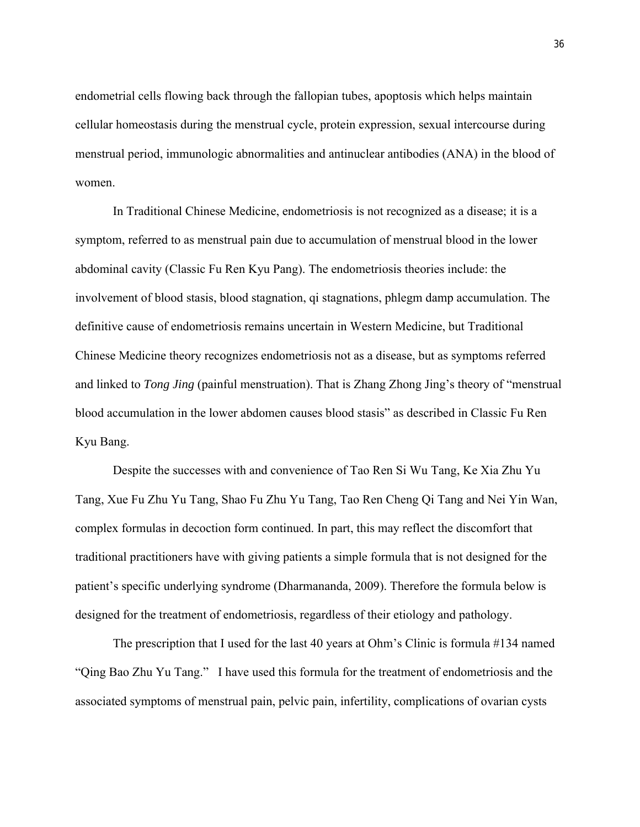endometrial cells flowing back through the fallopian tubes, apoptosis which helps maintain cellular homeostasis during the menstrual cycle, protein expression, sexual intercourse during menstrual period, immunologic abnormalities and antinuclear antibodies (ANA) in the blood of women.

In Traditional Chinese Medicine, endometriosis is not recognized as a disease; it is a symptom, referred to as menstrual pain due to accumulation of menstrual blood in the lower abdominal cavity (Classic Fu Ren Kyu Pang). The endometriosis theories include: the involvement of blood stasis, blood stagnation, qi stagnations, phlegm damp accumulation. The definitive cause of endometriosis remains uncertain in Western Medicine, but Traditional Chinese Medicine theory recognizes endometriosis not as a disease, but as symptoms referred and linked to *Tong Jing* (painful menstruation). That is Zhang Zhong Jing's theory of "menstrual blood accumulation in the lower abdomen causes blood stasis" as described in Classic Fu Ren Kyu Bang.

Despite the successes with and convenience of Tao Ren Si Wu Tang, Ke Xia Zhu Yu Tang, Xue Fu Zhu Yu Tang, Shao Fu Zhu Yu Tang, Tao Ren Cheng Qi Tang and Nei Yin Wan, complex formulas in decoction form continued. In part, this may reflect the discomfort that traditional practitioners have with giving patients a simple formula that is not designed for the patient's specific underlying syndrome (Dharmananda, 2009). Therefore the formula below is designed for the treatment of endometriosis, regardless of their etiology and pathology.

The prescription that I used for the last 40 years at Ohm's Clinic is formula #134 named "Qing Bao Zhu Yu Tang." I have used this formula for the treatment of endometriosis and the associated symptoms of menstrual pain, pelvic pain, infertility, complications of ovarian cysts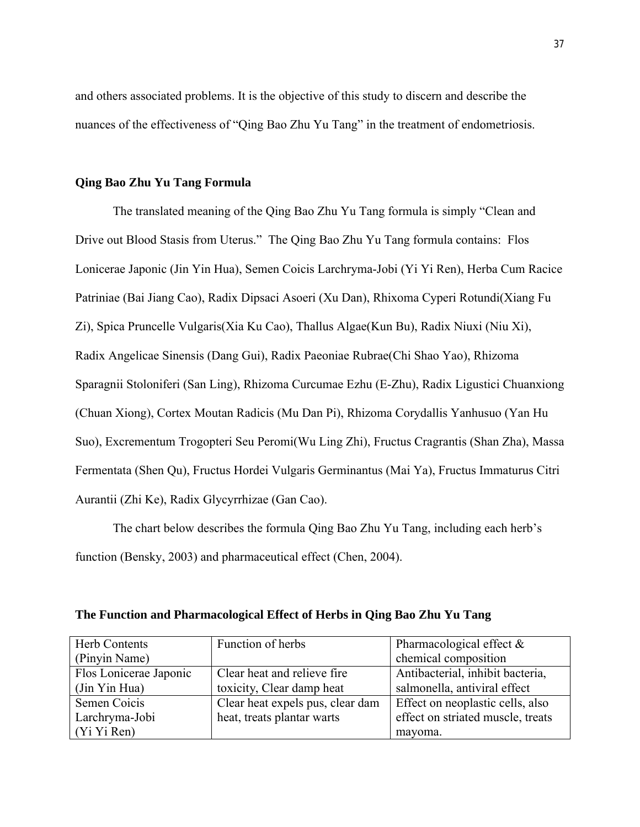and others associated problems. It is the objective of this study to discern and describe the nuances of the effectiveness of "Qing Bao Zhu Yu Tang" in the treatment of endometriosis.

# **Qing Bao Zhu Yu Tang Formula**

The translated meaning of the Qing Bao Zhu Yu Tang formula is simply "Clean and Drive out Blood Stasis from Uterus." The Qing Bao Zhu Yu Tang formula contains: Flos Lonicerae Japonic (Jin Yin Hua), Semen Coicis Larchryma-Jobi (Yi Yi Ren), Herba Cum Racice Patriniae (Bai Jiang Cao), Radix Dipsaci Asoeri (Xu Dan), Rhixoma Cyperi Rotundi(Xiang Fu Zi), Spica Pruncelle Vulgaris(Xia Ku Cao), Thallus Algae(Kun Bu), Radix Niuxi (Niu Xi), Radix Angelicae Sinensis (Dang Gui), Radix Paeoniae Rubrae(Chi Shao Yao), Rhizoma Sparagnii Stoloniferi (San Ling), Rhizoma Curcumae Ezhu (E-Zhu), Radix Ligustici Chuanxiong (Chuan Xiong), Cortex Moutan Radicis (Mu Dan Pi), Rhizoma Corydallis Yanhusuo (Yan Hu Suo), Excrementum Trogopteri Seu Peromi(Wu Ling Zhi), Fructus Cragrantis (Shan Zha), Massa Fermentata (Shen Qu), Fructus Hordei Vulgaris Germinantus (Mai Ya), Fructus Immaturus Citri Aurantii (Zhi Ke), Radix Glycyrrhizae (Gan Cao).

The chart below describes the formula Qing Bao Zhu Yu Tang, including each herb's function (Bensky, 2003) and pharmaceutical effect (Chen, 2004).

| Herb Contents          | Function of herbs                | Pharmacological effect $\&$       |
|------------------------|----------------------------------|-----------------------------------|
| (Pinyin Name)          |                                  | chemical composition              |
| Flos Lonicerae Japonic | Clear heat and relieve fire      | Antibacterial, inhibit bacteria,  |
| (Jin Yin Hua)          | toxicity, Clear damp heat        | salmonella, antiviral effect      |
| Semen Coicis           | Clear heat expels pus, clear dam | Effect on neoplastic cells, also  |
| Larchryma-Jobi         | heat, treats plantar warts       | effect on striated muscle, treats |
| (Yi Yi Ren)            |                                  | mayoma.                           |

**The Function and Pharmacological Effect of Herbs in Qing Bao Zhu Yu Tang**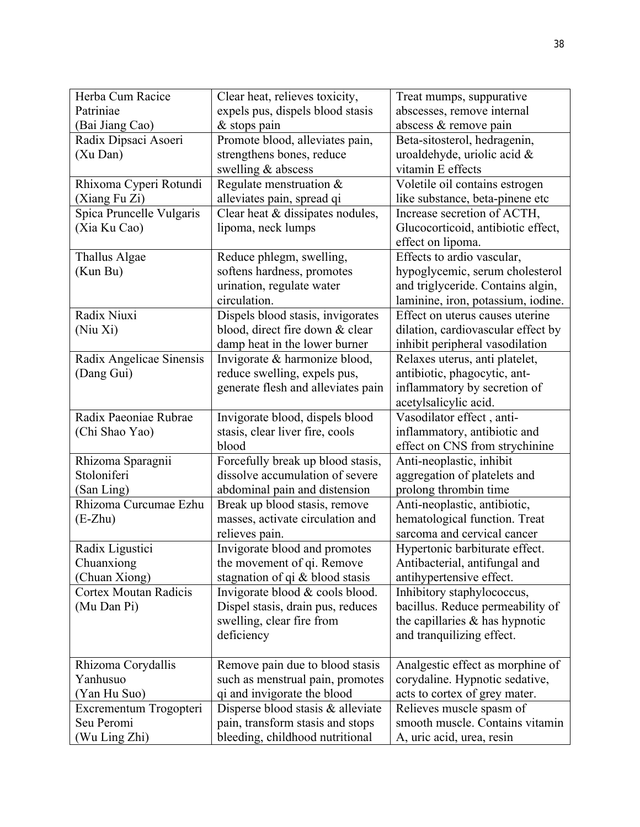| Herba Cum Racice |                              | Clear heat, relieves toxicity,     | Treat mumps, suppurative           |  |  |
|------------------|------------------------------|------------------------------------|------------------------------------|--|--|
| Patriniae        |                              | expels pus, dispels blood stasis   | abscesses, remove internal         |  |  |
|                  | (Bai Jiang Cao)              | $&$ stops pain                     | abscess & remove pain              |  |  |
|                  | Radix Dipsaci Asoeri         | Promote blood, alleviates pain,    | Beta-sitosterol, hedragenin,       |  |  |
|                  | (Xu Dan)                     | strengthens bones, reduce          | uroaldehyde, uriolic acid $\&$     |  |  |
|                  |                              | swelling & abscess                 | vitamin E effects                  |  |  |
|                  | Rhixoma Cyperi Rotundi       | Regulate menstruation &            | Voletile oil contains estrogen     |  |  |
|                  | (Xiang Fu Zi)                | alleviates pain, spread qi         | like substance, beta-pinene etc    |  |  |
|                  | Spica Pruncelle Vulgaris     | Clear heat & dissipates nodules,   | Increase secretion of ACTH,        |  |  |
|                  | (Xia Ku Cao)                 | lipoma, neck lumps                 | Glucocorticoid, antibiotic effect, |  |  |
|                  |                              |                                    | effect on lipoma.                  |  |  |
|                  | Thallus Algae                | Reduce phlegm, swelling,           | Effects to ardio vascular,         |  |  |
|                  | (Kun Bu)                     | softens hardness, promotes         | hypoglycemic, serum cholesterol    |  |  |
|                  |                              | urination, regulate water          | and triglyceride. Contains algin,  |  |  |
|                  |                              | circulation.                       | laminine, iron, potassium, iodine. |  |  |
|                  | Radix Niuxi                  | Dispels blood stasis, invigorates  | Effect on uterus causes uterine    |  |  |
|                  | (Niu Xi)                     | blood, direct fire down & clear    | dilation, cardiovascular effect by |  |  |
|                  |                              |                                    |                                    |  |  |
|                  |                              | damp heat in the lower burner      | inhibit peripheral vasodilation    |  |  |
|                  | Radix Angelicae Sinensis     | Invigorate & harmonize blood,      | Relaxes uterus, anti platelet,     |  |  |
|                  | (Dang Gui)                   | reduce swelling, expels pus,       | antibiotic, phagocytic, ant-       |  |  |
|                  |                              | generate flesh and alleviates pain | inflammatory by secretion of       |  |  |
|                  |                              |                                    | acetylsalicylic acid.              |  |  |
|                  | Radix Paeoniae Rubrae        | Invigorate blood, dispels blood    | Vasodilator effect, anti-          |  |  |
|                  | (Chi Shao Yao)               | stasis, clear liver fire, cools    | inflammatory, antibiotic and       |  |  |
|                  |                              | blood                              | effect on CNS from strychinine     |  |  |
|                  | Rhizoma Sparagnii            | Forcefully break up blood stasis,  | Anti-neoplastic, inhibit           |  |  |
|                  | Stoloniferi                  | dissolve accumulation of severe    | aggregation of platelets and       |  |  |
|                  | (San Ling)                   | abdominal pain and distension      | prolong thrombin time              |  |  |
|                  | Rhizoma Curcumae Ezhu        | Break up blood stasis, remove      | Anti-neoplastic, antibiotic,       |  |  |
|                  | $(E-Zhu)$                    | masses, activate circulation and   | hematological function. Treat      |  |  |
|                  |                              | relieves pain.                     | sarcoma and cervical cancer        |  |  |
|                  | Radix Ligustici              | Invigorate blood and promotes      | Hypertonic barbiturate effect.     |  |  |
|                  | Chuanxiong                   | the movement of qi. Remove         | Antibacterial, antifungal and      |  |  |
|                  | (Chuan Xiong)                | stagnation of qi & blood stasis    | antihypertensive effect.           |  |  |
|                  | <b>Cortex Moutan Radicis</b> | Invigorate blood & cools blood.    | Inhibitory staphylococcus,         |  |  |
|                  | (Mu Dan Pi)                  | Dispel stasis, drain pus, reduces  | bacillus. Reduce permeability of   |  |  |
|                  |                              | swelling, clear fire from          | the capillaries $\&$ has hypnotic  |  |  |
|                  |                              | deficiency                         | and tranquilizing effect.          |  |  |
|                  |                              |                                    |                                    |  |  |
|                  | Rhizoma Corydallis           | Remove pain due to blood stasis    | Analgestic effect as morphine of   |  |  |
|                  | Yanhusuo                     | such as menstrual pain, promotes   | corydaline. Hypnotic sedative,     |  |  |
|                  | (Yan Hu Suo)                 | qi and invigorate the blood        | acts to cortex of grey mater.      |  |  |
|                  | Excrementum Trogopteri       | Disperse blood stasis & alleviate  | Relieves muscle spasm of           |  |  |
|                  | Seu Peromi                   | pain, transform stasis and stops   | smooth muscle. Contains vitamin    |  |  |
|                  | (Wu Ling Zhi)                | bleeding, childhood nutritional    | A, uric acid, urea, resin          |  |  |
|                  |                              |                                    |                                    |  |  |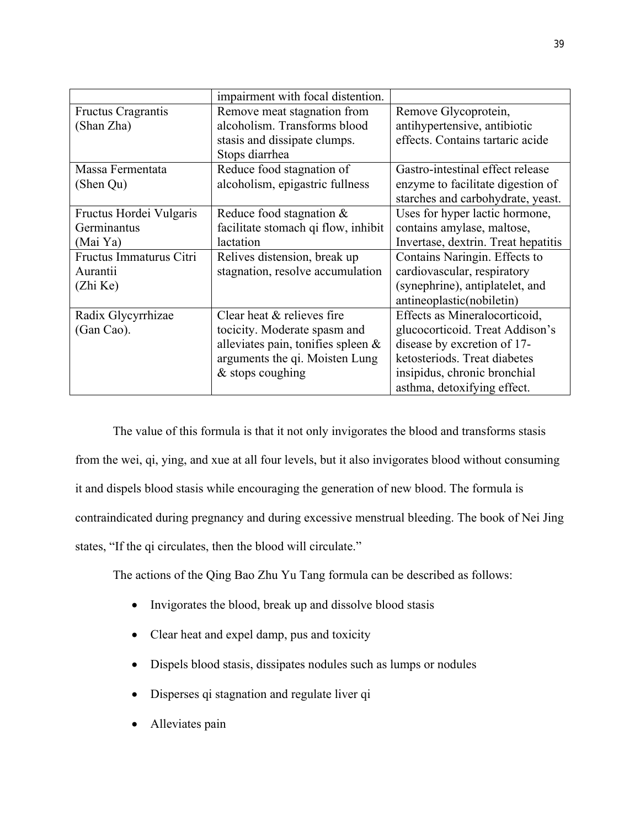|                           | impairment with focal distention.     |                                     |
|---------------------------|---------------------------------------|-------------------------------------|
| <b>Fructus Cragrantis</b> | Remove meat stagnation from           | Remove Glycoprotein,                |
| (Shan Zha)                | alcoholism. Transforms blood          | antihypertensive, antibiotic        |
|                           | stasis and dissipate clumps.          | effects. Contains tartaric acide    |
|                           | Stops diarrhea                        |                                     |
| Massa Fermentata          | Reduce food stagnation of             | Gastro-intestinal effect release    |
| (Shen Qu)                 | alcoholism, epigastric fullness       | enzyme to facilitate digestion of   |
|                           |                                       | starches and carbohydrate, yeast.   |
| Fructus Hordei Vulgaris   | Reduce food stagnation $\&$           | Uses for hyper lactic hormone,      |
| Germinantus               | facilitate stomach qi flow, inhibit   | contains amylase, maltose,          |
| (Mai Ya)                  | lactation                             | Invertase, dextrin. Treat hepatitis |
| Fructus Immaturus Citri   | Relives distension, break up          | Contains Naringin. Effects to       |
| Aurantii                  | stagnation, resolve accumulation      | cardiovascular, respiratory         |
| (Zhi Ke)                  |                                       | (synephrine), antiplatelet, and     |
|                           |                                       | antineoplastic(nobiletin)           |
| Radix Glycyrrhizae        | Clear heat & relieves fire            | Effects as Mineralocorticoid,       |
| (Gan Cao).                | tocicity. Moderate spasm and          | glucocorticoid. Treat Addison's     |
|                           | alleviates pain, tonifies spleen $\&$ | disease by excretion of 17-         |
|                           | arguments the qi. Moisten Lung        | ketosteriods. Treat diabetes        |
|                           | $&$ stops coughing                    | insipidus, chronic bronchial        |
|                           |                                       | asthma, detoxifying effect.         |

The value of this formula is that it not only invigorates the blood and transforms stasis from the wei, qi, ying, and xue at all four levels, but it also invigorates blood without consuming it and dispels blood stasis while encouraging the generation of new blood. The formula is contraindicated during pregnancy and during excessive menstrual bleeding. The book of Nei Jing states, "If the qi circulates, then the blood will circulate."

The actions of the Qing Bao Zhu Yu Tang formula can be described as follows:

- Invigorates the blood, break up and dissolve blood stasis
- Clear heat and expel damp, pus and toxicity
- Dispels blood stasis, dissipates nodules such as lumps or nodules
- Disperses qi stagnation and regulate liver qi
- Alleviates pain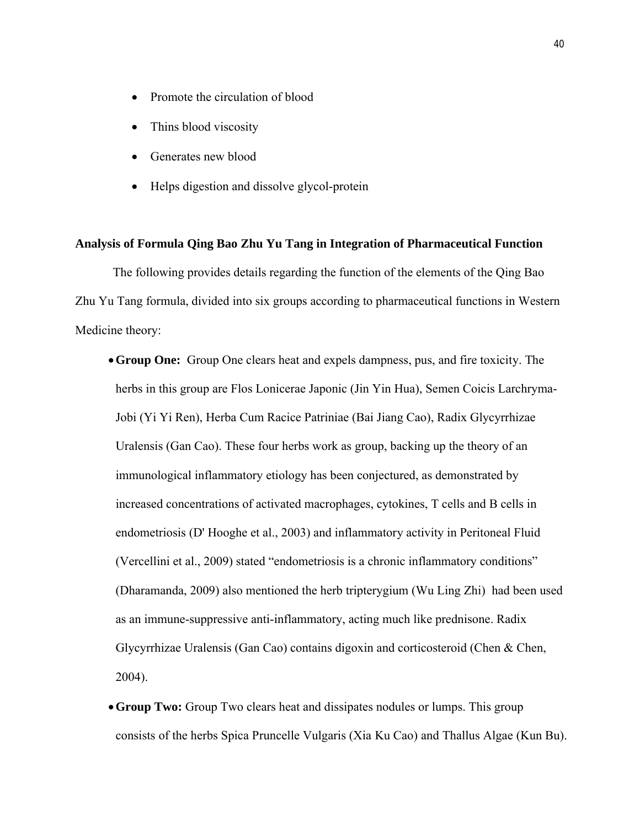- Promote the circulation of blood
- Thins blood viscosity
- Generates new blood
- Helps digestion and dissolve glycol-protein

#### **Analysis of Formula Qing Bao Zhu Yu Tang in Integration of Pharmaceutical Function**

The following provides details regarding the function of the elements of the Qing Bao Zhu Yu Tang formula, divided into six groups according to pharmaceutical functions in Western Medicine theory:

- **Group One:** Group One clears heat and expels dampness, pus, and fire toxicity. The herbs in this group are Flos Lonicerae Japonic (Jin Yin Hua), Semen Coicis Larchryma-Jobi (Yi Yi Ren), Herba Cum Racice Patriniae (Bai Jiang Cao), Radix Glycyrrhizae Uralensis (Gan Cao). These four herbs work as group, backing up the theory of an immunological inflammatory etiology has been conjectured, as demonstrated by increased concentrations of activated macrophages, cytokines, T cells and B cells in endometriosis (D' Hooghe et al., 2003) and inflammatory activity in Peritoneal Fluid (Vercellini et al., 2009) stated "endometriosis is a chronic inflammatory conditions" (Dharamanda, 2009) also mentioned the herb tripterygium (Wu Ling Zhi) had been used as an immune-suppressive anti-inflammatory, acting much like prednisone. Radix Glycyrrhizae Uralensis (Gan Cao) contains digoxin and corticosteroid (Chen & Chen, 2004).
- **Group Two:** Group Two clears heat and dissipates nodules or lumps. This group consists of the herbs Spica Pruncelle Vulgaris (Xia Ku Cao) and Thallus Algae (Kun Bu).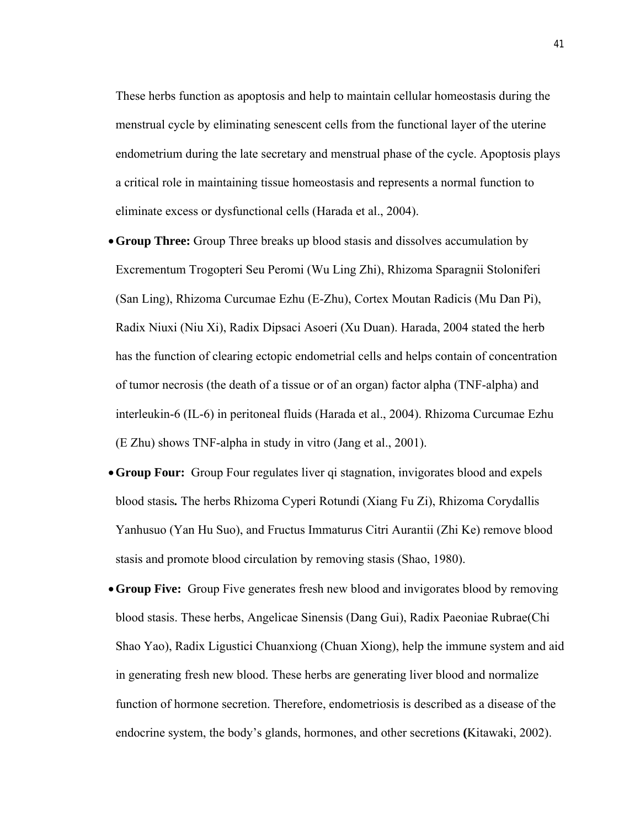These herbs function as apoptosis and help to maintain cellular homeostasis during the menstrual cycle by eliminating senescent cells from the functional layer of the uterine endometrium during the late secretary and menstrual phase of the cycle. Apoptosis plays a critical role in maintaining tissue homeostasis and represents a normal function to eliminate excess or dysfunctional cells (Harada et al., 2004).

- **Group Three:** Group Three breaks up blood stasis and dissolves accumulation by Excrementum Trogopteri Seu Peromi (Wu Ling Zhi), Rhizoma Sparagnii Stoloniferi (San Ling), Rhizoma Curcumae Ezhu (E-Zhu), Cortex Moutan Radicis (Mu Dan Pi), Radix Niuxi (Niu Xi), Radix Dipsaci Asoeri (Xu Duan). Harada, 2004 stated the herb has the function of clearing ectopic endometrial cells and helps contain of concentration of tumor necrosis (the death of a tissue or of an organ) factor alpha (TNF-alpha) and interleukin-6 (IL-6) in peritoneal fluids (Harada et al., 2004). Rhizoma Curcumae Ezhu (E Zhu) shows TNF-alpha in study in vitro (Jang et al., 2001).
- **Group Four:** Group Four regulates liver qi stagnation, invigorates blood and expels blood stasis*.* The herbs Rhizoma Cyperi Rotundi (Xiang Fu Zi), Rhizoma Corydallis Yanhusuo (Yan Hu Suo), and Fructus Immaturus Citri Aurantii (Zhi Ke) remove blood stasis and promote blood circulation by removing stasis (Shao, 1980).
- **Group Five:** Group Five generates fresh new blood and invigorates blood by removing blood stasis. These herbs, Angelicae Sinensis (Dang Gui), Radix Paeoniae Rubrae(Chi Shao Yao), Radix Ligustici Chuanxiong (Chuan Xiong), help the immune system and aid in generating fresh new blood. These herbs are generating liver blood and normalize function of hormone secretion. Therefore, endometriosis is described as a disease of the endocrine system, the body's glands, hormones, and other secretions **(**Kitawaki, 2002).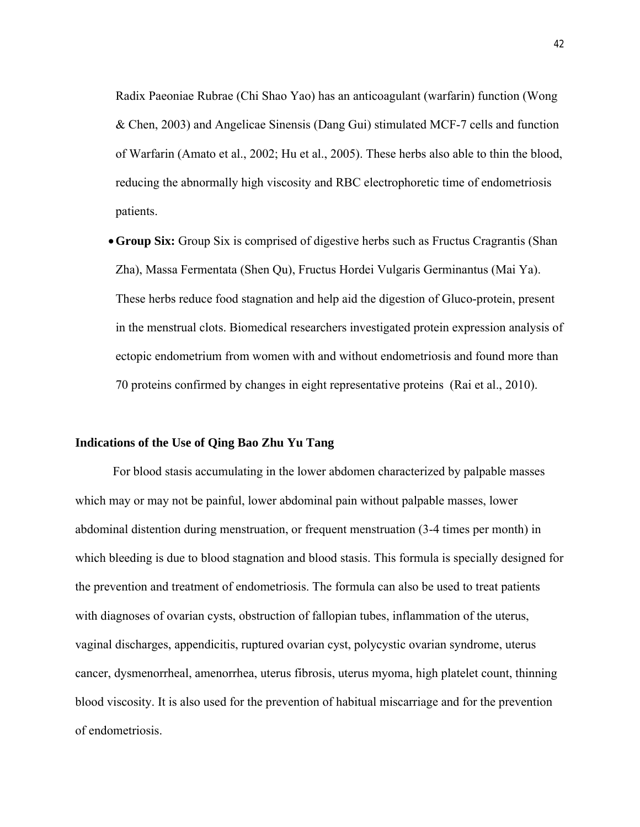Radix Paeoniae Rubrae (Chi Shao Yao) has an anticoagulant (warfarin) function (Wong & Chen, 2003) and Angelicae Sinensis (Dang Gui) stimulated MCF-7 cells and function of Warfarin (Amato et al., 2002; Hu et al., 2005). These herbs also able to thin the blood, reducing the abnormally high viscosity and RBC electrophoretic time of endometriosis patients.

**Group Six:** Group Six is comprised of digestive herbs such as Fructus Cragrantis (Shan Zha), Massa Fermentata (Shen Qu), Fructus Hordei Vulgaris Germinantus (Mai Ya). These herbs reduce food stagnation and help aid the digestion of Gluco-protein, present in the menstrual clots. Biomedical researchers investigated protein expression analysis of ectopic endometrium from women with and without endometriosis and found more than 70 proteins confirmed by changes in eight representative proteins (Rai et al., 2010).

## **Indications of the Use of Qing Bao Zhu Yu Tang**

For blood stasis accumulating in the lower abdomen characterized by palpable masses which may or may not be painful, lower abdominal pain without palpable masses, lower abdominal distention during menstruation, or frequent menstruation (3-4 times per month) in which bleeding is due to blood stagnation and blood stasis. This formula is specially designed for the prevention and treatment of endometriosis. The formula can also be used to treat patients with diagnoses of ovarian cysts, obstruction of fallopian tubes, inflammation of the uterus, vaginal discharges, appendicitis, ruptured ovarian cyst, polycystic ovarian syndrome, uterus cancer, dysmenorrheal, amenorrhea, uterus fibrosis, uterus myoma, high platelet count, thinning blood viscosity. It is also used for the prevention of habitual miscarriage and for the prevention of endometriosis.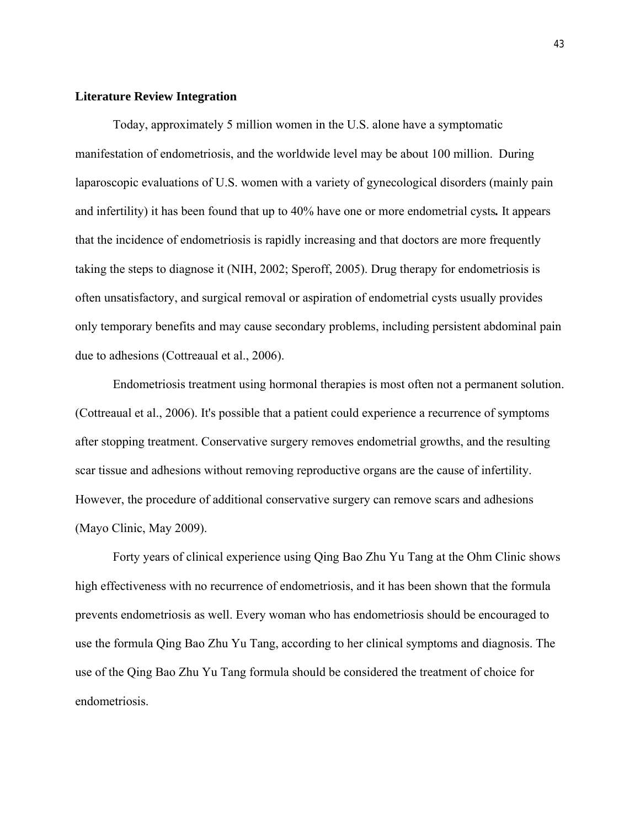#### **Literature Review Integration**

Today, approximately 5 million women in the U.S. alone have a symptomatic manifestation of endometriosis, and the worldwide level may be about 100 million. During laparoscopic evaluations of U.S. women with a variety of gynecological disorders (mainly pain and infertility) it has been found that up to 40% have one or more endometrial cysts*.* It appears that the incidence of endometriosis is rapidly increasing and that doctors are more frequently taking the steps to diagnose it (NIH, 2002; Speroff, 2005). Drug therapy for endometriosis is often unsatisfactory, and surgical removal or aspiration of endometrial cysts usually provides only temporary benefits and may cause secondary problems, including persistent abdominal pain due to adhesions (Cottreaual et al., 2006).

Endometriosis treatment using hormonal therapies is most often not a permanent solution. (Cottreaual et al., 2006). It's possible that a patient could experience a recurrence of symptoms after stopping treatment. Conservative surgery removes endometrial growths, and the resulting scar tissue and adhesions without removing reproductive organs are the cause of infertility. However, the procedure of additional conservative surgery can remove scars and adhesions (Mayo Clinic, May 2009).

Forty years of clinical experience using Qing Bao Zhu Yu Tang at the Ohm Clinic shows high effectiveness with no recurrence of endometriosis, and it has been shown that the formula prevents endometriosis as well. Every woman who has endometriosis should be encouraged to use the formula Qing Bao Zhu Yu Tang, according to her clinical symptoms and diagnosis. The use of the Qing Bao Zhu Yu Tang formula should be considered the treatment of choice for endometriosis.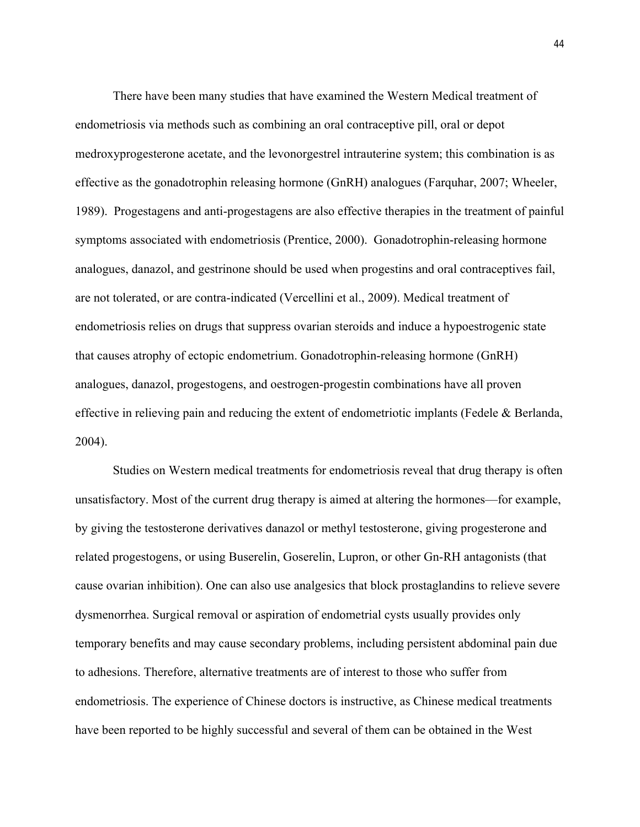There have been many studies that have examined the Western Medical treatment of endometriosis via methods such as combining an oral contraceptive pill, oral or depot medroxyprogesterone acetate, and the levonorgestrel intrauterine system; this combination is as effective as the gonadotrophin releasing hormone (GnRH) analogues (Farquhar, 2007; Wheeler, 1989). Progestagens and anti-progestagens are also effective therapies in the treatment of painful symptoms associated with endometriosis (Prentice, 2000). Gonadotrophin-releasing hormone analogues, danazol, and gestrinone should be used when progestins and oral contraceptives fail, are not tolerated, or are contra-indicated (Vercellini et al., 2009). Medical treatment of endometriosis relies on drugs that suppress ovarian steroids and induce a hypoestrogenic state that causes atrophy of ectopic endometrium. Gonadotrophin-releasing hormone (GnRH) analogues, danazol, progestogens, and oestrogen-progestin combinations have all proven effective in relieving pain and reducing the extent of endometriotic implants (Fedele & Berlanda, 2004).

Studies on Western medical treatments for endometriosis reveal that drug therapy is often unsatisfactory. Most of the current drug therapy is aimed at altering the hormones—for example, by giving the testosterone derivatives danazol or methyl testosterone, giving progesterone and related progestogens, or using Buserelin, Goserelin, Lupron, or other Gn-RH antagonists (that cause ovarian inhibition). One can also use analgesics that block prostaglandins to relieve severe dysmenorrhea. Surgical removal or aspiration of endometrial cysts usually provides only temporary benefits and may cause secondary problems, including persistent abdominal pain due to adhesions. Therefore, alternative treatments are of interest to those who suffer from endometriosis. The experience of Chinese doctors is instructive, as Chinese medical treatments have been reported to be highly successful and several of them can be obtained in the West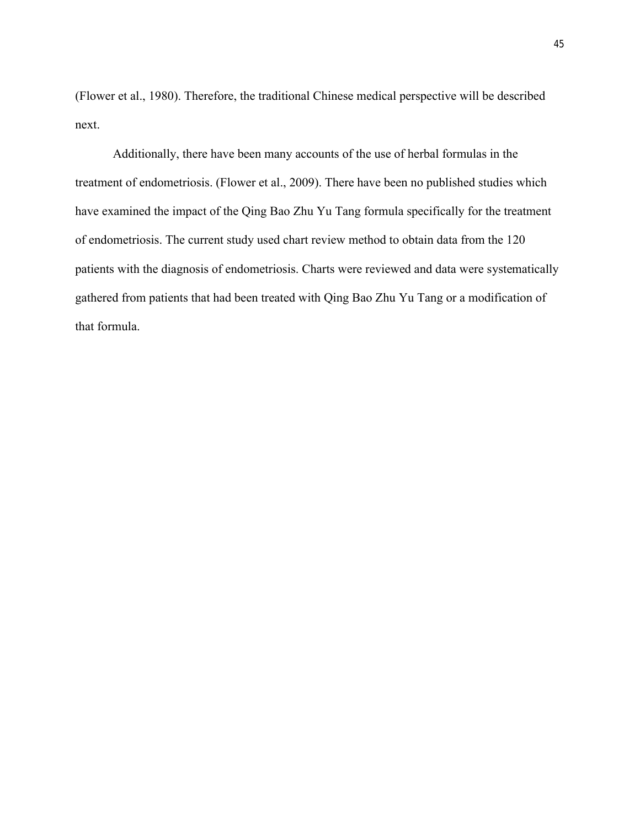(Flower et al., 1980). Therefore, the traditional Chinese medical perspective will be described next.

Additionally, there have been many accounts of the use of herbal formulas in the treatment of endometriosis. (Flower et al., 2009). There have been no published studies which have examined the impact of the Qing Bao Zhu Yu Tang formula specifically for the treatment of endometriosis. The current study used chart review method to obtain data from the 120 patients with the diagnosis of endometriosis. Charts were reviewed and data were systematically gathered from patients that had been treated with Qing Bao Zhu Yu Tang or a modification of that formula.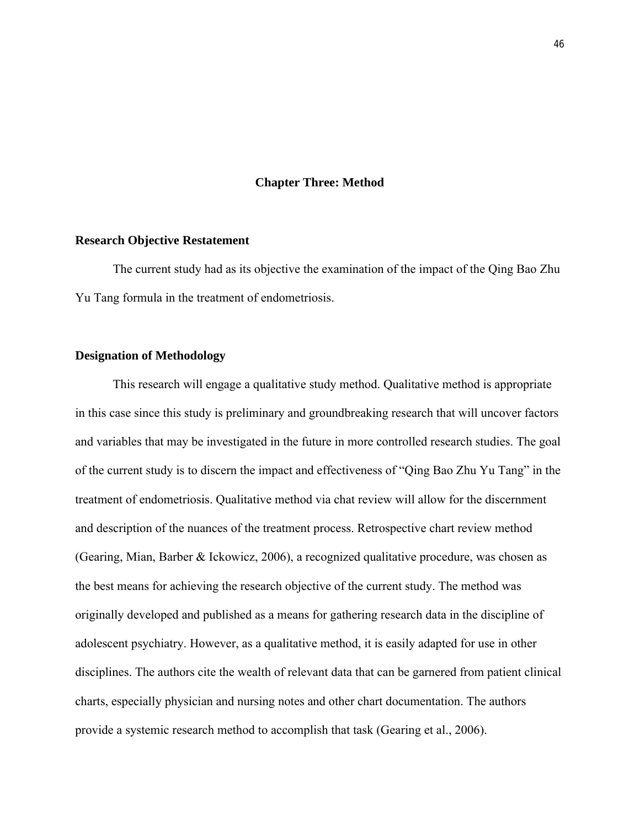#### **Chapter Three: Method**

#### **Research Objective Restatement**

The current study had as its objective the examination of the impact of the Qing Bao Zhu Yu Tang formula in the treatment of endometriosis.

## **Designation of Methodology**

This research will engage a qualitative study method. Qualitative method is appropriate in this case since this study is preliminary and groundbreaking research that will uncover factors and variables that may be investigated in the future in more controlled research studies. The goal of the current study is to discern the impact and effectiveness of "Qing Bao Zhu Yu Tang" in the treatment of endometriosis. Qualitative method via chat review will allow for the discernment and description of the nuances of the treatment process. Retrospective chart review method (Gearing, Mian, Barber & Ickowicz, 2006), a recognized qualitative procedure, was chosen as the best means for achieving the research objective of the current study. The method was originally developed and published as a means for gathering research data in the discipline of adolescent psychiatry. However, as a qualitative method, it is easily adapted for use in other disciplines. The authors cite the wealth of relevant data that can be garnered from patient clinical charts, especially physician and nursing notes and other chart documentation. The authors provide a systemic research method to accomplish that task (Gearing et al., 2006).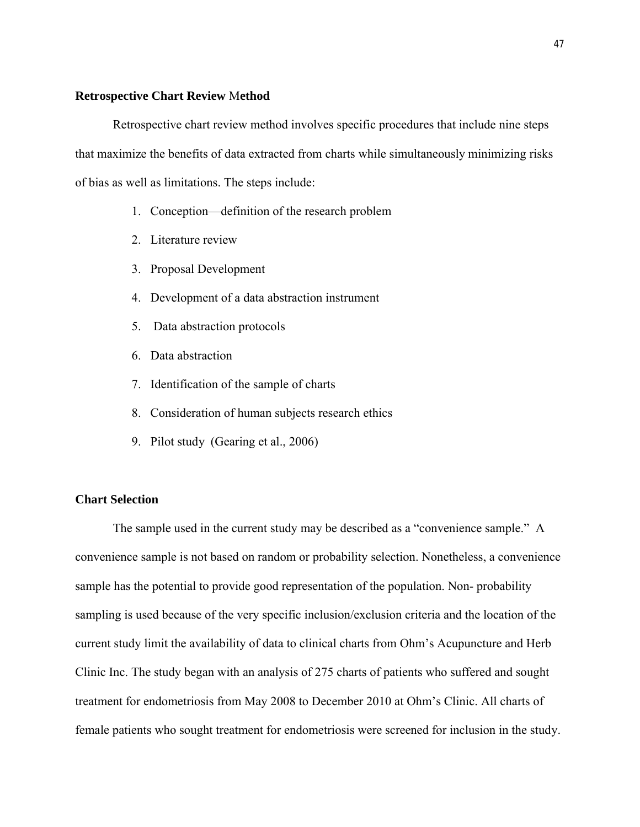#### **Retrospective Chart Review** M**ethod**

Retrospective chart review method involves specific procedures that include nine steps that maximize the benefits of data extracted from charts while simultaneously minimizing risks of bias as well as limitations. The steps include:

- 1. Conception—definition of the research problem
- 2. Literature review
- 3. Proposal Development
- 4. Development of a data abstraction instrument
- 5. Data abstraction protocols
- 6. Data abstraction
- 7. Identification of the sample of charts
- 8. Consideration of human subjects research ethics
- 9. Pilot study (Gearing et al., 2006)

# **Chart Selection**

The sample used in the current study may be described as a "convenience sample." A convenience sample is not based on random or probability selection. Nonetheless, a convenience sample has the potential to provide good representation of the population. Non- probability sampling is used because of the very specific inclusion/exclusion criteria and the location of the current study limit the availability of data to clinical charts from Ohm's Acupuncture and Herb Clinic Inc. The study began with an analysis of 275 charts of patients who suffered and sought treatment for endometriosis from May 2008 to December 2010 at Ohm's Clinic. All charts of female patients who sought treatment for endometriosis were screened for inclusion in the study.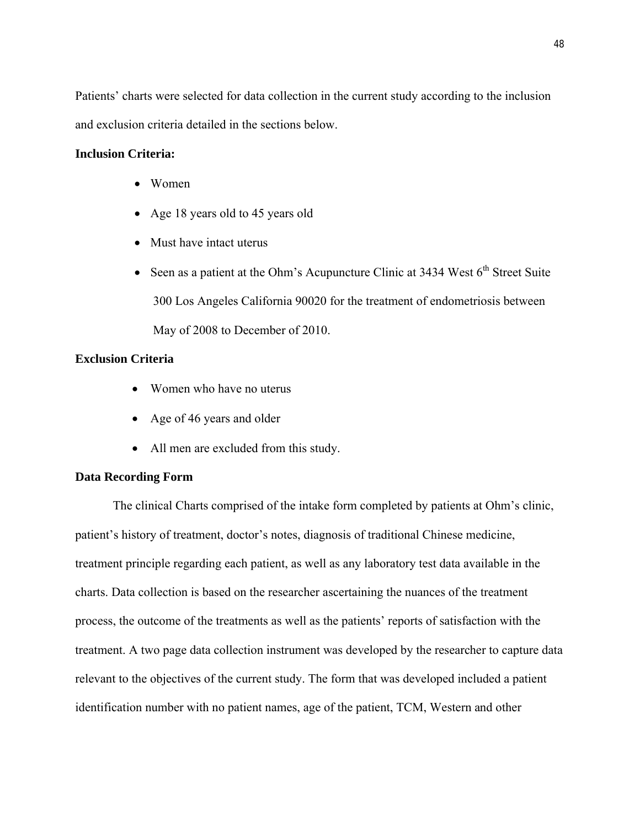Patients' charts were selected for data collection in the current study according to the inclusion and exclusion criteria detailed in the sections below.

# **Inclusion Criteria:**

- Women
- Age 18 years old to 45 years old
- Must have intact uterus
- Seen as a patient at the Ohm's Acupuncture Clinic at  $3434$  West  $6<sup>th</sup>$  Street Suite 300 Los Angeles California 90020 for the treatment of endometriosis between May of 2008 to December of 2010.

# **Exclusion Criteria**

- Women who have no uterus
- Age of 46 years and older
- All men are excluded from this study.

# **Data Recording Form**

The clinical Charts comprised of the intake form completed by patients at Ohm's clinic, patient's history of treatment, doctor's notes, diagnosis of traditional Chinese medicine, treatment principle regarding each patient, as well as any laboratory test data available in the charts. Data collection is based on the researcher ascertaining the nuances of the treatment process, the outcome of the treatments as well as the patients' reports of satisfaction with the treatment. A two page data collection instrument was developed by the researcher to capture data relevant to the objectives of the current study. The form that was developed included a patient identification number with no patient names, age of the patient, TCM, Western and other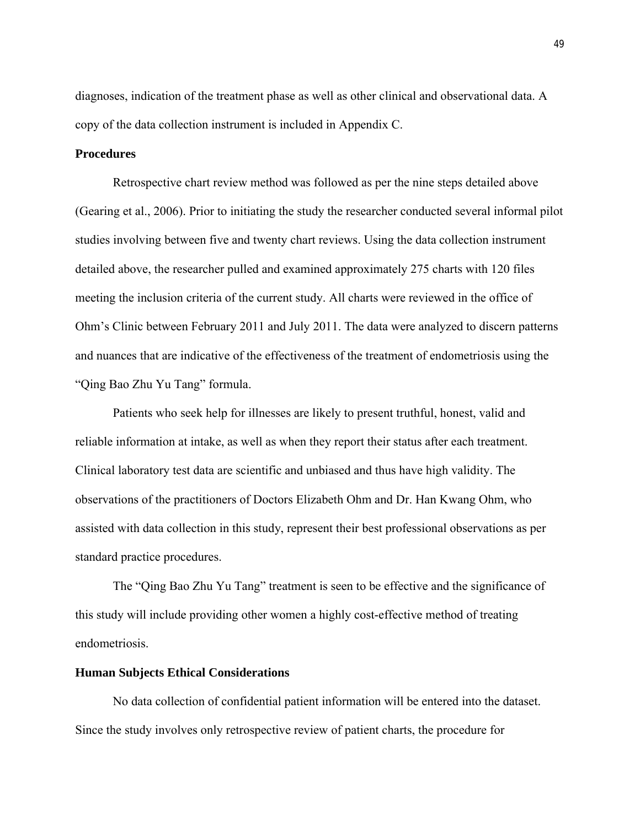diagnoses, indication of the treatment phase as well as other clinical and observational data. A copy of the data collection instrument is included in Appendix C.

#### **Procedures**

Retrospective chart review method was followed as per the nine steps detailed above (Gearing et al., 2006). Prior to initiating the study the researcher conducted several informal pilot studies involving between five and twenty chart reviews. Using the data collection instrument detailed above, the researcher pulled and examined approximately 275 charts with 120 files meeting the inclusion criteria of the current study. All charts were reviewed in the office of Ohm's Clinic between February 2011 and July 2011. The data were analyzed to discern patterns and nuances that are indicative of the effectiveness of the treatment of endometriosis using the "Qing Bao Zhu Yu Tang" formula.

Patients who seek help for illnesses are likely to present truthful, honest, valid and reliable information at intake, as well as when they report their status after each treatment. Clinical laboratory test data are scientific and unbiased and thus have high validity. The observations of the practitioners of Doctors Elizabeth Ohm and Dr. Han Kwang Ohm, who assisted with data collection in this study, represent their best professional observations as per standard practice procedures.

The "Qing Bao Zhu Yu Tang" treatment is seen to be effective and the significance of this study will include providing other women a highly cost-effective method of treating endometriosis.

#### **Human Subjects Ethical Considerations**

No data collection of confidential patient information will be entered into the dataset. Since the study involves only retrospective review of patient charts, the procedure for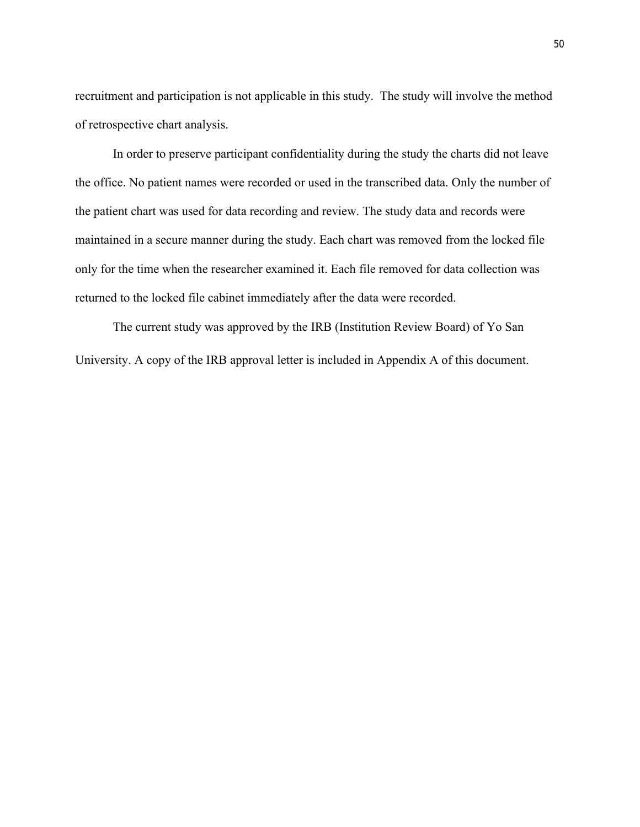recruitment and participation is not applicable in this study. The study will involve the method of retrospective chart analysis.

In order to preserve participant confidentiality during the study the charts did not leave the office. No patient names were recorded or used in the transcribed data. Only the number of the patient chart was used for data recording and review. The study data and records were maintained in a secure manner during the study. Each chart was removed from the locked file only for the time when the researcher examined it. Each file removed for data collection was returned to the locked file cabinet immediately after the data were recorded.

The current study was approved by the IRB (Institution Review Board) of Yo San University. A copy of the IRB approval letter is included in Appendix A of this document.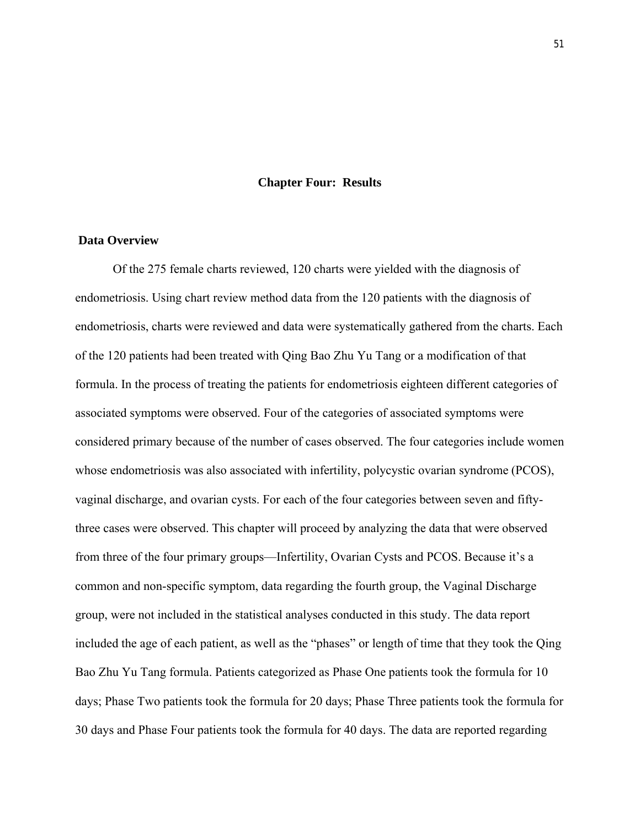#### **Chapter Four: Results**

# **Data Overview**

Of the 275 female charts reviewed, 120 charts were yielded with the diagnosis of endometriosis. Using chart review method data from the 120 patients with the diagnosis of endometriosis, charts were reviewed and data were systematically gathered from the charts. Each of the 120 patients had been treated with Qing Bao Zhu Yu Tang or a modification of that formula. In the process of treating the patients for endometriosis eighteen different categories of associated symptoms were observed. Four of the categories of associated symptoms were considered primary because of the number of cases observed. The four categories include women whose endometriosis was also associated with infertility, polycystic ovarian syndrome (PCOS), vaginal discharge, and ovarian cysts. For each of the four categories between seven and fiftythree cases were observed. This chapter will proceed by analyzing the data that were observed from three of the four primary groups—Infertility, Ovarian Cysts and PCOS. Because it's a common and non-specific symptom, data regarding the fourth group, the Vaginal Discharge group, were not included in the statistical analyses conducted in this study. The data report included the age of each patient, as well as the "phases" or length of time that they took the Qing Bao Zhu Yu Tang formula. Patients categorized as Phase One patients took the formula for 10 days; Phase Two patients took the formula for 20 days; Phase Three patients took the formula for 30 days and Phase Four patients took the formula for 40 days. The data are reported regarding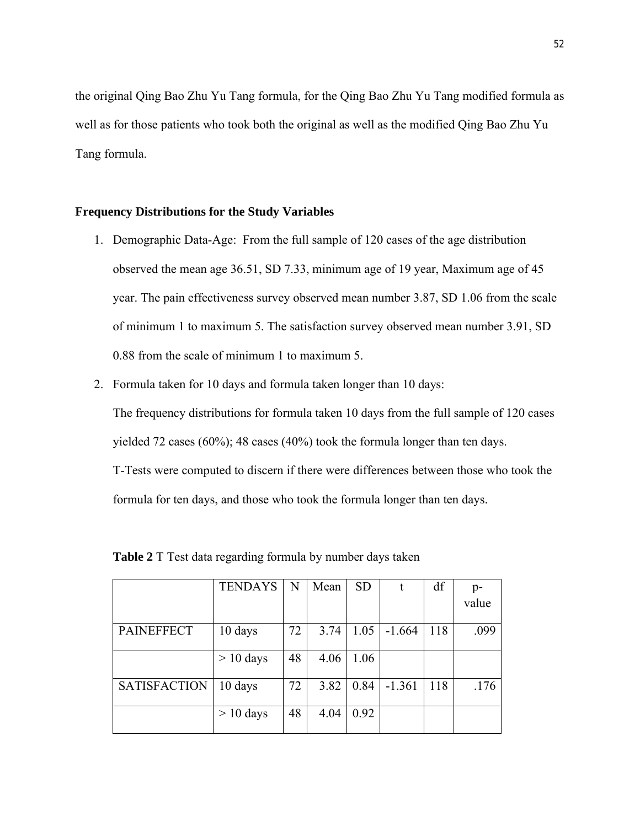the original Qing Bao Zhu Yu Tang formula, for the Qing Bao Zhu Yu Tang modified formula as well as for those patients who took both the original as well as the modified Qing Bao Zhu Yu Tang formula.

#### **Frequency Distributions for the Study Variables**

- 1. Demographic Data-Age: From the full sample of 120 cases of the age distribution observed the mean age 36.51, SD 7.33, minimum age of 19 year, Maximum age of 45 year. The pain effectiveness survey observed mean number 3.87, SD 1.06 from the scale of minimum 1 to maximum 5. The satisfaction survey observed mean number 3.91, SD 0.88 from the scale of minimum 1 to maximum 5.
- 2. Formula taken for 10 days and formula taken longer than 10 days:

The frequency distributions for formula taken 10 days from the full sample of 120 cases yielded 72 cases (60%); 48 cases (40%) took the formula longer than ten days.

T-Tests were computed to discern if there were differences between those who took the formula for ten days, and those who took the formula longer than ten days.

|                     | <b>TENDAYS</b> | N  | Mean | <b>SD</b> |          | df  | p-    |
|---------------------|----------------|----|------|-----------|----------|-----|-------|
|                     |                |    |      |           |          |     | value |
| <b>PAINEFFECT</b>   | 10 days        | 72 | 3.74 | 1.05      | $-1.664$ | 118 | .099  |
|                     | $> 10$ days    | 48 | 4.06 | 1.06      |          |     |       |
| <b>SATISFACTION</b> | 10 days        | 72 | 3.82 | 0.84      | $-1.361$ | 118 | .176  |
|                     | $> 10$ days    | 48 | 4.04 | 0.92      |          |     |       |

**Table 2** T Test data regarding formula by number days taken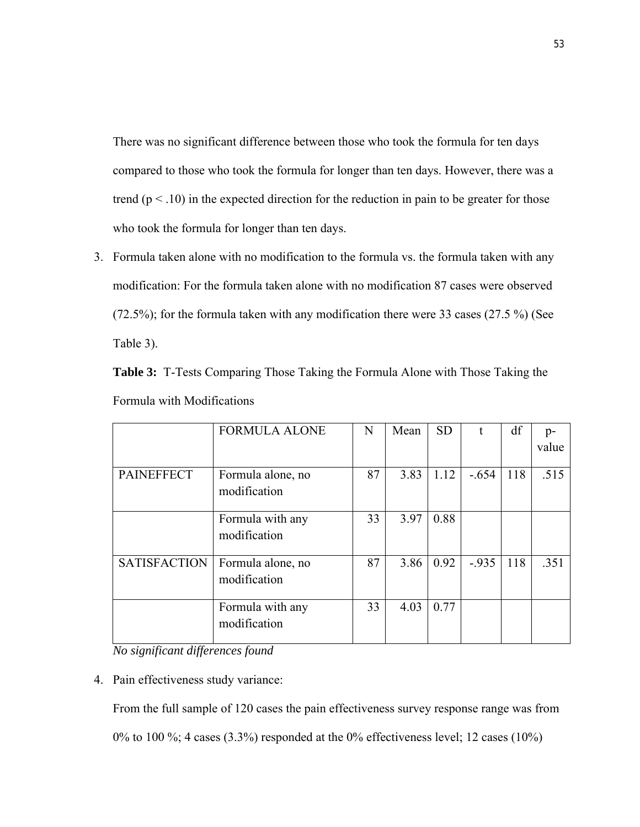There was no significant difference between those who took the formula for ten days compared to those who took the formula for longer than ten days. However, there was a trend ( $p < .10$ ) in the expected direction for the reduction in pain to be greater for those who took the formula for longer than ten days.

3. Formula taken alone with no modification to the formula vs. the formula taken with any modification: For the formula taken alone with no modification 87 cases were observed (72.5%); for the formula taken with any modification there were 33 cases (27.5 %) (See Table 3).

|  | <b>Table 3:</b> T-Tests Comparing Those Taking the Formula Alone with Those Taking the |  |  |  |  |
|--|----------------------------------------------------------------------------------------|--|--|--|--|
|  | Formula with Modifications                                                             |  |  |  |  |

|                     | <b>FORMULA ALONE</b> | N  | Mean | <b>SD</b> | t       | df  | $p-$  |
|---------------------|----------------------|----|------|-----------|---------|-----|-------|
|                     |                      |    |      |           |         |     | value |
|                     |                      |    |      |           |         |     |       |
| <b>PAINEFFECT</b>   | Formula alone, no    | 87 | 3.83 | 1.12      | $-.654$ | 118 | .515  |
|                     | modification         |    |      |           |         |     |       |
|                     |                      |    |      |           |         |     |       |
|                     |                      |    |      |           |         |     |       |
|                     | Formula with any     | 33 | 3.97 | 0.88      |         |     |       |
|                     | modification         |    |      |           |         |     |       |
|                     |                      |    |      |           |         |     |       |
|                     |                      |    |      |           |         |     |       |
| <b>SATISFACTION</b> | Formula alone, no    | 87 | 3.86 | 0.92      | $-935$  | 118 | .351  |
|                     | modification         |    |      |           |         |     |       |
|                     |                      |    |      |           |         |     |       |
|                     |                      |    |      |           |         |     |       |
|                     | Formula with any     | 33 | 4.03 | 0.77      |         |     |       |
|                     | modification         |    |      |           |         |     |       |
|                     |                      |    |      |           |         |     |       |
|                     |                      |    |      |           |         |     |       |

*No significant differences found*

4. Pain effectiveness study variance:

From the full sample of 120 cases the pain effectiveness survey response range was from 0% to 100 %; 4 cases (3.3%) responded at the 0% effectiveness level; 12 cases (10%)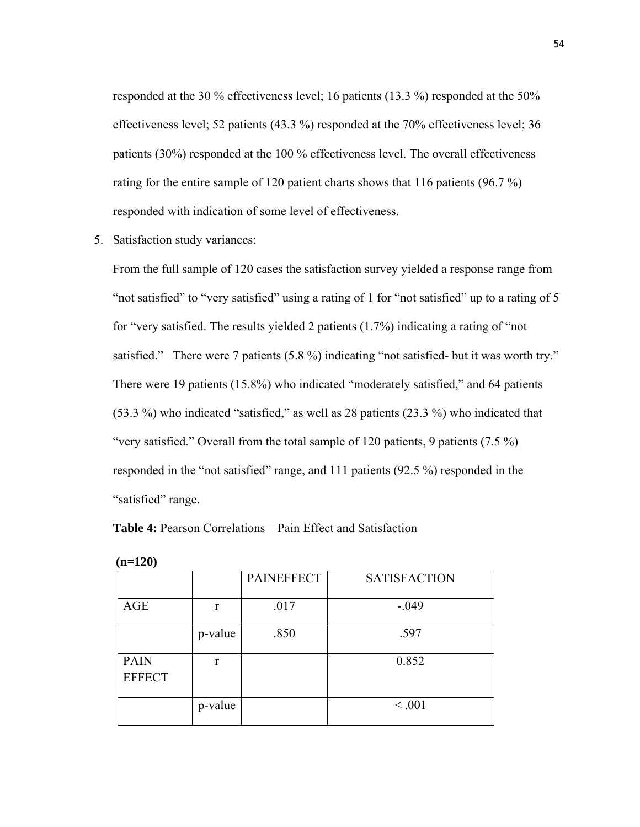responded at the 30 % effectiveness level; 16 patients (13.3 %) responded at the 50% effectiveness level; 52 patients (43.3 %) responded at the 70% effectiveness level; 36 patients (30%) responded at the 100 % effectiveness level. The overall effectiveness rating for the entire sample of 120 patient charts shows that 116 patients (96.7 %) responded with indication of some level of effectiveness.

5. Satisfaction study variances:

From the full sample of 120 cases the satisfaction survey yielded a response range from "not satisfied" to "very satisfied" using a rating of 1 for "not satisfied" up to a rating of 5 for "very satisfied. The results yielded 2 patients (1.7%) indicating a rating of "not satisfied." There were 7 patients (5.8 %) indicating "not satisfied- but it was worth try." There were 19 patients (15.8%) who indicated "moderately satisfied," and 64 patients (53.3 %) who indicated "satisfied," as well as 28 patients (23.3 %) who indicated that "very satisfied." Overall from the total sample of 120 patients, 9 patients (7.5 %) responded in the "not satisfied" range, and 111 patients (92.5 %) responded in the "satisfied" range.

**Table 4:** Pearson Correlations—Pain Effect and Satisfaction

|               |              | <b>PAINEFFECT</b> | <b>SATISFACTION</b> |
|---------------|--------------|-------------------|---------------------|
| AGE           | r            | .017              | $-.049$             |
|               | p-value      | .850              | .597                |
| <b>PAIN</b>   | $\mathbf{r}$ |                   | 0.852               |
| <b>EFFECT</b> |              |                   |                     |
|               | p-value      |                   | < 0.001             |

| I | ∠ |
|---|---|
|   |   |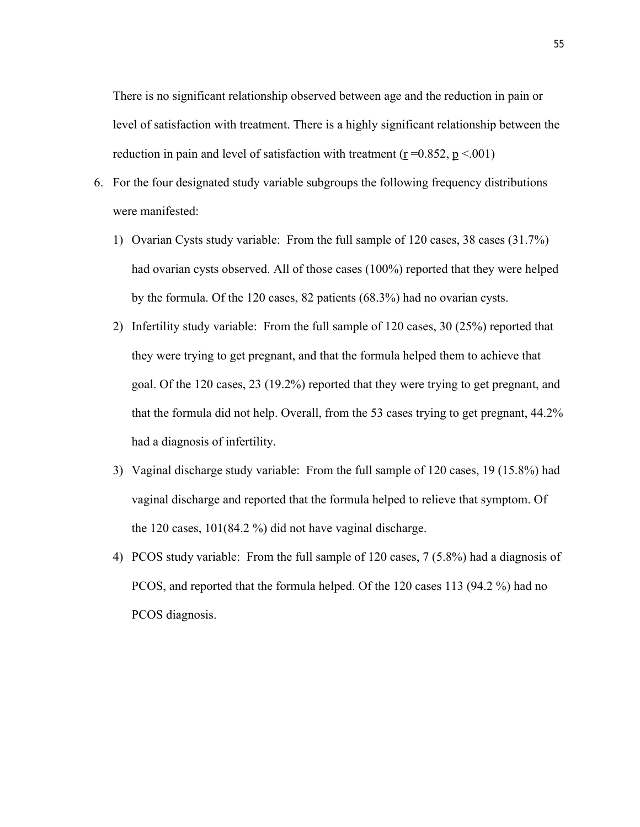There is no significant relationship observed between age and the reduction in pain or level of satisfaction with treatment. There is a highly significant relationship between the reduction in pain and level of satisfaction with treatment ( $r = 0.852$ ,  $p < 0.01$ )

- 6. For the four designated study variable subgroups the following frequency distributions were manifested:
	- 1) Ovarian Cysts study variable: From the full sample of 120 cases, 38 cases (31.7%) had ovarian cysts observed. All of those cases (100%) reported that they were helped by the formula. Of the 120 cases, 82 patients (68.3%) had no ovarian cysts.
	- 2) Infertility study variable: From the full sample of 120 cases, 30 (25%) reported that they were trying to get pregnant, and that the formula helped them to achieve that goal. Of the 120 cases, 23 (19.2%) reported that they were trying to get pregnant, and that the formula did not help. Overall, from the 53 cases trying to get pregnant, 44.2% had a diagnosis of infertility.
	- 3) Vaginal discharge study variable: From the full sample of 120 cases, 19 (15.8%) had vaginal discharge and reported that the formula helped to relieve that symptom. Of the 120 cases, 101(84.2 %) did not have vaginal discharge.
	- 4) PCOS study variable: From the full sample of 120 cases, 7 (5.8%) had a diagnosis of PCOS, and reported that the formula helped. Of the 120 cases 113 (94.2 %) had no PCOS diagnosis.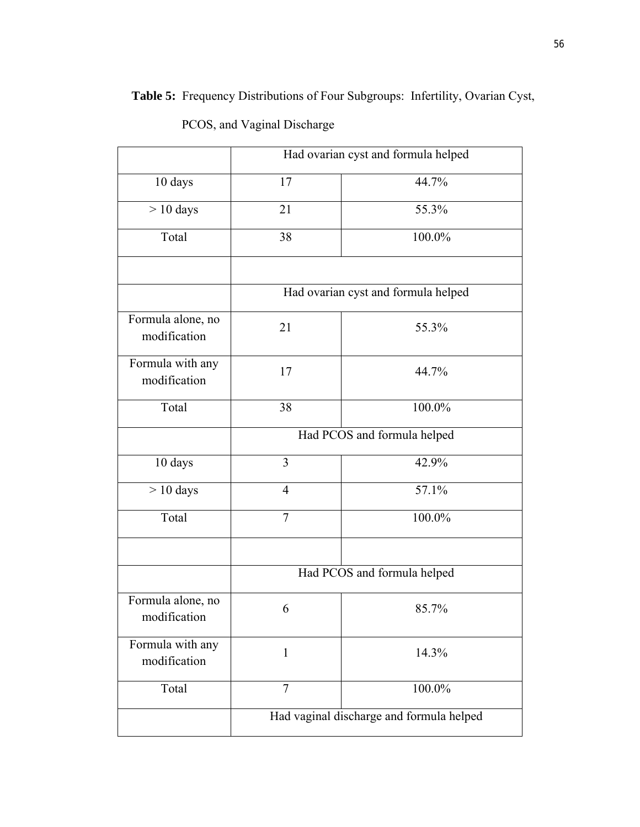|                                   | Had ovarian cyst and formula helped      |                                     |  |  |  |  |  |
|-----------------------------------|------------------------------------------|-------------------------------------|--|--|--|--|--|
| 10 days                           | 17                                       | 44.7%                               |  |  |  |  |  |
| $> 10$ days                       | 21                                       | 55.3%                               |  |  |  |  |  |
| Total                             | 38                                       | 100.0%                              |  |  |  |  |  |
|                                   |                                          |                                     |  |  |  |  |  |
|                                   |                                          | Had ovarian cyst and formula helped |  |  |  |  |  |
| Formula alone, no<br>modification | 21                                       | 55.3%                               |  |  |  |  |  |
| Formula with any<br>modification  | 17                                       | 44.7%                               |  |  |  |  |  |
| Total                             | 38                                       | 100.0%                              |  |  |  |  |  |
|                                   |                                          | Had PCOS and formula helped         |  |  |  |  |  |
| 10 days                           | 3                                        | 42.9%                               |  |  |  |  |  |
| $> 10$ days                       | $\overline{4}$                           | 57.1%                               |  |  |  |  |  |
| Total                             | $\tau$                                   | 100.0%                              |  |  |  |  |  |
|                                   |                                          |                                     |  |  |  |  |  |
|                                   |                                          | Had PCOS and formula helped         |  |  |  |  |  |
| Formula alone, no<br>modification | 6                                        | 85.7%                               |  |  |  |  |  |
| Formula with any<br>modification  | $\mathbf{1}$                             | 14.3%                               |  |  |  |  |  |
| Total                             | $\overline{7}$                           | 100.0%                              |  |  |  |  |  |
|                                   | Had vaginal discharge and formula helped |                                     |  |  |  |  |  |

PCOS, and Vaginal Discharge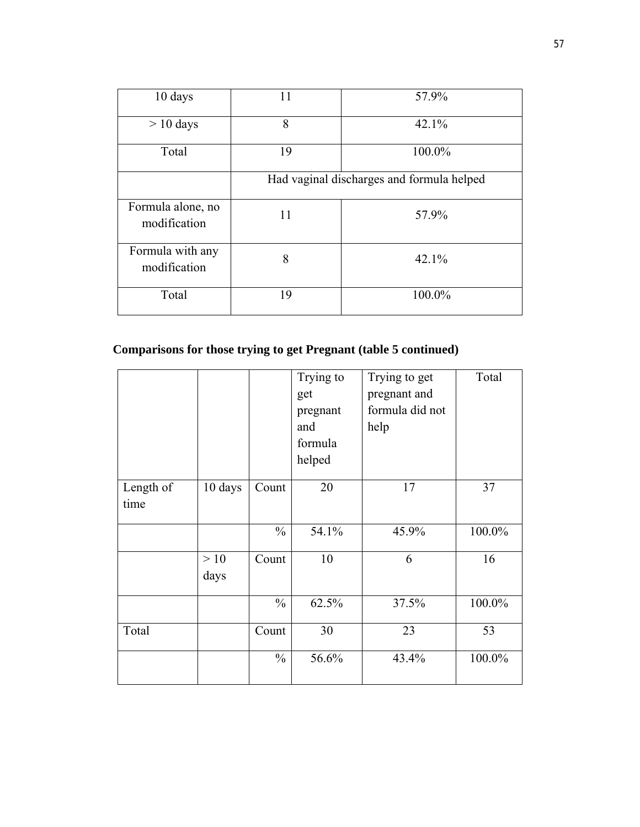| 10 days                           | 11                                        | 57.9%  |  |  |  |  |
|-----------------------------------|-------------------------------------------|--------|--|--|--|--|
| $> 10$ days                       | 8                                         | 42.1%  |  |  |  |  |
| Total                             | 19                                        | 100.0% |  |  |  |  |
|                                   | Had vaginal discharges and formula helped |        |  |  |  |  |
| Formula alone, no<br>modification | 11                                        | 57.9%  |  |  |  |  |
| Formula with any<br>modification  | 8                                         | 42.1%  |  |  |  |  |
| Total                             | 19                                        | 100.0% |  |  |  |  |

# **Comparisons for those trying to get Pregnant (table 5 continued)**

|           |         |               | Trying to | Trying to get   | Total  |
|-----------|---------|---------------|-----------|-----------------|--------|
|           |         |               | get       | pregnant and    |        |
|           |         |               | pregnant  | formula did not |        |
|           |         |               | and       | help            |        |
|           |         |               | formula   |                 |        |
|           |         |               | helped    |                 |        |
|           |         |               |           |                 |        |
| Length of | 10 days | Count         | 20        | 17              | 37     |
| time      |         |               |           |                 |        |
|           |         | $\frac{0}{0}$ | 54.1%     | 45.9%           | 100.0% |
|           |         |               |           |                 |        |
|           | >10     | Count         | 10        | 6               | 16     |
|           | days    |               |           |                 |        |
|           |         | $\frac{0}{0}$ |           |                 |        |
|           |         |               | 62.5%     | 37.5%           | 100.0% |
| Total     |         | Count         | 30        | 23              | 53     |
|           |         |               |           |                 |        |
|           |         | $\frac{0}{0}$ | 56.6%     | 43.4%           | 100.0% |
|           |         |               |           |                 |        |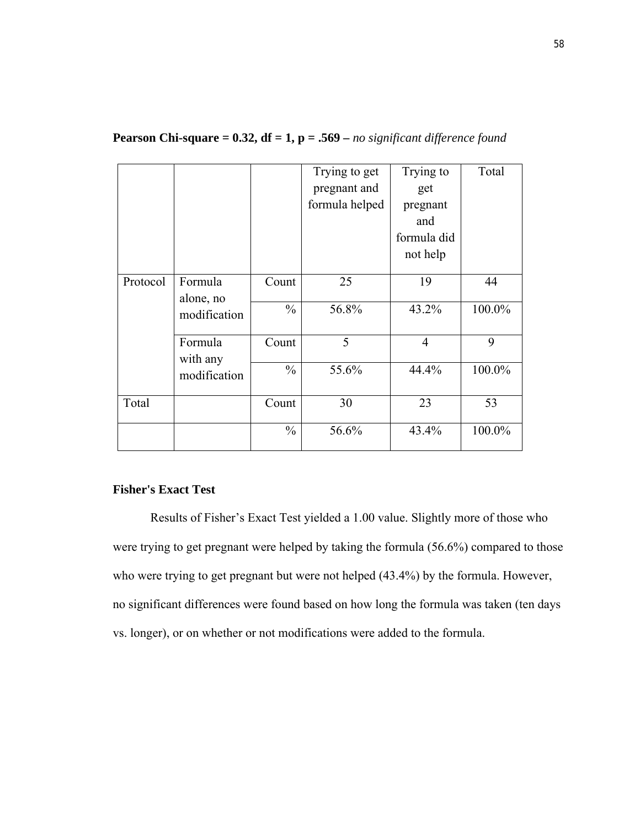|          |                     |               | Trying to get  | Trying to      | Total  |
|----------|---------------------|---------------|----------------|----------------|--------|
|          |                     |               | pregnant and   | get            |        |
|          |                     |               | formula helped | pregnant       |        |
|          |                     |               |                | and            |        |
|          |                     |               |                | formula did    |        |
|          |                     |               |                | not help       |        |
| Protocol | Formula             | Count         | 25             | 19             | 44     |
|          | alone, no           |               |                |                |        |
|          | modification        | $\frac{0}{0}$ | 56.8%          | 43.2%          | 100.0% |
|          | Formula<br>with any | Count         | 5              | $\overline{4}$ | 9      |
|          | modification        | $\frac{0}{0}$ | 55.6%          | 44.4%          | 100.0% |
| Total    |                     | Count         | 30             | 23             | 53     |
|          |                     | $\frac{0}{0}$ | 56.6%          | 43.4%          | 100.0% |

# **Pearson Chi-square = 0.32, df = 1, p = .569 –** *no significant difference found*

# **Fisher's Exact Test**

Results of Fisher's Exact Test yielded a 1.00 value. Slightly more of those who were trying to get pregnant were helped by taking the formula (56.6%) compared to those who were trying to get pregnant but were not helped (43.4%) by the formula. However, no significant differences were found based on how long the formula was taken (ten days vs. longer), or on whether or not modifications were added to the formula.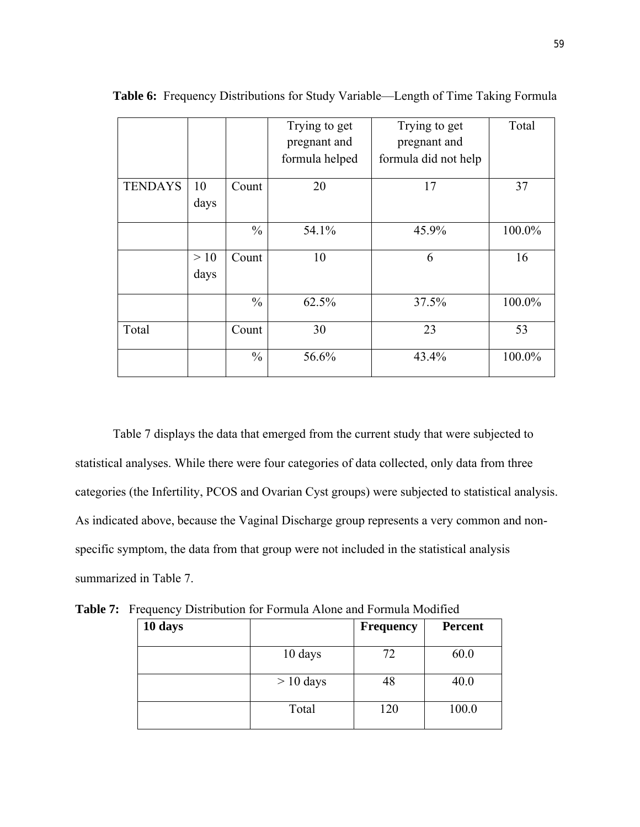|                |             |               | Trying to get<br>pregnant and<br>formula helped | Trying to get<br>pregnant and<br>formula did not help | Total  |
|----------------|-------------|---------------|-------------------------------------------------|-------------------------------------------------------|--------|
| <b>TENDAYS</b> | 10<br>days  | Count         | 20                                              | 17                                                    | 37     |
|                |             | $\frac{0}{0}$ | 54.1%                                           | 45.9%                                                 | 100.0% |
|                | >10<br>days | Count         | 10                                              | 6                                                     | 16     |
|                |             | $\frac{0}{0}$ | 62.5%                                           | 37.5%                                                 | 100.0% |
| Total          |             | Count         | 30                                              | 23                                                    | 53     |
|                |             | $\frac{0}{0}$ | 56.6%                                           | 43.4%                                                 | 100.0% |

**Table 6:** Frequency Distributions for Study Variable—Length of Time Taking Formula

Table 7 displays the data that emerged from the current study that were subjected to statistical analyses. While there were four categories of data collected, only data from three categories (the Infertility, PCOS and Ovarian Cyst groups) were subjected to statistical analysis. As indicated above, because the Vaginal Discharge group represents a very common and nonspecific symptom, the data from that group were not included in the statistical analysis summarized in Table 7.

| 10 days |             | <b>Frequency</b> | <b>Percent</b> |
|---------|-------------|------------------|----------------|
|         | 10 days     | 72               | 60.0           |
|         | $> 10$ days | 48               | 40.0           |
|         | Total       | 120              | 100.0          |

**Table 7:** Frequency Distribution for Formula Alone and Formula Modified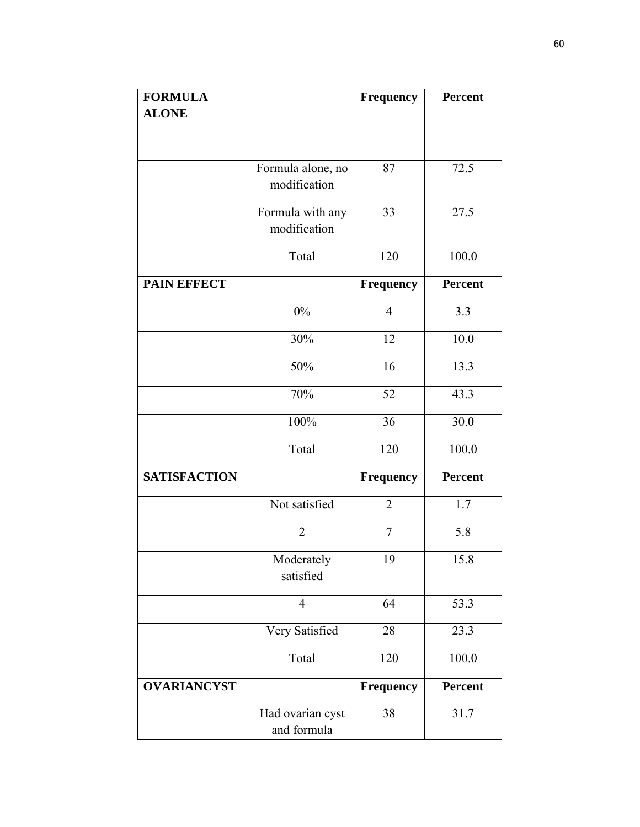| <b>FORMULA</b>      |                                 | <b>Frequency</b> | <b>Percent</b> |
|---------------------|---------------------------------|------------------|----------------|
| <b>ALONE</b>        |                                 |                  |                |
|                     |                                 |                  |                |
|                     | Formula alone, no               | 87               | 72.5           |
|                     | modification                    |                  |                |
|                     | Formula with any                | 33               | 27.5           |
|                     | modification                    |                  |                |
|                     | Total                           | 120              | 100.0          |
| <b>PAIN EFFECT</b>  |                                 | <b>Frequency</b> | <b>Percent</b> |
|                     | $0\%$                           | $\overline{4}$   | 3.3            |
|                     | 30%                             | 12               | 10.0           |
|                     | 50%                             | 16               | 13.3           |
|                     | 70%                             | 52               | 43.3           |
|                     | 100%                            | 36               | 30.0           |
|                     | Total                           | 120              | 100.0          |
| <b>SATISFACTION</b> |                                 | Frequency        | <b>Percent</b> |
|                     | Not satisfied                   | $\overline{2}$   | 1.7            |
|                     | $\overline{2}$                  | $\overline{7}$   | 5.8            |
|                     | Moderately<br>satisfied         | 19               | 15.8           |
|                     | $\overline{4}$                  | 64               | 53.3           |
|                     | Very Satisfied                  | 28               | 23.3           |
|                     | Total                           | 120              | 100.0          |
| <b>OVARIANCYST</b>  |                                 | <b>Frequency</b> | <b>Percent</b> |
|                     | Had ovarian cyst<br>and formula | 38               | 31.7           |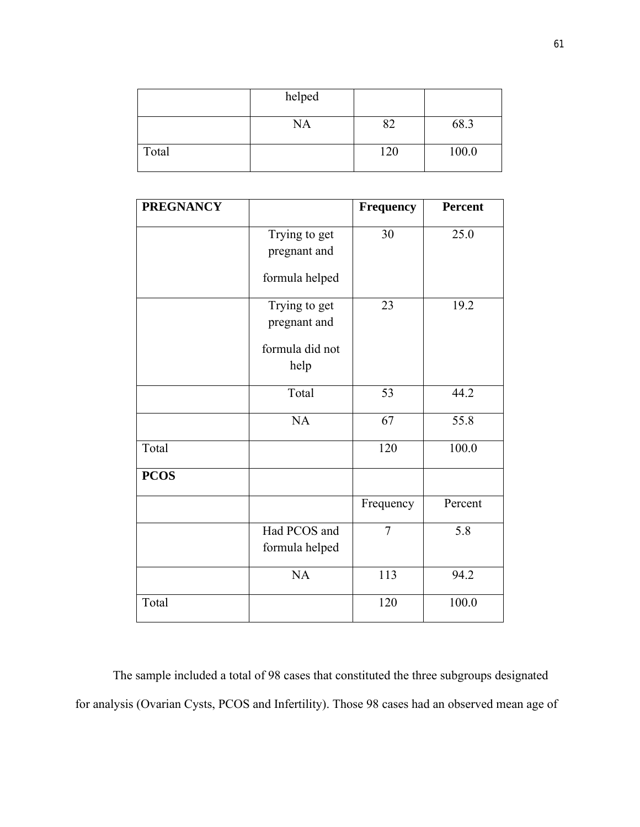|       | helped    |     |       |
|-------|-----------|-----|-------|
|       | <b>NA</b> |     | 68.3  |
| Total |           | 120 | 100.0 |

| <b>PREGNANCY</b> |                                                          | <b>Frequency</b> | <b>Percent</b> |
|------------------|----------------------------------------------------------|------------------|----------------|
|                  | Trying to get<br>pregnant and<br>formula helped          | 30               | 25.0           |
|                  | Trying to get<br>pregnant and<br>formula did not<br>help | 23               | 19.2           |
|                  | Total                                                    | 53               | 44.2           |
|                  | NA                                                       | 67               | 55.8           |
| Total            |                                                          | 120              | 100.0          |
| <b>PCOS</b>      |                                                          |                  |                |
|                  |                                                          | Frequency        | Percent        |
|                  | Had PCOS and<br>formula helped                           | $\overline{7}$   | 5.8            |
|                  | NA                                                       | 113              | 94.2           |
| Total            |                                                          | 120              | 100.0          |

The sample included a total of 98 cases that constituted the three subgroups designated for analysis (Ovarian Cysts, PCOS and Infertility). Those 98 cases had an observed mean age of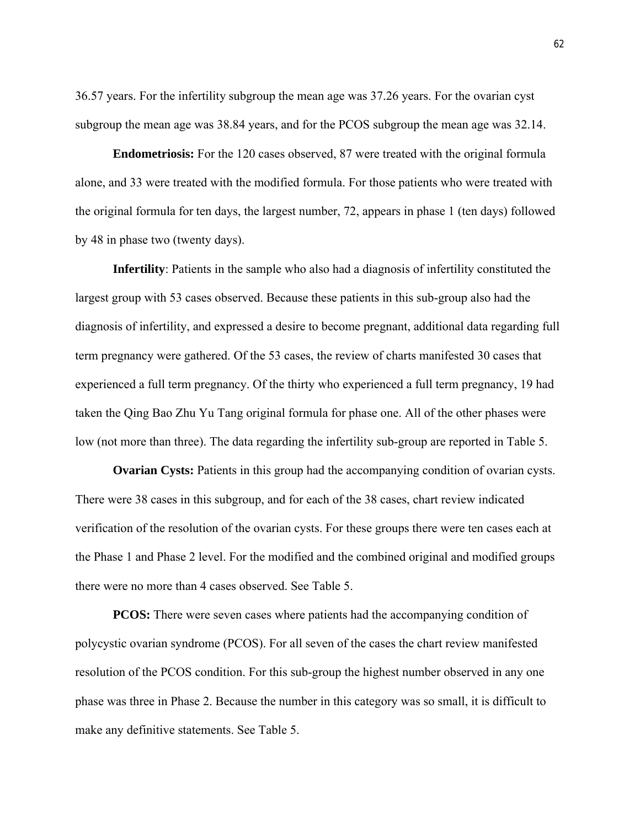36.57 years. For the infertility subgroup the mean age was 37.26 years. For the ovarian cyst subgroup the mean age was 38.84 years, and for the PCOS subgroup the mean age was 32.14.

**Endometriosis:** For the 120 cases observed, 87 were treated with the original formula alone, and 33 were treated with the modified formula. For those patients who were treated with the original formula for ten days, the largest number, 72, appears in phase 1 (ten days) followed by 48 in phase two (twenty days).

**Infertility**: Patients in the sample who also had a diagnosis of infertility constituted the largest group with 53 cases observed. Because these patients in this sub-group also had the diagnosis of infertility, and expressed a desire to become pregnant, additional data regarding full term pregnancy were gathered. Of the 53 cases, the review of charts manifested 30 cases that experienced a full term pregnancy. Of the thirty who experienced a full term pregnancy, 19 had taken the Qing Bao Zhu Yu Tang original formula for phase one. All of the other phases were low (not more than three). The data regarding the infertility sub-group are reported in Table 5.

**Ovarian Cysts:** Patients in this group had the accompanying condition of ovarian cysts. There were 38 cases in this subgroup, and for each of the 38 cases, chart review indicated verification of the resolution of the ovarian cysts. For these groups there were ten cases each at the Phase 1 and Phase 2 level. For the modified and the combined original and modified groups there were no more than 4 cases observed. See Table 5.

**PCOS:** There were seven cases where patients had the accompanying condition of polycystic ovarian syndrome (PCOS). For all seven of the cases the chart review manifested resolution of the PCOS condition. For this sub-group the highest number observed in any one phase was three in Phase 2. Because the number in this category was so small, it is difficult to make any definitive statements. See Table 5.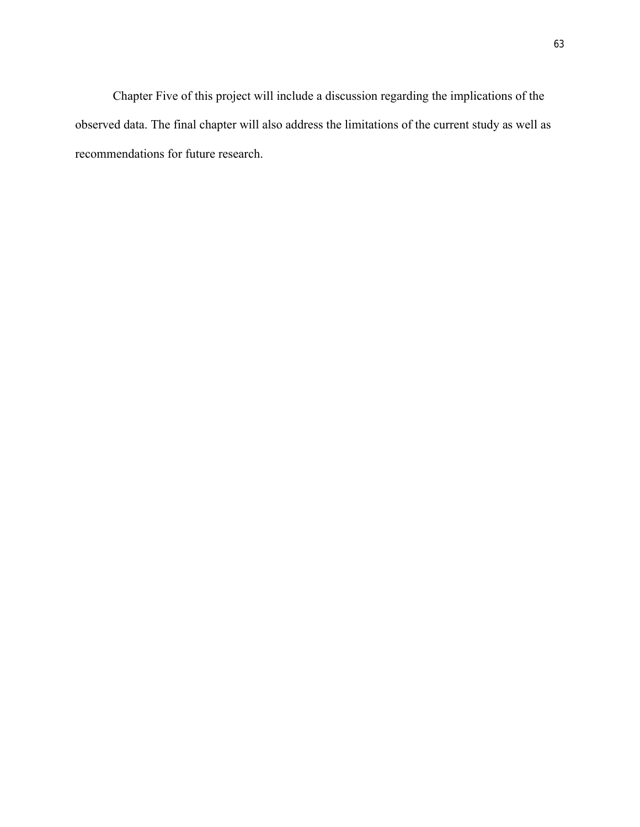Chapter Five of this project will include a discussion regarding the implications of the observed data. The final chapter will also address the limitations of the current study as well as recommendations for future research.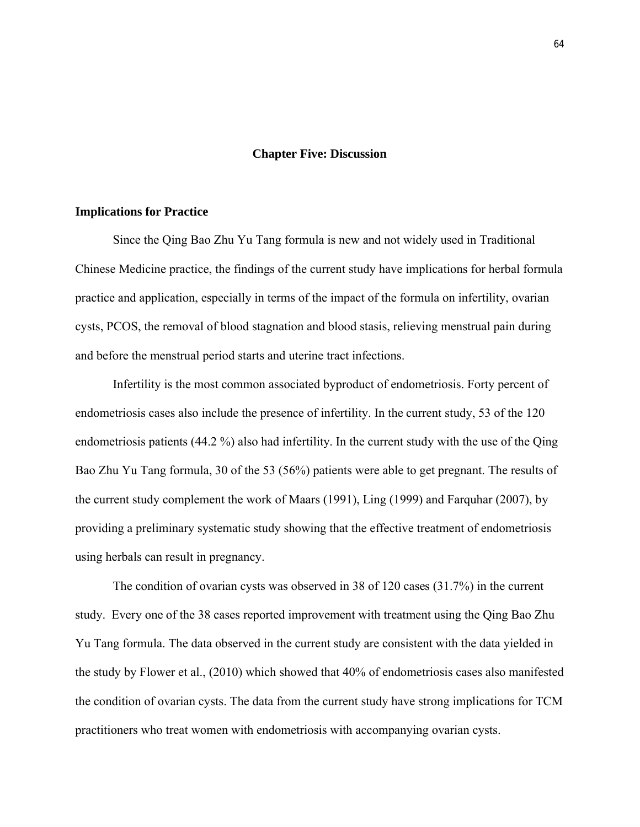#### **Chapter Five: Discussion**

#### **Implications for Practice**

Since the Qing Bao Zhu Yu Tang formula is new and not widely used in Traditional Chinese Medicine practice, the findings of the current study have implications for herbal formula practice and application, especially in terms of the impact of the formula on infertility, ovarian cysts, PCOS, the removal of blood stagnation and blood stasis, relieving menstrual pain during and before the menstrual period starts and uterine tract infections.

Infertility is the most common associated byproduct of endometriosis. Forty percent of endometriosis cases also include the presence of infertility. In the current study, 53 of the 120 endometriosis patients (44.2 %) also had infertility. In the current study with the use of the Qing Bao Zhu Yu Tang formula, 30 of the 53 (56%) patients were able to get pregnant. The results of the current study complement the work of Maars (1991), Ling (1999) and Farquhar (2007), by providing a preliminary systematic study showing that the effective treatment of endometriosis using herbals can result in pregnancy.

The condition of ovarian cysts was observed in 38 of 120 cases (31.7%) in the current study. Every one of the 38 cases reported improvement with treatment using the Qing Bao Zhu Yu Tang formula. The data observed in the current study are consistent with the data yielded in the study by Flower et al., (2010) which showed that 40% of endometriosis cases also manifested the condition of ovarian cysts. The data from the current study have strong implications for TCM practitioners who treat women with endometriosis with accompanying ovarian cysts.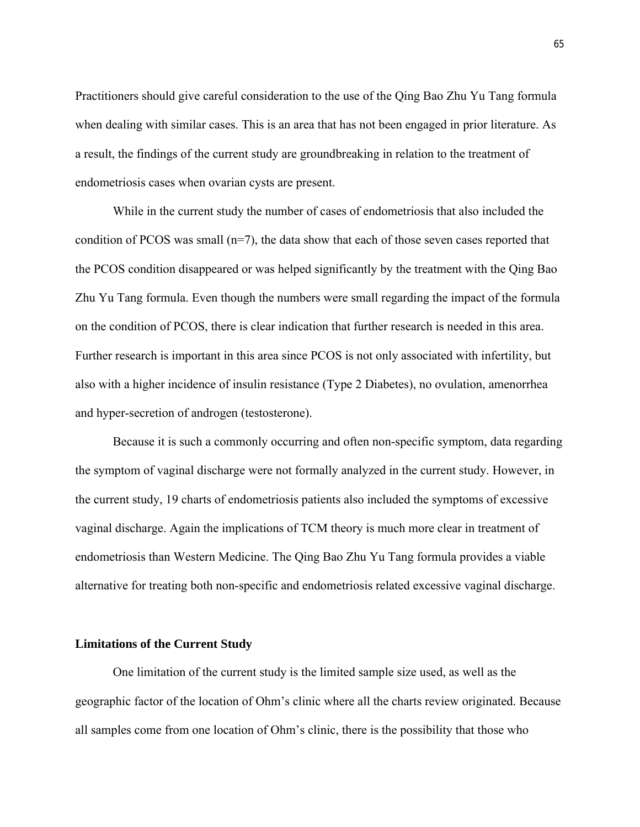Practitioners should give careful consideration to the use of the Qing Bao Zhu Yu Tang formula when dealing with similar cases. This is an area that has not been engaged in prior literature. As a result, the findings of the current study are groundbreaking in relation to the treatment of endometriosis cases when ovarian cysts are present.

While in the current study the number of cases of endometriosis that also included the condition of PCOS was small  $(n=7)$ , the data show that each of those seven cases reported that the PCOS condition disappeared or was helped significantly by the treatment with the Qing Bao Zhu Yu Tang formula. Even though the numbers were small regarding the impact of the formula on the condition of PCOS, there is clear indication that further research is needed in this area. Further research is important in this area since PCOS is not only associated with infertility, but also with a higher incidence of insulin resistance (Type 2 Diabetes), no ovulation, amenorrhea and hyper-secretion of androgen (testosterone).

Because it is such a commonly occurring and often non-specific symptom, data regarding the symptom of vaginal discharge were not formally analyzed in the current study. However, in the current study, 19 charts of endometriosis patients also included the symptoms of excessive vaginal discharge. Again the implications of TCM theory is much more clear in treatment of endometriosis than Western Medicine. The Qing Bao Zhu Yu Tang formula provides a viable alternative for treating both non-specific and endometriosis related excessive vaginal discharge.

#### **Limitations of the Current Study**

One limitation of the current study is the limited sample size used, as well as the geographic factor of the location of Ohm's clinic where all the charts review originated. Because all samples come from one location of Ohm's clinic, there is the possibility that those who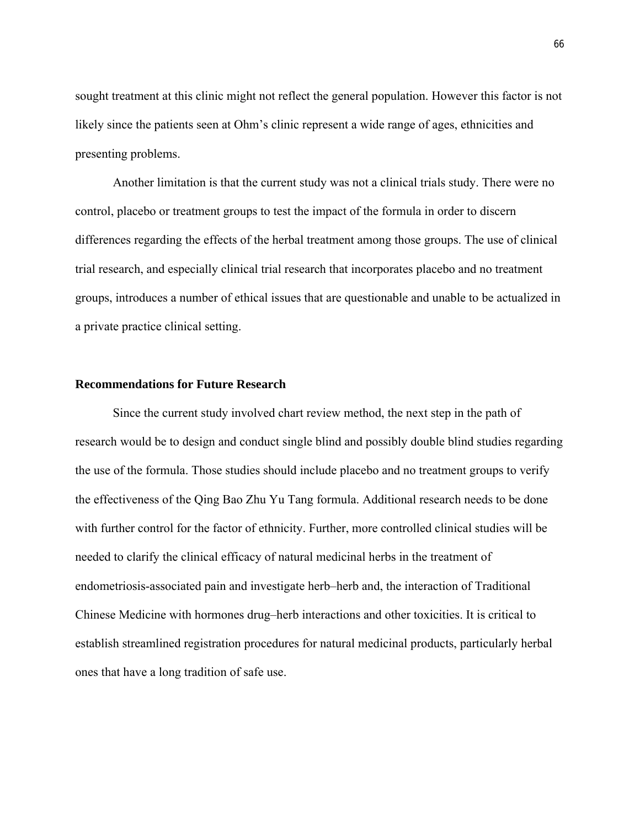sought treatment at this clinic might not reflect the general population. However this factor is not likely since the patients seen at Ohm's clinic represent a wide range of ages, ethnicities and presenting problems.

Another limitation is that the current study was not a clinical trials study. There were no control, placebo or treatment groups to test the impact of the formula in order to discern differences regarding the effects of the herbal treatment among those groups. The use of clinical trial research, and especially clinical trial research that incorporates placebo and no treatment groups, introduces a number of ethical issues that are questionable and unable to be actualized in a private practice clinical setting.

#### **Recommendations for Future Research**

Since the current study involved chart review method, the next step in the path of research would be to design and conduct single blind and possibly double blind studies regarding the use of the formula. Those studies should include placebo and no treatment groups to verify the effectiveness of the Qing Bao Zhu Yu Tang formula. Additional research needs to be done with further control for the factor of ethnicity. Further, more controlled clinical studies will be needed to clarify the clinical efficacy of natural medicinal herbs in the treatment of endometriosis-associated pain and investigate herb–herb and, the interaction of Traditional Chinese Medicine with hormones drug–herb interactions and other toxicities. It is critical to establish streamlined registration procedures for natural medicinal products, particularly herbal ones that have a long tradition of safe use.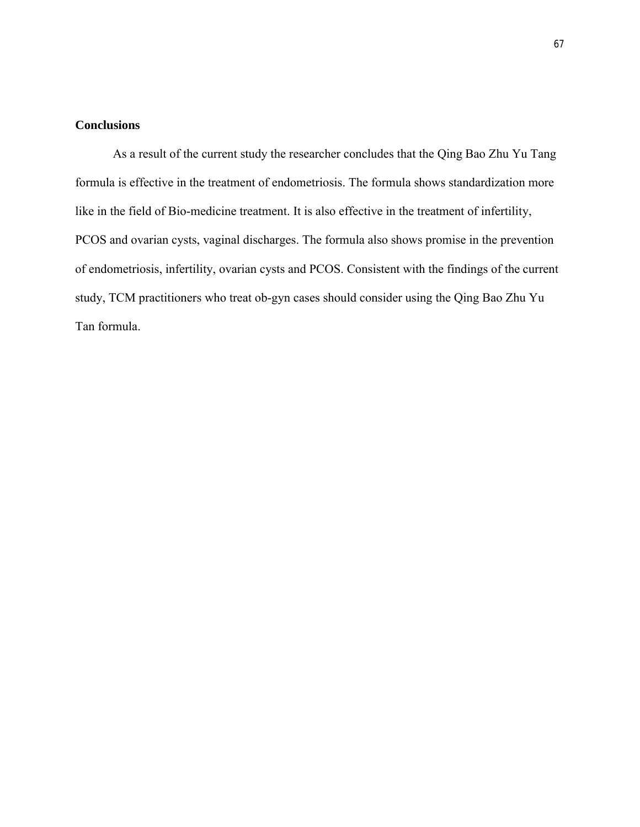# **Conclusions**

As a result of the current study the researcher concludes that the Qing Bao Zhu Yu Tang formula is effective in the treatment of endometriosis. The formula shows standardization more like in the field of Bio-medicine treatment. It is also effective in the treatment of infertility, PCOS and ovarian cysts, vaginal discharges. The formula also shows promise in the prevention of endometriosis, infertility, ovarian cysts and PCOS. Consistent with the findings of the current study, TCM practitioners who treat ob-gyn cases should consider using the Qing Bao Zhu Yu Tan formula.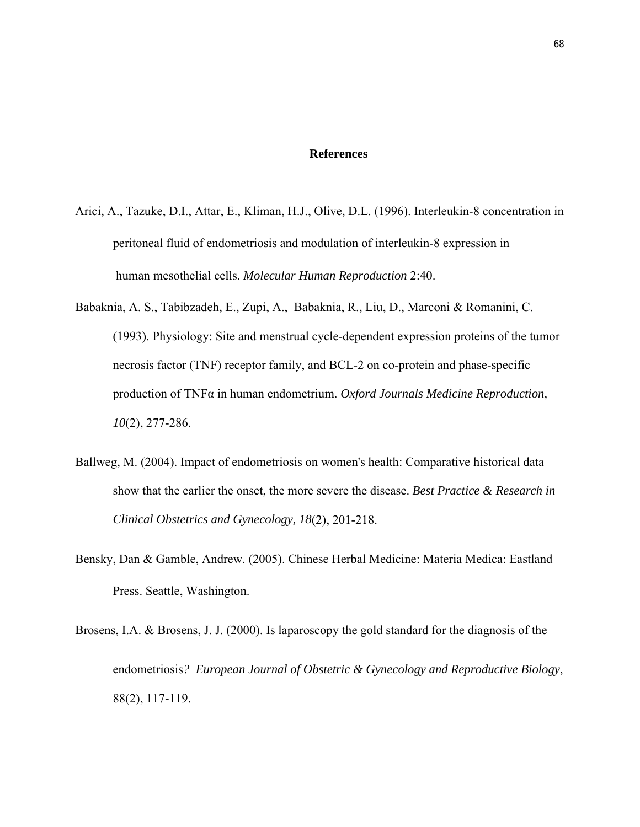#### **References**

- Arici, A., Tazuke, D.I., Attar, E., Kliman, H.J., Olive, D.L. (1996). Interleukin-8 concentration in peritoneal fluid of endometriosis and modulation of interleukin-8 expression in human mesothelial cells. *Molecular Human Reproduction* 2:40.
- Babaknia, A. S., Tabibzadeh, E., Zupi, A., Babaknia, R., Liu, D., Marconi & Romanini, C. (1993). Physiology: Site and menstrual cycle-dependent expression proteins of the tumor necrosis factor (TNF) receptor family, and BCL-2 on co-protein and phase-specific production of TNFα in human endometrium. *Oxford Journals Medicine Reproduction, 10*(2), 277-286.
- Ballweg, M. (2004). Impact of endometriosis on women's health: Comparative historical data show that the earlier the onset, the more severe the disease. *Best Practice & Research in Clinical Obstetrics and Gynecology, 18*(2), 201-218.
- Bensky, Dan & Gamble, Andrew. (2005). Chinese Herbal Medicine: Materia Medica: Eastland Press. Seattle, Washington.
- Brosens, I.A. & Brosens, J. J. (2000). Is laparoscopy the gold standard for the diagnosis of the endometriosis*? European Journal of Obstetric & Gynecology and Reproductive Biology*, 88(2), 117-119.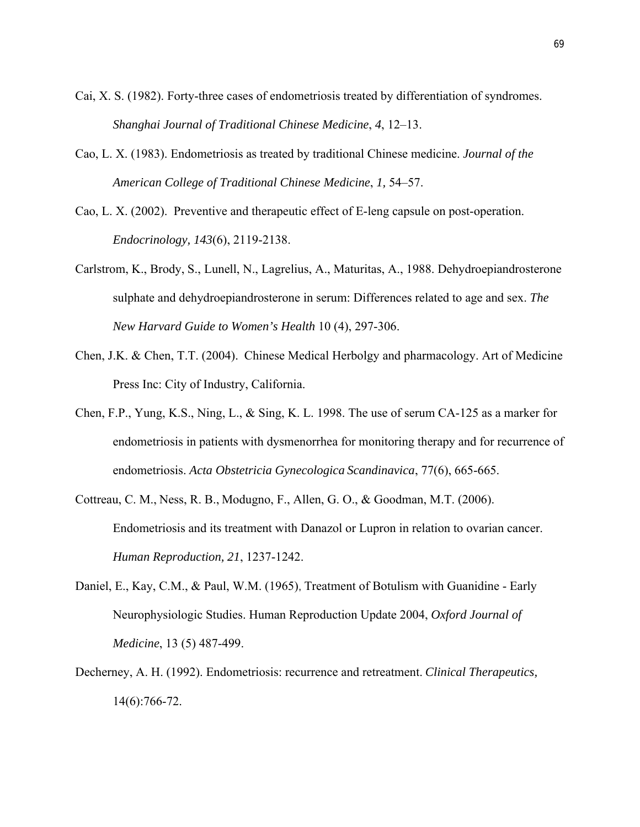- Cai, X. S. (1982). Forty-three cases of endometriosis treated by differentiation of syndromes. *Shanghai Journal of Traditional Chinese Medicine*, *4*, 12–13.
- Cao, L. X. (1983). Endometriosis as treated by traditional Chinese medicine. *Journal of the American College of Traditional Chinese Medicine*, *1,* 54–57.
- Cao, L. X. (2002). Preventive and therapeutic effect of E-leng capsule on post-operation. *Endocrinology, 143*(6), 2119-2138.
- Carlstrom, K., Brody, S., Lunell, N., Lagrelius, A., Maturitas, A., 1988. Dehydroepiandrosterone sulphate and dehydroepiandrosterone in serum: Differences related to age and sex. *The New Harvard Guide to Women's Health* 10 (4), 297-306.
- Chen, J.K. & Chen, T.T. (2004). Chinese Medical Herbolgy and pharmacology. Art of Medicine Press Inc: City of Industry, California.
- Chen, F.P., Yung, K.S., Ning, L., & Sing, K. L. 1998. The use of serum CA-125 as a marker for endometriosis in patients with dysmenorrhea for monitoring therapy and for recurrence of endometriosis. *Acta Obstetricia Gynecologica Scandinavica*, 77(6), 665-665.
- Cottreau, C. M., Ness, R. B., Modugno, F., Allen, G. O., & Goodman, M.T. (2006). Endometriosis and its treatment with Danazol or Lupron in relation to ovarian cancer. *Human Reproduction, 21*, 1237-1242.
- Daniel, E., Kay, C.M., & Paul, W.M. (1965), Treatment of Botulism with Guanidine Early Neurophysiologic Studies. Human Reproduction Update 2004, *Oxford Journal of Medicine*, 13 (5) 487-499.
- Decherney, A. H. (1992). Endometriosis: recurrence and retreatment. *Clinical Therapeutics,* 14(6):766-72.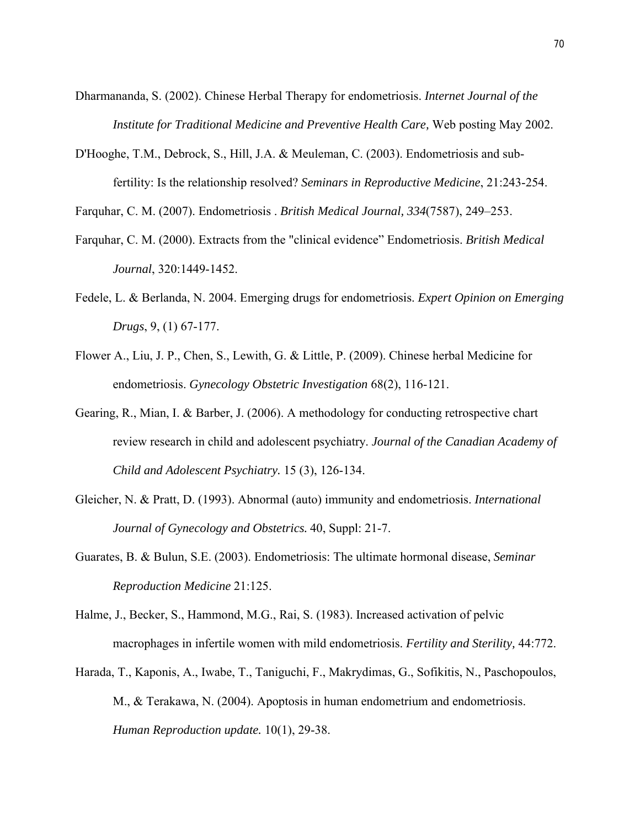Dharmananda, S. (2002). Chinese Herbal Therapy for endometriosis. *Internet Journal of the Institute for Traditional Medicine and Preventive Health Care,* Web posting May 2002.

D'Hooghe, T.M., Debrock, S., Hill, J.A. & Meuleman, C. (2003). Endometriosis and subfertility: Is the relationship resolved? *Seminars in Reproductive Medicine*, 21:243-254.

Farquhar, C. M. (2007). Endometriosis . *British Medical Journal, 334*(7587), 249–253.

- Farquhar, C. M. (2000). Extracts from the "clinical evidence" Endometriosis. *British Medical Journal*, 320:1449-1452.
- Fedele, L. & Berlanda, N. 2004. Emerging drugs for endometriosis. *Expert Opinion on Emerging Drugs*, 9, (1) 67-177.
- Flower A., Liu, J. P., Chen, S., Lewith, G. & Little, P. (2009). Chinese herbal Medicine for endometriosis. *Gynecology Obstetric Investigation* 68(2), 116-121.
- Gearing, R., Mian, I. & Barber, J. (2006). A methodology for conducting retrospective chart review research in child and adolescent psychiatry. *Journal of the Canadian Academy of Child and Adolescent Psychiatry.* 15 (3), 126-134.
- Gleicher, N. & Pratt, D. (1993). Abnormal (auto) immunity and endometriosis. *International Journal of Gynecology and Obstetrics.* 40, Suppl: 21-7.
- Guarates, B. & Bulun, S.E. (2003). Endometriosis: The ultimate hormonal disease, *Seminar Reproduction Medicine* 21:125.
- Halme, J., Becker, S., Hammond, M.G., Rai, S. (1983). Increased activation of pelvic macrophages in infertile women with mild endometriosis. *Fertility and Sterility,* 44:772.
- Harada, T., Kaponis, A., Iwabe, T., Taniguchi, F., Makrydimas, G., Sofikitis, N., Paschopoulos, M., & Terakawa, N. (2004). Apoptosis in human endometrium and endometriosis. *Human Reproduction update.* 10(1), 29-38.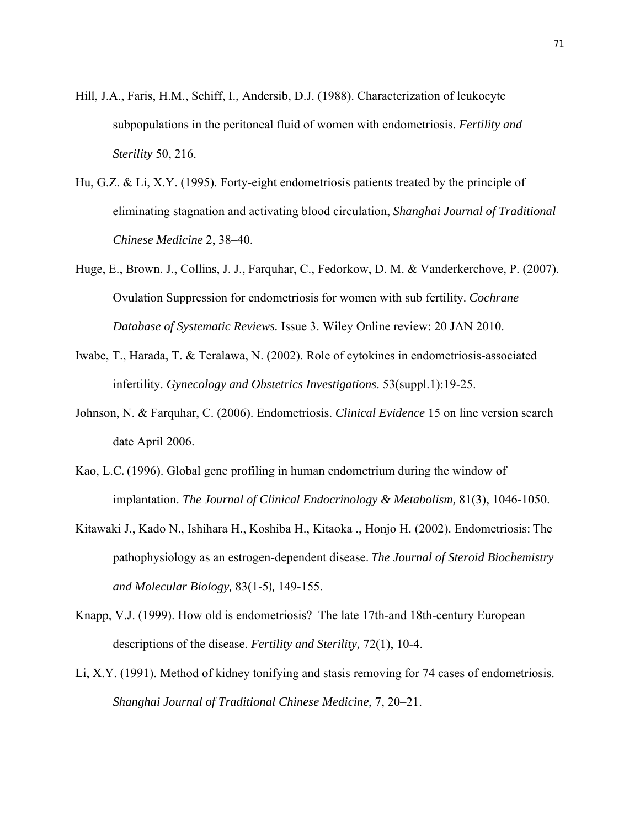- Hill, J.A., Faris, H.M., Schiff, I., Andersib, D.J. (1988). Characterization of leukocyte subpopulations in the peritoneal fluid of women with endometriosis. *Fertility and Sterility* 50, 216.
- Hu, G.Z. & Li, X.Y. (1995). Forty-eight endometriosis patients treated by the principle of eliminating stagnation and activating blood circulation, *Shanghai Journal of Traditional Chinese Medicine* 2, 38–40.
- Huge, E., Brown. J., Collins, J. J., Farquhar, C., Fedorkow, D. M. & Vanderkerchove, P. (2007). Ovulation Suppression for endometriosis for women with sub fertility. *Cochrane Database of Systematic Reviews.* Issue 3. Wiley Online review: 20 JAN 2010.
- Iwabe, T., Harada, T. & Teralawa, N. (2002). Role of cytokines in endometriosis-associated infertility. *Gynecology and Obstetrics Investigations*. 53(suppl.1):19-25.
- Johnson, N. & Farquhar, C. (2006). Endometriosis. *Clinical Evidence* 15 on line version search date April 2006.
- Kao, L.C. (1996). Global gene profiling in human endometrium during the window of implantation. *The Journal of Clinical Endocrinology & Metabolism,* 81(3), 1046-1050.
- Kitawaki J., Kado N., Ishihara H., Koshiba H., Kitaoka ., Honjo H. (2002). Endometriosis: The pathophysiology as an estrogen-dependent disease. *The Journal of Steroid Biochemistry and Molecular Biology,* 83(1-5), 149-155.
- Knapp, V.J. (1999). How old is endometriosis? The late 17th-and 18th-century European descriptions of the disease. *Fertility and Sterility,* 72(1), 10-4.
- Li, X.Y. (1991). Method of kidney tonifying and stasis removing for 74 cases of endometriosis. *Shanghai Journal of Traditional Chinese Medicine*, 7, 20–21.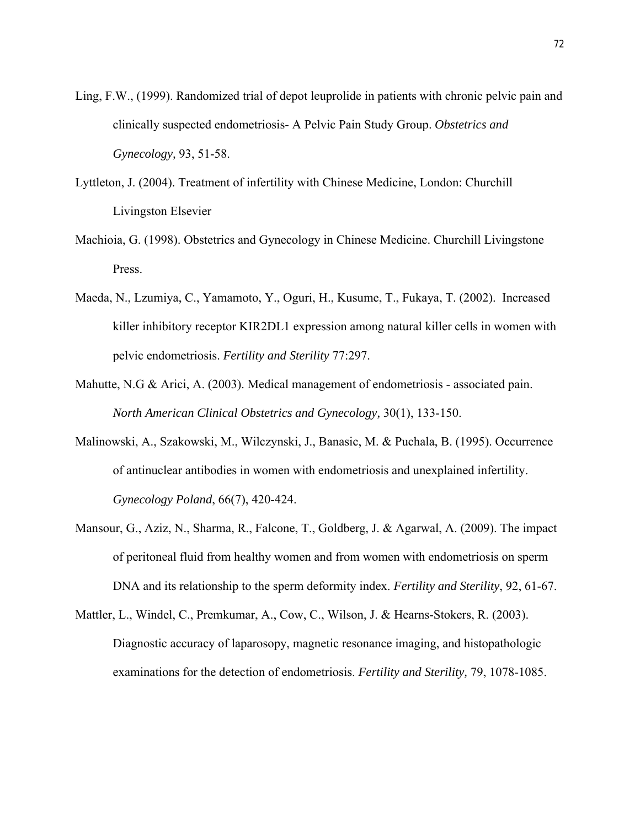- Ling, F.W., (1999). Randomized trial of depot leuprolide in patients with chronic pelvic pain and clinically suspected endometriosis- A Pelvic Pain Study Group. *Obstetrics and Gynecology,* 93, 51-58.
- Lyttleton, J. (2004). Treatment of infertility with Chinese Medicine, London: Churchill Livingston Elsevier
- Machioia, G. (1998). Obstetrics and Gynecology in Chinese Medicine. Churchill Livingstone Press.
- Maeda, N., Lzumiya, C., Yamamoto, Y., Oguri, H., Kusume, T., Fukaya, T. (2002). Increased killer inhibitory receptor KIR2DL1 expression among natural killer cells in women with pelvic endometriosis. *Fertility and Sterility* 77:297.
- Mahutte, N.G & Arici, A. (2003). Medical management of endometriosis associated pain. *North American Clinical Obstetrics and Gynecology,* 30(1), 133-150.
- Malinowski, A., Szakowski, M., Wilczynski, J., Banasic, M. & Puchala, B. (1995). Occurrence of antinuclear antibodies in women with endometriosis and unexplained infertility. *Gynecology Poland*, 66(7), 420-424.
- Mansour, G., Aziz, N., Sharma, R., Falcone, T., Goldberg, J. & Agarwal, A. (2009). The impact of peritoneal fluid from healthy women and from women with endometriosis on sperm DNA and its relationship to the sperm deformity index. *Fertility and Sterility*, 92, 61-67.
- Mattler, L., Windel, C., Premkumar, A., Cow, C., Wilson, J. & Hearns-Stokers, R. (2003). Diagnostic accuracy of laparosopy, magnetic resonance imaging, and histopathologic examinations for the detection of endometriosis. *Fertility and Sterility,* 79, 1078-1085.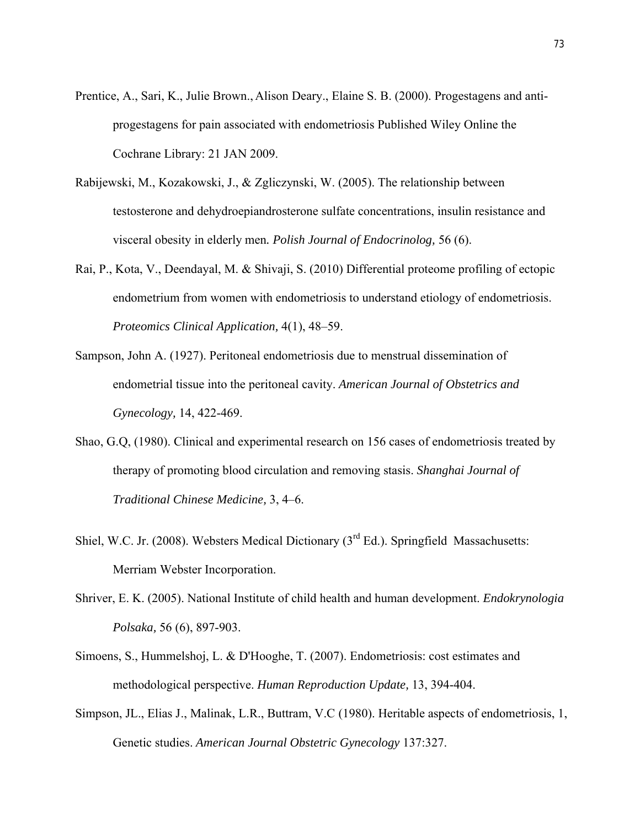- Prentice, A., Sari, K., Julie Brown., Alison Deary., Elaine S. B. (2000). Progestagens and antiprogestagens for pain associated with endometriosis Published Wiley Online the Cochrane Library: 21 JAN 2009.
- Rabijewski, M., Kozakowski, J., & Zgliczynski, W. (2005). The relationship between testosterone and dehydroepiandrosterone sulfate concentrations, insulin resistance and visceral obesity in elderly men*. Polish Journal of Endocrinolog,* 56 (6).
- Rai, P., Kota, V., Deendayal, M. & Shivaji, S. (2010) Differential proteome profiling of ectopic endometrium from women with endometriosis to understand etiology of endometriosis. *Proteomics Clinical Application,* 4(1), 48–59.
- Sampson, John A. (1927). Peritoneal endometriosis due to menstrual dissemination of endometrial tissue into the peritoneal cavity. *American Journal of Obstetrics and Gynecology,* 14, 422-469.
- Shao, G.Q, (1980). Clinical and experimental research on 156 cases of endometriosis treated by therapy of promoting blood circulation and removing stasis. *Shanghai Journal of Traditional Chinese Medicine,* 3, 4–6.
- Shiel, W.C. Jr. (2008). Websters Medical Dictionary ( $3<sup>rd</sup> Ed$ .). Springfield Massachusetts: Merriam Webster Incorporation.
- Shriver, E. K. (2005). National Institute of child health and human development. *Endokrynologia Polsaka,* 56 (6), 897-903.
- Simoens, S., Hummelshoj, L. & D'Hooghe, T. (2007). Endometriosis: cost estimates and methodological perspective. *Human Reproduction Update,* 13, 394-404.
- Simpson, JL., Elias J., Malinak, L.R., Buttram, V.C (1980). Heritable aspects of endometriosis, 1, Genetic studies. *American Journal Obstetric Gynecology* 137:327.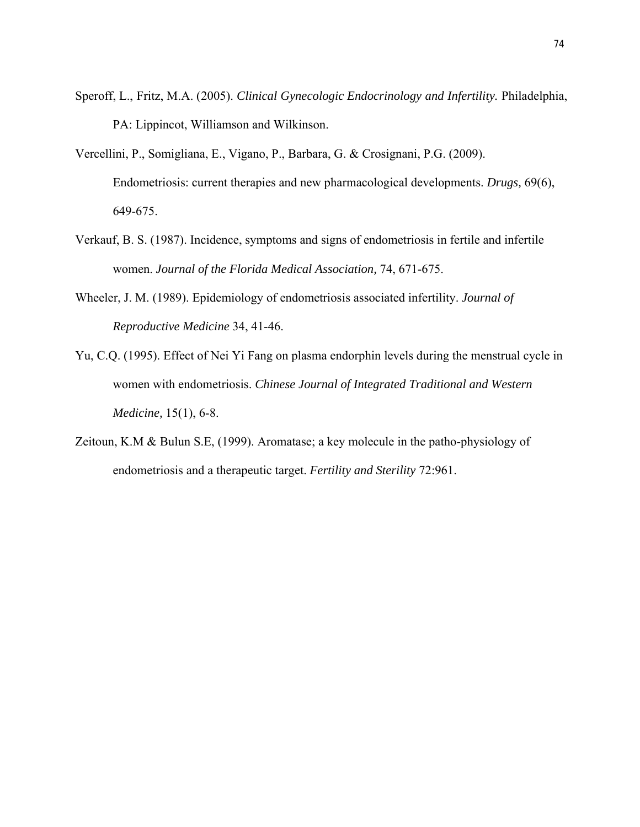- Speroff, L., Fritz, M.A. (2005). *Clinical Gynecologic Endocrinology and Infertility.* Philadelphia, PA: Lippincot, Williamson and Wilkinson.
- Vercellini, P., Somigliana, E., Vigano, P., Barbara, G. & Crosignani, P.G. (2009). Endometriosis: current therapies and new pharmacological developments. *Drugs,* 69(6), 649-675.
- Verkauf, B. S. (1987). Incidence, symptoms and signs of endometriosis in fertile and infertile women. *Journal of the Florida Medical Association,* 74, 671-675.
- Wheeler, J. M. (1989). Epidemiology of endometriosis associated infertility. *Journal of Reproductive Medicine* 34, 41-46.
- Yu, C.Q. (1995). Effect of Nei Yi Fang on plasma endorphin levels during the menstrual cycle in women with endometriosis. *Chinese Journal of Integrated Traditional and Western Medicine,* 15(1), 6-8.
- Zeitoun, K.M & Bulun S.E, (1999). Aromatase; a key molecule in the patho-physiology of endometriosis and a therapeutic target. *Fertility and Sterility* 72:961.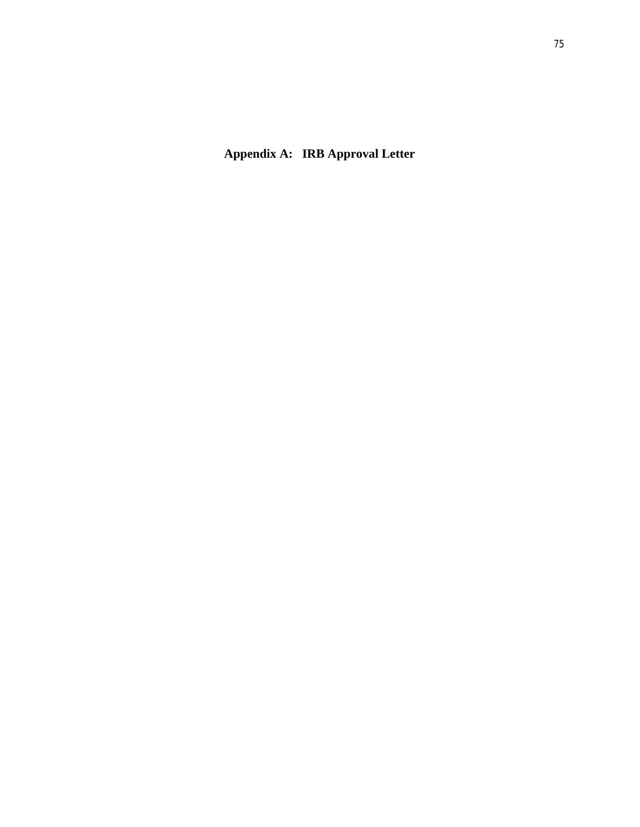**Appendix A: IRB Approval Letter**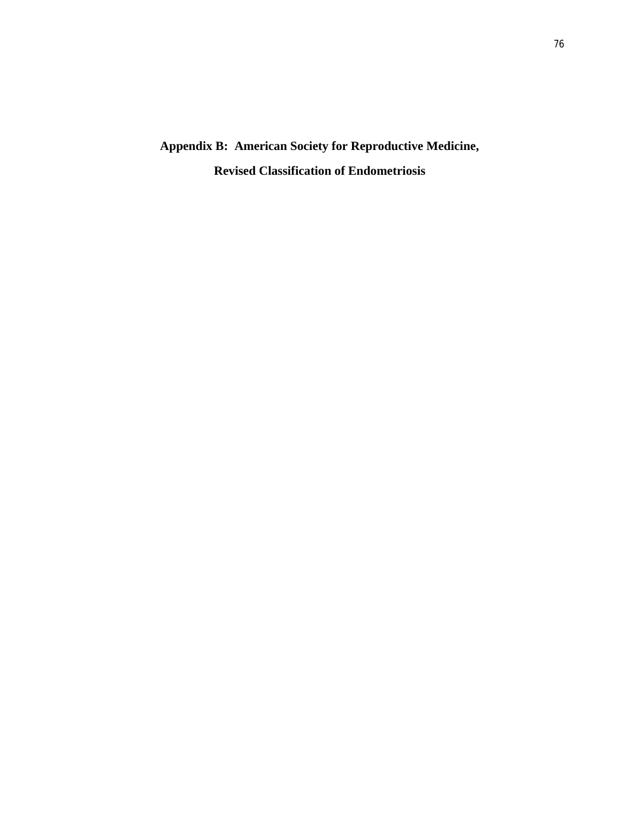**Appendix B:****American Society for Reproductive Medicine, Revised Classification of Endometriosis**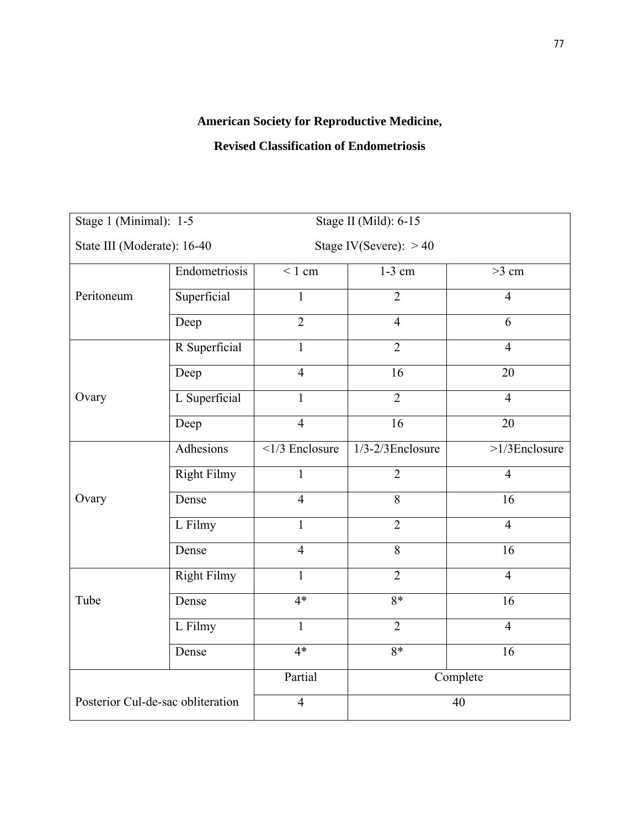## **American Society for Reproductive Medicine,**

## **Revised Classification of Endometriosis**

| Stage 1 (Minimal): 1-5            |                    | Stage II (Mild): 6-15      |                       |                  |
|-----------------------------------|--------------------|----------------------------|-----------------------|------------------|
| State III (Moderate): 16-40       |                    | Stage IV(Severe): $>40$    |                       |                  |
|                                   | Endometriosis      | $< 1$ cm                   | $1-3$ cm              | $>3$ cm          |
| Peritoneum                        | Superficial        | $\mathbf{1}$               | $\overline{2}$        | $\overline{4}$   |
|                                   | Deep               | $\overline{2}$             | $\overline{4}$        | $\overline{6}$   |
|                                   | R Superficial      | $\mathbf{1}$               | $\overline{2}$        | $\overline{4}$   |
| Ovary                             | Deep               | $\overline{4}$             | 16                    | 20               |
|                                   | L Superficial      | $\mathbf{1}$               | $\overline{2}$        | $\overline{4}$   |
|                                   | Deep               | $\overline{4}$             | 16                    | 20               |
|                                   | <b>Adhesions</b>   | $\overline{1/3}$ Enclosure | $1/3 - 2/3$ Enclosure | $>1/3$ Enclosure |
|                                   | <b>Right Filmy</b> | $\mathbf{1}$               | $\overline{2}$        | $\overline{4}$   |
| Ovary                             | Dense              | $\overline{4}$             | $\overline{8}$        | 16               |
|                                   | L Filmy            | $\mathbf{1}$               | $\overline{2}$        | $\overline{4}$   |
|                                   | Dense              | $\overline{4}$             | $\overline{8}$        | $\overline{16}$  |
| Tube                              | <b>Right Filmy</b> | $\mathbf{1}$               | $\overline{2}$        | $\overline{4}$   |
|                                   | Dense              | $4*$                       | $8*$                  | 16               |
|                                   | L Filmy            | $\mathbf{1}$               | $\overline{2}$        | $\overline{4}$   |
|                                   | Dense              | $4*$                       | $8*$                  | 16               |
|                                   |                    | Partial                    | Complete              |                  |
| Posterior Cul-de-sac obliteration |                    | $\overline{4}$             | 40                    |                  |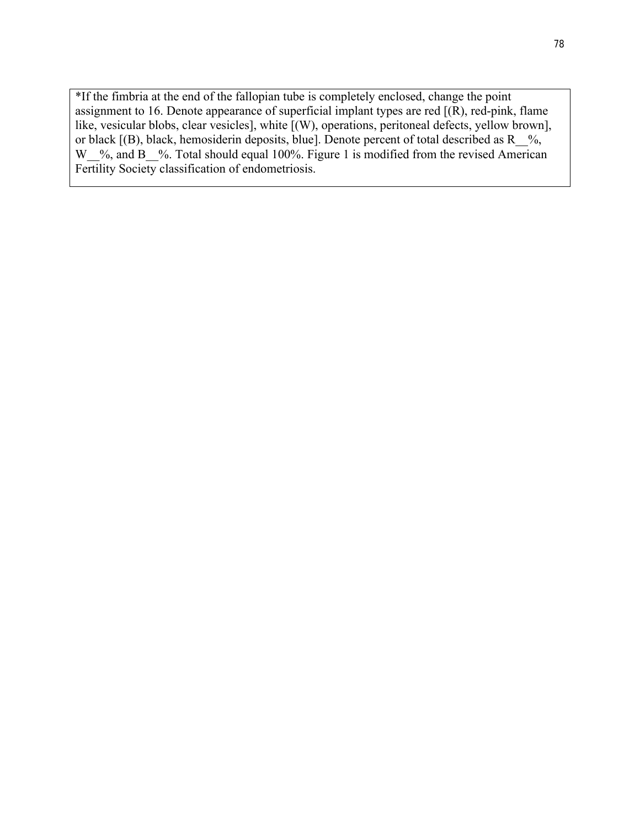\*If the fimbria at the end of the fallopian tube is completely enclosed, change the point assignment to 16. Denote appearance of superficial implant types are red  $[(R)$ , red-pink, flame like, vesicular blobs, clear vesicles], white [(W), operations, peritoneal defects, yellow brown], or black  $[(B)$ , black, hemosiderin deposits, blue]. Denote percent of total described as R  $\%$ , W<sub>\_%</sub>, and B<sub>\_%</sub>. Total should equal 100%. Figure 1 is modified from the revised American Fertility Society classification of endometriosis.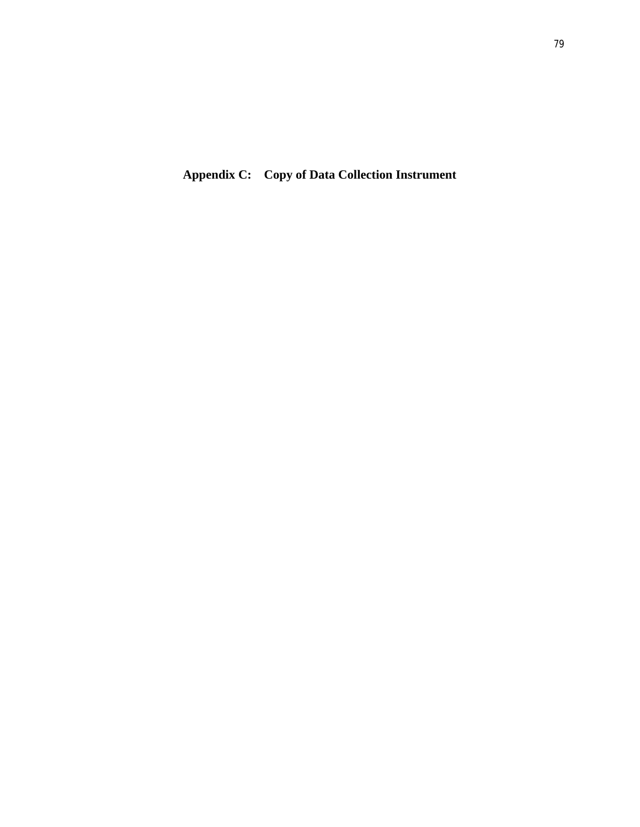**Appendix C: Copy of Data Collection Instrument**